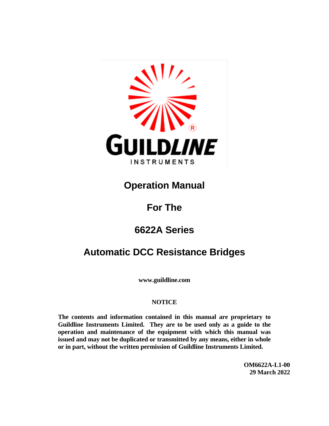

### **Operation Manual**

### **For The**

## **6622A Series**

### **Automatic DCC Resistance Bridges**

**www.guildline.com**

#### **NOTICE**

**The contents and information contained in this manual are proprietary to Guildline Instruments Limited. They are to be used only as a guide to the operation and maintenance of the equipment with which this manual was issued and may not be duplicated or transmitted by any means, either in whole or in part, without the written permission of Guildline Instruments Limited.**

> **OM6622A-L1-00 29 March 2022**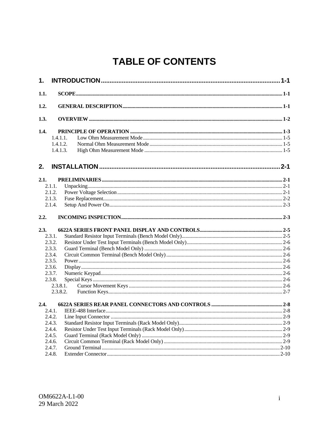## **TABLE OF CONTENTS**

| 1.   |          |  |
|------|----------|--|
| 1.1. |          |  |
| 1.2. |          |  |
| 1.3. |          |  |
| 1.4. |          |  |
|      | 1.4.1.1. |  |
|      | 1.4.1.2. |  |
|      | 1.4.1.3. |  |
| 2.   |          |  |
| 2.1. |          |  |
|      | 2.1.1.   |  |
|      | 2.1.2.   |  |
|      | 2.1.3.   |  |
|      | 2.1.4.   |  |
| 2.2. |          |  |
| 2.3. |          |  |
|      | 2.3.1.   |  |
|      | 2.3.2.   |  |
|      | 2.3.3.   |  |
|      | 2.3.4.   |  |
|      | 2.3.5.   |  |
|      | 2.3.6.   |  |
|      | 2.3.7.   |  |
|      | 2.3.8.   |  |
|      | 2.3.8.1. |  |
|      | 2.3.8.2. |  |
| 2.4. |          |  |
|      | 2.4.1.   |  |
|      |          |  |
|      | 2.4.3.   |  |
|      | 2.4.4.   |  |
|      | 2.4.5.   |  |
|      | 2.4.6.   |  |
|      | 2.4.7.   |  |
|      | 2.4.8.   |  |
|      |          |  |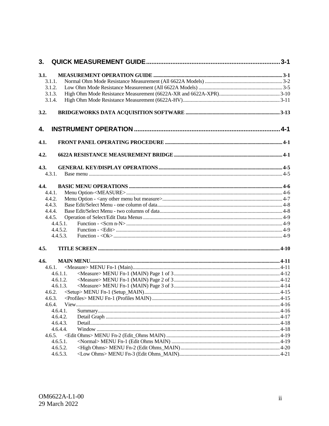| 3.     |          |  |
|--------|----------|--|
| 3.1.   |          |  |
| 3.1.1. |          |  |
| 3.1.2. |          |  |
| 3.1.3. |          |  |
| 3.1.4. |          |  |
| 3.2.   |          |  |
| 4.     |          |  |
| 4.1.   |          |  |
| 4.2.   |          |  |
| 4.3.   |          |  |
| 4.3.1. |          |  |
| 4.4.   |          |  |
| 4.4.1. |          |  |
| 4.4.2. |          |  |
| 4.4.3. |          |  |
| 4.4.4. |          |  |
| 4.4.5. |          |  |
|        | 4.4.5.1. |  |
|        | 4.4.5.2. |  |
|        | 4.4.5.3. |  |
| 4.5.   |          |  |
| 4.6.   |          |  |
| 4.6.1. |          |  |
|        | 4.6.1.1. |  |
|        | 4.6.1.2. |  |
|        | 4.6.1.3. |  |
| 4.6.2. |          |  |
|        |          |  |
| 4.6.4. |          |  |
|        | 4.6.4.1. |  |
|        | 4.6.4.2. |  |
|        | 4.6.4.3. |  |
|        | 4.6.4.4. |  |
| 4.6.5. |          |  |
|        | 4.6.5.1. |  |
|        | 4.6.5.2. |  |
|        | 4.6.5.3. |  |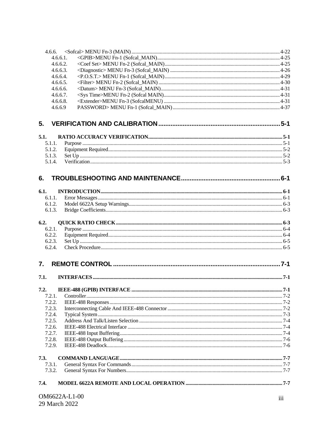| 4.6.6.           |               |                  |
|------------------|---------------|------------------|
|                  | 4.6.6.1.      |                  |
|                  | 4.6.6.2.      |                  |
|                  | 4.6.6.3.      |                  |
|                  | 4.6.6.4.      |                  |
|                  | 4.6.6.5.      |                  |
|                  | 4.6.6.6.      |                  |
|                  | 4.6.6.7.      |                  |
|                  | 4.6.6.8.      |                  |
|                  | 4.6.6.9       |                  |
| 5.               |               |                  |
| 5.1.             |               |                  |
| 5.1.1.           |               |                  |
| 5.1.2.           |               |                  |
| 5.1.3.           |               |                  |
| 5.1.4.           |               |                  |
| 6.               |               |                  |
| 6.1.             |               |                  |
| 6.1.1.           |               |                  |
| 6.1.2.           |               |                  |
| 6.1.3.           |               |                  |
| 6.2.             |               |                  |
| 6.2.1.           |               |                  |
| 6.2.2.           |               |                  |
| 6.2.3.           |               |                  |
| 6.2.4.           |               |                  |
| $\overline{7}$ . |               |                  |
| 7.1.             |               |                  |
| 7.2.             |               |                  |
| 7.2.1.           |               |                  |
| 7.2.2.           |               |                  |
| 7.2.3.           |               |                  |
| 7.2.4.           |               |                  |
| 7.2.5.<br>7.2.6. |               |                  |
| 7.2.7.           |               |                  |
| 7.2.8.           |               |                  |
| 7.2.9.           |               |                  |
| 7.3.             |               |                  |
| 7.3.1.           |               |                  |
| 7.3.2.           |               |                  |
| 7.4.             |               |                  |
|                  | OM6622A-L1-00 | $\overline{111}$ |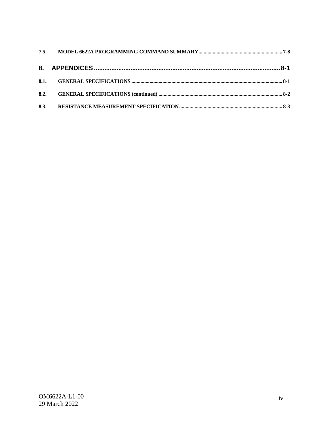| 8.3. |  |
|------|--|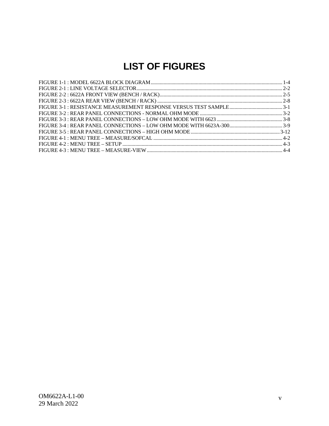### **LIST OF FIGURES**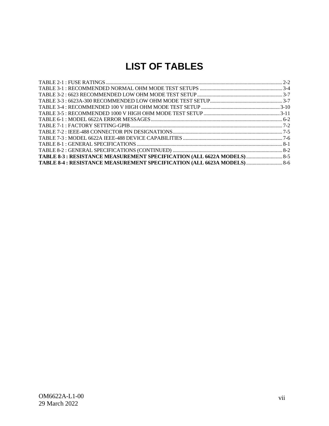### **LIST OF TABLES**

| TABLE 8-3 : RESISTANCE MEASUREMENT SPECIFICATION (ALL 6622A MODELS)  8-5 |  |
|--------------------------------------------------------------------------|--|
| TABLE 8-4 : RESISTANCE MEASUREMENT SPECIFICATION (ALL 6623A MODELS)  8-6 |  |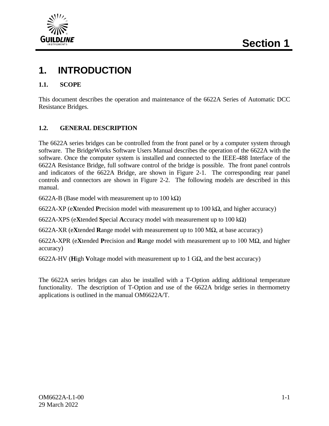

### **1. INTRODUCTION**

#### **1.1. SCOPE**

This document describes the operation and maintenance of the 6622A Series of Automatic DCC Resistance Bridges.

#### **1.2. GENERAL DESCRIPTION**

The 6622A series bridges can be controlled from the front panel or by a computer system through software. The BridgeWorks Software Users Manual describes the operation of the 6622A with the software. Once the computer system is installed and connected to the IEEE-488 Interface of the 6622A Resistance Bridge, full software control of the bridge is possible. The front panel controls and indicators of the 6622A Bridge, are shown in Figure 2-1. The corresponding rear panel controls and connectors are shown in Figure 2-2. The following models are described in this manual.

6622A-B (Base model with measurement up to 100 k $\Omega$ )

6622A-XP (e**X**tended **P**recision model with measurement up to 100 kΩ, and higher accuracy)

6622A-XPS (e**X**tended **S**pecial **A**ccuracy model with measurement up to 100 kΩ)

6622A-XR (e**X**tended **R**ange model with measurement up to 100 MΩ, at base accuracy)

6622A-XPR (e**X**tended **P**recision and **R**ange model with measurement up to 100 MΩ, and higher accuracy)

6622A-HV (**H**igh **V**oltage model with measurement up to 1 GΩ, and the best accuracy)

The 6622A series bridges can also be installed with a T-Option adding additional temperature functionality. The description of T-Option and use of the 6622A bridge series in thermometry applications is outlined in the manual OM6622A/T.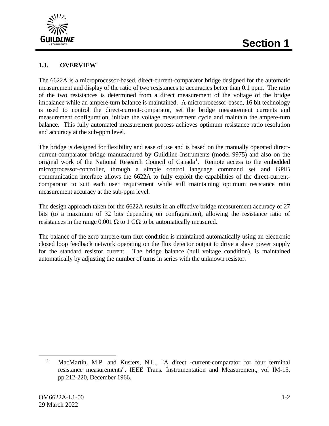

#### **1.3. OVERVIEW**

The 6622A is a microprocessor-based, direct-current-comparator bridge designed for the automatic measurement and display of the ratio of two resistances to accuracies better than 0.1 ppm. The ratio of the two resistances is determined from a direct measurement of the voltage of the bridge imbalance while an ampere-turn balance is maintained. A microprocessor-based, 16 bit technology is used to control the direct-current-comparator, set the bridge measurement currents and measurement configuration, initiate the voltage measurement cycle and maintain the ampere-turn balance. This fully automated measurement process achieves optimum resistance ratio resolution and accuracy at the sub-ppm level.

The bridge is designed for flexibility and ease of use and is based on the manually operated directcurrent-comparator bridge manufactured by Guildline Instruments (model 9975) and also on the original work of the National Research Council of Canada<sup>[1](#page-11-0)</sup>. Remote access to the embedded microprocessor-controller, through a simple control language command set and GPIB communication interface allows the 6622A to fully exploit the capabilities of the direct-currentcomparator to suit each user requirement while still maintaining optimum resistance ratio measurement accuracy at the sub-ppm level.

The design approach taken for the 6622A results in an effective bridge measurement accuracy of 27 bits (to a maximum of 32 bits depending on configuration), allowing the resistance ratio of resistances in the range 0.001  $\Omega$  to 1 G $\Omega$  to be automatically measured.

The balance of the zero ampere-turn flux condition is maintained automatically using an electronic closed loop feedback network operating on the flux detector output to drive a slave power supply for the standard resistor current. The bridge balance (null voltage condition), is maintained automatically by adjusting the number of turns in series with the unknown resistor.

<span id="page-11-0"></span><sup>&</sup>lt;sup>1</sup> MacMartin, M.P. and Kusters, N.L., "A direct -current-comparator for four terminal resistance measurements", IEEE Trans. Instrumentation and Measurement, vol IM-15, pp.212-220, December 1966.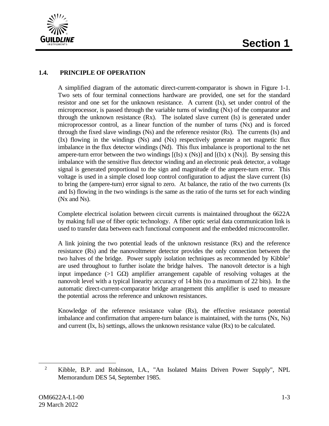

#### **1.4. PRINCIPLE OF OPERATION**

A simplified diagram of the automatic direct-current-comparator is shown in Figure 1-1. Two sets of four terminal connections hardware are provided, one set for the standard resistor and one set for the unknown resistance. A current (Ix), set under control of the microprocessor, is passed through the variable turns of winding (Nx) of the comparator and through the unknown resistance (Rx). The isolated slave current (Is) is generated under microprocessor control, as a linear function of the number of turns (Nx) and is forced through the fixed slave windings (Ns) and the reference resistor (Rs). The currents (Is) and (Ix) flowing in the windings (Ns) and (Nx) respectively generate a net magnetic flux imbalance in the flux detector windings (Nd). This flux imbalance is proportional to the net ampere-turn error between the two windings  $[(Is) \times (Ns)]$  and  $[(Ix) \times (Nx)]$ . By sensing this imbalance with the sensitive flux detector winding and an electronic peak detector, a voltage signal is generated proportional to the sign and magnitude of the ampere-turn error. This voltage is used in a simple closed loop control configuration to adjust the slave current (Is) to bring the (ampere-turn) error signal to zero. At balance, the ratio of the two currents (Ix and Is) flowing in the two windings is the same as the ratio of the turns set for each winding (Nx and Ns).

Complete electrical isolation between circuit currents is maintained throughout the 6622A by making full use of fiber optic technology. A fiber optic serial data communication link is used to transfer data between each functional component and the embedded microcontroller.

A link joining the two potential leads of the unknown resistance (Rx) and the reference resistance (Rs) and the nanovoltmeter detector provides the only connection between the two halves of the bridge. Power supply isolation techniques as recommended by Kibble<sup>[2](#page-12-0)</sup> are used throughout to further isolate the bridge halves. The nanovolt detector is a high input impedance (>1 G $\Omega$ ) amplifier arrangement capable of resolving voltages at the nanovolt level with a typical linearity accuracy of 14 bits (to a maximum of 22 bits). In the automatic direct-current-comparator bridge arrangement this amplifier is used to measure the potential across the reference and unknown resistances.

Knowledge of the reference resistance value (Rs), the effective resistance potential imbalance and confirmation that ampere-turn balance is maintained, with the turns (Nx, Ns) and current (Ix, Is) settings, allows the unknown resistance value (Rx) to be calculated.

<span id="page-12-0"></span><sup>2</sup> Kibble, B.P. and Robinson, I.A., "An Isolated Mains Driven Power Supply", NPL Memorandum DES 54, September 1985.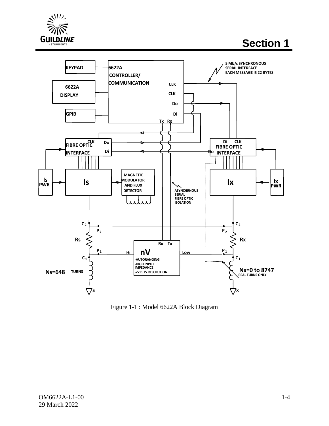

**Section 1**



<span id="page-13-0"></span>Figure 1-1 : Model 6622A Block Diagram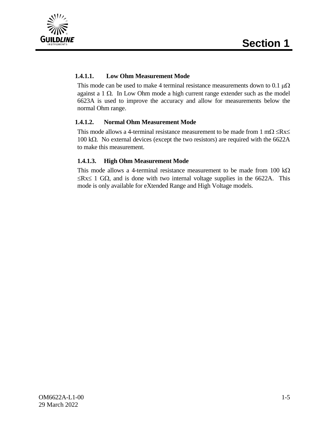



#### **1.4.1.1. Low Ohm Measurement Mode**

This mode can be used to make 4 terminal resistance measurements down to 0.1  $\mu\Omega$ against a 1 Ω. In Low Ohm mode a high current range extender such as the model 6623A is used to improve the accuracy and allow for measurements below the normal Ohm range.

#### **1.4.1.2. Normal Ohm Measurement Mode**

This mode allows a 4-terminal resistance measurement to be made from 1 m $\Omega \leq Rx \leq$ 100 kΩ. No external devices (except the two resistors) are required with the 6622A to make this measurement.

#### **1.4.1.3. High Ohm Measurement Mode**

This mode allows a 4-terminal resistance measurement to be made from 100 k $\Omega$  $≤$ Rx≤ 1 GΩ, and is done with two internal voltage supplies in the 6622A. This mode is only available for eXtended Range and High Voltage models.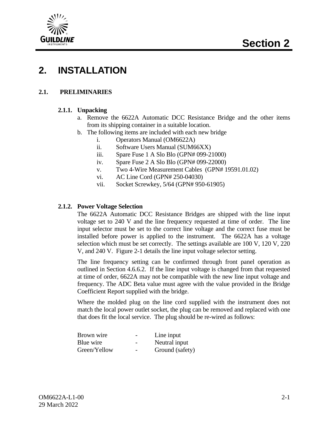



### **2. INSTALLATION**

#### **2.1. PRELIMINARIES**

#### **2.1.1. Unpacking**

- a. Remove the 6622A Automatic DCC Resistance Bridge and the other items from its shipping container in a suitable location.
- b. The following items are included with each new bridge
	- i. Operators Manual (OM6622A)
	- ii. Software Users Manual (SUM66XX)
	- iii. Spare Fuse 1 A Slo Blo (GPN# 099-21000)
	- iv. Spare Fuse 2 A Slo Blo (GPN# 099-22000)
	- v. Two 4-Wire Measurement Cables (GPN# 19591.01.02)
	- vi. AC Line Cord (GPN# 250-04030)
	- vii. Socket Screwkey, 5/64 (GPN# 950-61905)

#### **2.1.2. Power Voltage Selection**

The 6622A Automatic DCC Resistance Bridges are shipped with the line input voltage set to 240 V and the line frequency requested at time of order. The line input selector must be set to the correct line voltage and the correct fuse must be installed before power is applied to the instrument. The 6622A has a voltage selection which must be set correctly. The settings available are 100 V, 120 V, 220 V, and 240 V. Figure 2-1 details the line input voltage selector setting.

The line frequency setting can be confirmed through front panel operation as outlined in Section 4.6.6.2. If the line input voltage is changed from that requested at time of order, 6622A may not be compatible with the new line input voltage and frequency. The ADC Beta value must agree with the value provided in the Bridge Coefficient Report supplied with the bridge.

Where the molded plug on the line cord supplied with the instrument does not match the local power outlet socket, the plug can be removed and replaced with one that does fit the local service. The plug should be re-wired as follows:

| Brown wire   | $\overline{\phantom{0}}$ | Line input      |
|--------------|--------------------------|-----------------|
| Blue wire    |                          | Neutral input   |
| Green/Yellow |                          | Ground (safety) |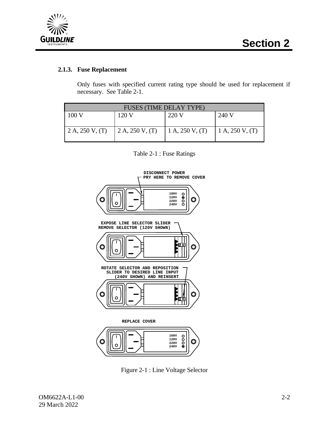

#### **2.1.3. Fuse Replacement**

Only fuses with specified current rating type should be used for replacement if necessary. See Table 2-1.

| <b>FUSES (TIME DELAY TYPE)</b> |                 |                    |                 |  |  |  |
|--------------------------------|-----------------|--------------------|-----------------|--|--|--|
| 100V                           | 120 V           | 220 V              | 240 V           |  |  |  |
|                                |                 |                    |                 |  |  |  |
| 2 A, 250 V, (T)                | 2 A, 250 V, (T) | 1 A, $250 V$ , (T) | 1 A, 250 V, (T) |  |  |  |
|                                |                 |                    |                 |  |  |  |

#### Table 2-1 : Fuse Ratings



<span id="page-16-0"></span>Figure 2-1 : Line Voltage Selector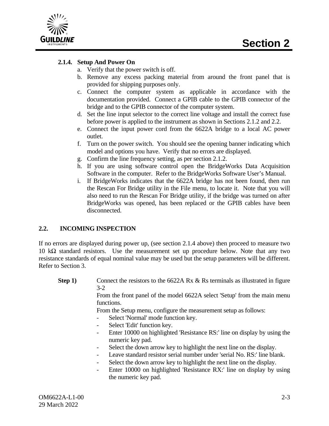

#### **2.1.4. Setup And Power On**

- a. Verify that the power switch is off.
- b. Remove any excess packing material from around the front panel that is provided for shipping purposes only.
- c. Connect the computer system as applicable in accordance with the documentation provided. Connect a GPIB cable to the GPIB connector of the bridge and to the GPIB connector of the computer system.
- d. Set the line input selector to the correct line voltage and install the correct fuse before power is applied to the instrument as shown in Sections 2.1.2 and 2.2.
- e. Connect the input power cord from the 6622A bridge to a local AC power outlet.
- f. Turn on the power switch. You should see the opening banner indicating which model and options you have. Verify that no errors are displayed.
- g. Confirm the line frequency setting, as per section 2.1.2.
- h. If you are using software control open the BridgeWorks Data Acquisition Software in the computer. Refer to the BridgeWorks Software User's Manual.
- i. If BridgeWorks indicates that the 6622A bridge has not been found, then run the Rescan For Bridge utility in the File menu, to locate it. Note that you will also need to run the Rescan For Bridge utility, if the bridge was turned on after BridgeWorks was opened, has been replaced or the GPIB cables have been disconnected.

#### **2.2. INCOMING INSPECTION**

If no errors are displayed during power up, (see section 2.1.4 above) then proceed to measure two 10 kΩ standard resistors. Use the measurement set up procedure below. Note that any two resistance standards of equal nominal value may be used but the setup parameters will be different. Refer to Section 3.

**Step 1)** Connect the resistors to the 6622A Rx & Rs terminals as illustrated in figure 3-2

From the front panel of the model 6622A select 'Setup' from the main menu functions.

From the Setup menu, configure the measurement setup as follows:

- Select 'Normal' mode function key.
- Select 'Edit' function key.
- Enter 10000 on highlighted 'Resistance RS:' line on display by using the numeric key pad.
- Select the down arrow key to highlight the next line on the display.
- Leave standard resistor serial number under 'serial No. RS:' line blank.
- Select the down arrow key to highlight the next line on the display.
- Enter 10000 on highlighted 'Resistance RX:' line on display by using the numeric key pad.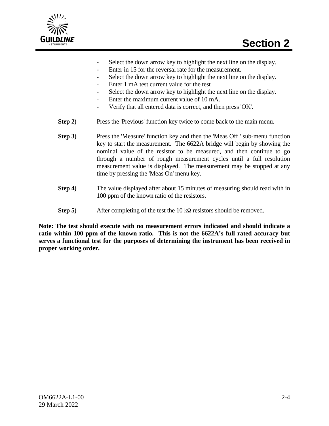

- Select the down arrow key to highlight the next line on the display.
- Enter in 15 for the reversal rate for the measurement.
- Select the down arrow key to highlight the next line on the display.
- Enter 1 mA test current value for the test
- Select the down arrow key to highlight the next line on the display.
- Enter the maximum current value of 10 mA.
- Verify that all entered data is correct, and then press 'OK'.
- **Step 2)** Press the 'Previous' function key twice to come back to the main menu.
- **Step 3)** Press the 'Measure' function key and then the 'Meas Off ' sub-menu function key to start the measurement. The 6622A bridge will begin by showing the nominal value of the resistor to be measured, and then continue to go through a number of rough measurement cycles until a full resolution measurement value is displayed. The measurement may be stopped at any time by pressing the 'Meas On' menu key.
- **Step 4)** The value displayed after about 15 minutes of measuring should read with in 100 ppm of the known ratio of the resistors.
- **Step 5)** After completing of the test the 10 k**Ω** resistors should be removed.

**Note: The test should execute with no measurement errors indicated and should indicate a ratio within 100 ppm of the known ratio. This is not the 6622A's full rated accuracy but serves a functional test for the purposes of determining the instrument has been received in proper working order.**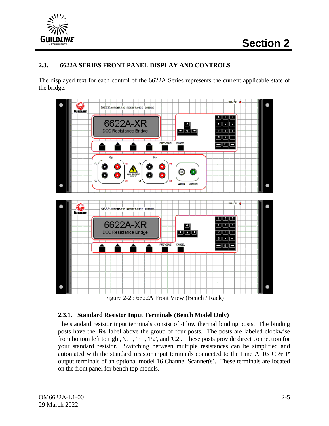

#### **2.3. 6622A SERIES FRONT PANEL DISPLAY AND CONTROLS**

The displayed text for each control of the 6622A Series represents the current applicable state of the bridge.



Figure 2-2 : 6622A Front View (Bench / Rack)

#### <span id="page-19-0"></span>**2.3.1. Standard Resistor Input Terminals (Bench Model Only)**

The standard resistor input terminals consist of 4 low thermal binding posts. The binding posts have the '**Rs**' label above the group of four posts. The posts are labeled clockwise from bottom left to right, 'C1', 'P1', 'P2', and 'C2'. These posts provide direct connection for your standard resistor. Switching between multiple resistances can be simplified and automated with the standard resistor input terminals connected to the Line A 'Rs C & P' output terminals of an optional model 16 Channel Scanner(s). These terminals are located on the front panel for bench top models.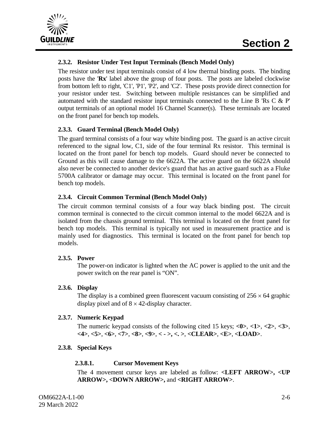

#### **2.3.2. Resistor Under Test Input Terminals (Bench Model Only)**

The resistor under test input terminals consist of 4 low thermal binding posts. The binding posts have the '**Rx**' label above the group of four posts. The posts are labeled clockwise from bottom left to right, 'C1', 'P1', 'P2', and 'C2'. These posts provide direct connection for your resistor under test. Switching between multiple resistances can be simplified and automated with the standard resistor input terminals connected to the Line B 'Rs C  $\&$  P' output terminals of an optional model 16 Channel Scanner(s). These terminals are located on the front panel for bench top models.

#### **2.3.3. Guard Terminal (Bench Model Only)**

The guard terminal consists of a four way white binding post. The guard is an active circuit referenced to the signal low, C1, side of the four terminal Rx resistor. This terminal is located on the front panel for bench top models. Guard should never be connected to Ground as this will cause damage to the 6622A. The active guard on the 6622A should also never be connected to another device's guard that has an active guard such as a Fluke 5700A calibrator or damage may occur. This terminal is located on the front panel for bench top models.

#### **2.3.4. Circuit Common Terminal (Bench Model Only)**

The circuit common terminal consists of a four way black binding post. The circuit common terminal is connected to the circuit common internal to the model 6622A and is isolated from the chassis ground terminal. This terminal is located on the front panel for bench top models. This terminal is typically not used in measurement practice and is mainly used for diagnostics. This terminal is located on the front panel for bench top models.

#### **2.3.5. Power**

The power-on indicator is lighted when the AC power is applied to the unit and the power switch on the rear panel is "ON".

#### **2.3.6. Display**

The display is a combined green fluorescent vacuum consisting of  $256 \times 64$  graphic display pixel and of  $8 \times 42$ -display character.

#### **2.3.7. Numeric Keypad**

The numeric keypad consists of the following cited 15 keys; **<0>**, **<1>**, **<2>**, **<3>**, **<4>**, **<5>**, **<6>**, **<7>**, **<8>**, **<9>**, **< - >, <. >**, **<CLEAR>**, **<E>**, **<LOAD>**.

#### **2.3.8. Special Keys**

#### **2.3.8.1. Cursor Movement Keys**

The 4 movement cursor keys are labeled as follow: **<LEFT ARROW>, <UP ARROW>, <DOWN ARROW>,** and **<RIGHT ARROW>**.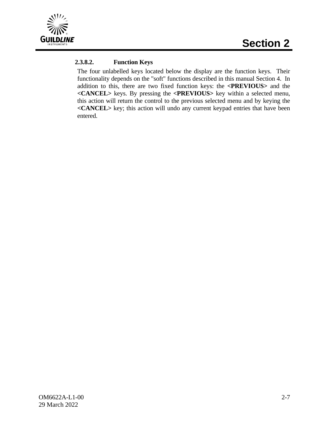

#### **2.3.8.2. Function Keys**

The four unlabelled keys located below the display are the function keys. Their functionality depends on the "soft" functions described in this manual Section 4. In addition to this, there are two fixed function keys: the **<PREVIOUS>** and the **<CANCEL>** keys. By pressing the **<PREVIOUS>** key within a selected menu, this action will return the control to the previous selected menu and by keying the **<CANCEL>** key; this action will undo any current keypad entries that have been entered.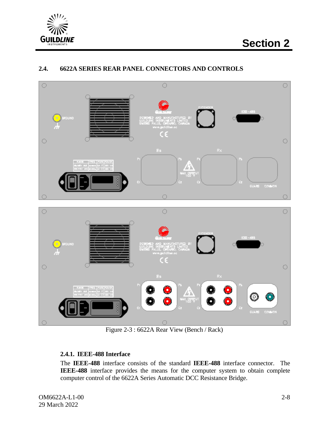



#### **2.4. 6622A SERIES REAR PANEL CONNECTORS AND CONTROLS**

Figure 2-3 : 6622A Rear View (Bench / Rack)

#### <span id="page-22-0"></span>**2.4.1. IEEE-488 Interface**

The **IEEE-488** interface consists of the standard **IEEE-488** interface connector. The **IEEE-488** interface provides the means for the computer system to obtain complete computer control of the 6622A Series Automatic DCC Resistance Bridge.

OM6622A-L1-00 29 March 2022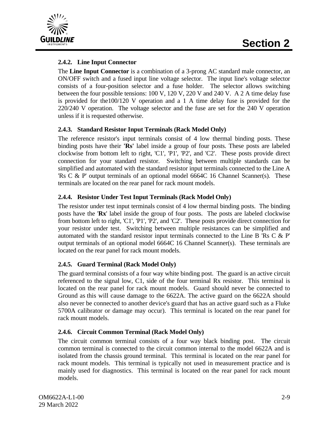

#### **2.4.2. Line Input Connector**

The **Line Input Connector** is a combination of a 3-prong AC standard male connector, an ON/OFF switch and a fused input line voltage selector. The input line's voltage selector consists of a four-position selector and a fuse holder. The selector allows switching between the four possible tensions: 100 V, 120 V, 220 V and 240 V. A 2 A time delay fuse is provided for the100/120 V operation and a 1 A time delay fuse is provided for the 220/240 V operation. The voltage selector and the fuse are set for the 240 V operation unless if it is requested otherwise.

#### **2.4.3. Standard Resistor Input Terminals (Rack Model Only)**

The reference resistor's input terminals consist of 4 low thermal binding posts. These binding posts have their **'Rs'** label inside a group of four posts. These posts are labeled clockwise from bottom left to right, 'C1', 'P1', 'P2', and 'C2'. These posts provide direct connection for your standard resistor. Switching between multiple standards can be simplified and automated with the standard resistor input terminals connected to the Line A 'Rs C & P' output terminals of an optional model 6664C 16 Channel Scanner(s). These terminals are located on the rear panel for rack mount models.

#### **2.4.4. Resistor Under Test Input Terminals (Rack Model Only)**

The resistor under test input terminals consist of 4 low thermal binding posts. The binding posts have the '**Rx**' label inside the group of four posts. The posts are labeled clockwise from bottom left to right, 'C1', 'P1', 'P2', and 'C2'. These posts provide direct connection for your resistor under test. Switching between multiple resistances can be simplified and automated with the standard resistor input terminals connected to the Line B 'Rs C & P' output terminals of an optional model 6664C 16 Channel Scanner(s). These terminals are located on the rear panel for rack mount models.

#### **2.4.5. Guard Terminal (Rack Model Only)**

The guard terminal consists of a four way white binding post. The guard is an active circuit referenced to the signal low, C1, side of the four terminal Rx resistor. This terminal is located on the rear panel for rack mount models. Guard should never be connected to Ground as this will cause damage to the 6622A. The active guard on the 6622A should also never be connected to another device's guard that has an active guard such as a Fluke 5700A calibrator or damage may occur). This terminal is located on the rear panel for rack mount models.

#### **2.4.6. Circuit Common Terminal (Rack Model Only)**

The circuit common terminal consists of a four way black binding post. The circuit common terminal is connected to the circuit common internal to the model 6622A and is isolated from the chassis ground terminal. This terminal is located on the rear panel for rack mount models. This terminal is typically not used in measurement practice and is mainly used for diagnostics. This terminal is located on the rear panel for rack mount models.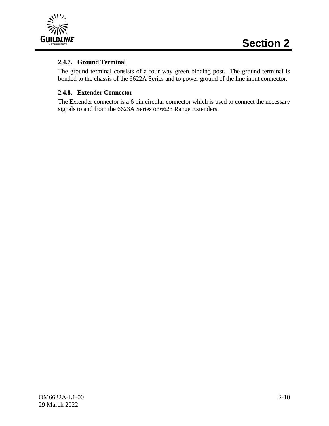

#### **2.4.7. Ground Terminal**

The ground terminal consists of a four way green binding post. The ground terminal is bonded to the chassis of the 6622A Series and to power ground of the line input connector.

#### **2.4.8. Extender Connector**

The Extender connector is a 6 pin circular connector which is used to connect the necessary signals to and from the 6623A Series or 6623 Range Extenders.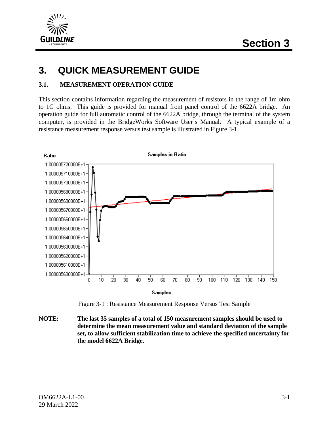

### **3. QUICK MEASUREMENT GUIDE**

#### **3.1. MEASUREMENT OPERATION GUIDE**

This section contains information regarding the measurement of resistors in the range of 1m ohm to 1G ohms. This guide is provided for manual front panel control of the 6622A bridge. An operation guide for full automatic control of the 6622A bridge, through the terminal of the system computer, is provided in the BridgeWorks Software User's Manual. A typical example of a resistance measurement response versus test sample is illustrated in Figure 3-1.



Figure 3-1 : Resistance Measurement Response Versus Test Sample

<span id="page-25-0"></span>**NOTE: The last 35 samples of a total of 150 measurement samples should be used to determine the mean measurement value and standard deviation of the sample set, to allow sufficient stabilization time to achieve the specified uncertainty for the model 6622A Bridge.**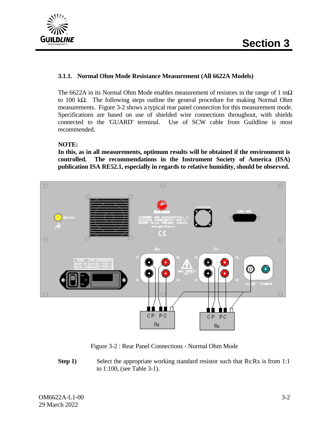

#### **3.1.1. Normal Ohm Mode Resistance Measurement (All 6622A Models)**

The 6622A in its Normal Ohm Mode enables measurement of resistors in the range of 1 m $\Omega$ to 100 kΩ. The following steps outline the general procedure for making Normal Ohm measurements. Figure 3-2 shows a typical rear panel connection for this measurement mode. Specifications are based on use of shielded wire connections throughout, with shields connected to the 'GUARD' terminal. Use of SCW cable from Guildline is most recommended.

#### **NOTE:**

**In this, as in all measurements, optimum results will be obtained if the environment is controlled. The recommendations in the Instrument Society of America (ISA) publication ISA RE52.1, especially in regards to relative humidity, should be observed.**



Figure 3-2 : Rear Panel Connections - Normal Ohm Mode

<span id="page-26-0"></span>**Step 1)** Select the appropriate working standard resistor such that Rs:Rx is from 1:1 to 1:100, (see Table 3-1).

OM6622A-L1-00 29 March 2022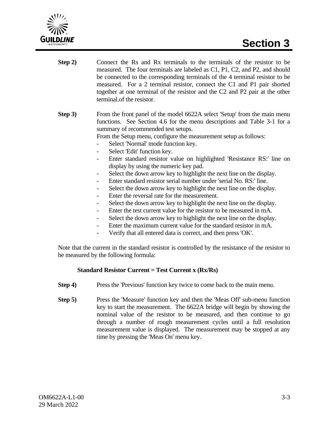

- **Step 2)** Connect the Rs and Rx terminals to the terminals of the resistor to be measured. The four terminals are labeled as C1, P1, C2, and P2, and should be connected to the corresponding terminals of the 4 terminal resistor to be measured. For a 2 terminal resistor, connect the C1 and P1 pair shorted together at one terminal of the resistor and the C2 and P2 pair at the other terminal.of the resistor.
- **Step 3)** From the front panel of the model 6622A select 'Setup' from the main menu functions. See Section 4.6 for the menu descriptions and Table 3-1 for a summary of recommended test setups.

From the Setup menu, configure the measurement setup as follows:

- Select 'Normal' mode function key.
- Select 'Edit' function key.
- Enter standard resistor value on highlighted 'Resistance RS:' line on display by using the numeric key pad.
- Select the down arrow key to highlight the next line on the display.
- Enter standard resistor serial number under 'serial No. RS:' line.
- Select the down arrow key to highlight the next line on the display.
- Enter the reversal rate for the measurement.
- Select the down arrow key to highlight the next line on the display.
- Enter the test current value for the resistor to be measured in mA.
- Select the down arrow key to highlight the next line on the display.
- Enter the maximum current value for the standard resistor in mA.
- Verify that all entered data is correct, and then press 'OK'.

Note that the current in the standard resistor is controlled by the resistance of the resistor to be measured by the following formula:

#### **Standard Resistor Current = Test Current x (Rx/Rs)**

- **Step 4)** Press the 'Previous' function key twice to come back to the main menu.
- **Step 5)** Press the 'Measure' function key and then the 'Meas Off' sub-menu function key to start the measurement. The 6622A bridge will begin by showing the nominal value of the resistor to be measured, and then continue to go through a number of rough measurement cycles until a full resolution measurement value is displayed. The measurement may be stopped at any time by pressing the 'Meas On' menu key.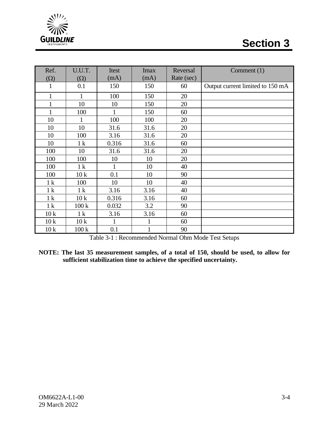



| Ref.           | U.U.T.          | Itest | <b>Imax</b> | Reversal   | Comment $(1)$                    |
|----------------|-----------------|-------|-------------|------------|----------------------------------|
| $(\Omega)$     | $(\Omega)$      | (mA)  | (mA)        | Rate (sec) |                                  |
| 1              | 0.1             | 150   | 150         | 60         | Output current limited to 150 mA |
| $\mathbf{1}$   | 1               | 100   | 150         | 20         |                                  |
| $\mathbf{1}$   | 10              | 10    | 150         | 20         |                                  |
| $\mathbf{1}$   | 100             | 1     | 150         | 60         |                                  |
| 10             | 1               | 100   | 100         | 20         |                                  |
| 10             | 10              | 31.6  | 31.6        | 20         |                                  |
| 10             | 100             | 3.16  | 31.6        | 20         |                                  |
| 10             | 1 <sup>k</sup>  | 0.316 | 31.6        | 60         |                                  |
| 100            | 10              | 31.6  | 31.6        | 20         |                                  |
| 100            | 100             | 10    | 10          | 20         |                                  |
| 100            | 1 <sup>k</sup>  |       | 10          | 40         |                                  |
| 100            | 10 <sub>k</sub> | 0.1   | 10          | 90         |                                  |
| 1 <sup>k</sup> | 100             | 10    | 10          | 40         |                                  |
| 1 <sup>k</sup> | 1 <sup>k</sup>  | 3.16  | 3.16        | 40         |                                  |
| 1 <sup>k</sup> | 10k             | 0.316 | 3.16        | 60         |                                  |
| 1 <sup>k</sup> | 100k            | 0.032 | 3.2         | 90         |                                  |
| 10k            | 1 <sup>k</sup>  | 3.16  | 3.16        | 60         |                                  |
| 10k            | 10k             | 1     | 1           | 60         |                                  |
| 10k            | 100k            | 0.1   | 1           | 90         |                                  |

Table 3-1 : Recommended Normal Ohm Mode Test Setups

**NOTE: The last 35 measurement samples, of a total of 150, should be used, to allow for sufficient stabilization time to achieve the specified uncertainty.**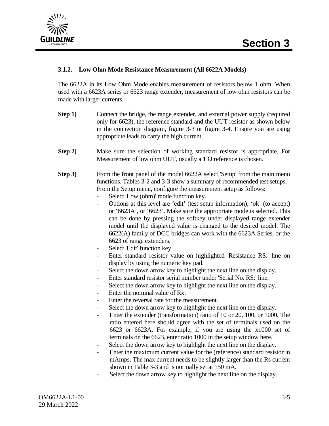

#### **3.1.2. Low Ohm Mode Resistance Measurement (All 6622A Models)**

The 6622A in its Low Ohm Mode enables measurement of resistors below 1 ohm. When used with a 6623A series or 6623 range extender, measurement of low ohm resistors can be made with larger currents.

- **Step 1)** Connect the bridge, the range extender, and external power supply (required only for 6623), the reference standard and the UUT resistor as shown below in the connection diagram, figure 3-3 or figure 3-4. Ensure you are using appropriate leads to carry the high current.
- **Step 2)** Make sure the selection of working standard resistor is appropriate. For Measurement of low ohm UUT, usually a 1  $\Omega$  reference is chosen.
- **Step 3)** From the front panel of the model 6622A select 'Setup' from the main menu functions. Tables 3-2 and 3-3 show a summary of recommended test setups. From the Setup menu, configure the measurement setup as follows:
	- Select 'Low (ohm)' mode function key.
	- Options at this level are 'edit' (test setup information), 'ok' (to accept) or '6623A', or '6623'. Make sure the appropriate mode is selected. This can be done by pressing the softkey under displayed range extender model until the displayed value is changed to the desired model. The 6622(A) family of DCC bridges can work with the 6623A Series, or the 6623 of range extenders.
	- Select 'Edit' function key.
	- Enter standard resistor value on highlighted 'Resistance RS:' line on display by using the numeric key pad.
	- Select the down arrow key to highlight the next line on the display.
	- Enter standard resistor serial number under 'Serial No. RS:' line.
	- Select the down arrow key to highlight the next line on the display.
	- Enter the nominal value of Rx.
	- Enter the reversal rate for the measurement.
	- Select the down arrow key to highlight the next line on the display.
	- Enter the extender (transformation) ratio of 10 or 20, 100, or 1000. The ratio entered here should agree with the set of terminals used on the 6623 or 6623A. For example, if you are using the x1000 set of terminals on the 6623, enter ratio 1000 in the setup window here.
	- Select the down arrow key to highlight the next line on the display.
	- Enter the maximum current value for the (reference) standard resistor in mAmps. The max current needs to be slightly larger than the Rs current shown in Table 3-3 and is normally set at 150 mA.
	- Select the down arrow key to highlight the next line on the display.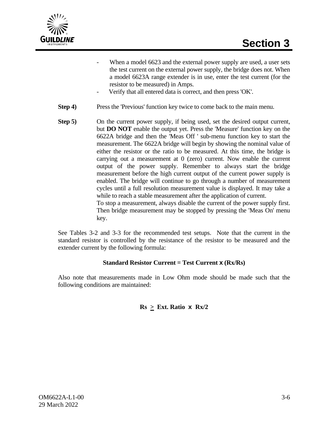

- When a model 6623 and the external power supply are used, a user sets the test current on the external power supply, the bridge does not. When a model 6623A range extender is in use, enter the test current (for the resistor to be measured) in Amps.
- Verify that all entered data is correct, and then press 'OK'.
- **Step 4)** Press the 'Previous' function key twice to come back to the main menu.
- **Step 5)** On the current power supply, if being used, set the desired output current, but **DO NOT** enable the output yet. Press the 'Measure' function key on the 6622A bridge and then the 'Meas Off ' sub-menu function key to start the measurement. The 6622A bridge will begin by showing the nominal value of either the resistor or the ratio to be measured. At this time, the bridge is carrying out a measurement at 0 (zero) current. Now enable the current output of the power supply. Remember to always start the bridge measurement before the high current output of the current power supply is enabled. The bridge will continue to go through a number of measurement cycles until a full resolution measurement value is displayed. It may take a while to reach a stable measurement after the application of current. To stop a measurement, always disable the current of the power supply first.

Then bridge measurement may be stopped by pressing the 'Meas On' menu key.

See Tables 3-2 and 3-3 for the recommended test setups. Note that the current in the standard resistor is controlled by the resistance of the resistor to be measured and the extender current by the following formula:

#### **Standard Resistor Current = Test Current x (Rx/Rs)**

Also note that measurements made in Low Ohm mode should be made such that the following conditions are maintained:

 $\text{Rs } \geq \text{Ext.}$  Ratio  $\text{X}$   $\text{Rx}/2$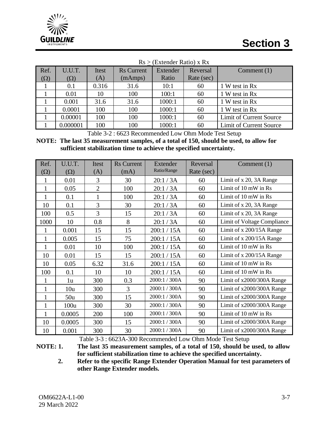

|            | $Rs > (Extended Ratio) \times Rx$ |       |                   |          |            |                         |  |  |  |
|------------|-----------------------------------|-------|-------------------|----------|------------|-------------------------|--|--|--|
| Ref.       | U.U.T.                            | Itest | <b>Rs</b> Current | Extender | Reversal   | Comment $(1)$           |  |  |  |
| $(\Omega)$ | $(\Omega)$                        | (A)   | (mAmps)           | Ratio    | Rate (sec) |                         |  |  |  |
|            | 0.1                               | 0.316 | 31.6              | 10:1     | 60         | 1 W test in Rx          |  |  |  |
|            | 0.01                              | 10    | 100               | 100:1    | 60         | 1 W test in Rx          |  |  |  |
|            | 0.001                             | 31.6  | 31.6              | 1000:1   | 60         | 1 W test in Rx          |  |  |  |
|            | 0.0001                            | 100   | 100               | 1000:1   | 60         | 1 W test in Rx          |  |  |  |
|            | 0.00001                           | 100   | 100               | 1000:1   | 60         | Limit of Current Source |  |  |  |
|            | 0.000001                          | 100   | 100               | 1000:1   | 60         | Limit of Current Source |  |  |  |

Table 3-2 : 6623 Recommended Low Ohm Mode Test Setup

**NOTE: The last 35 measurement samples, of a total of 150, should be used, to allow for sufficient stabilization time to achieve the specified uncertainty.**

| Ref.         | U.U.T.     | Itest          | <b>Rs</b> Current | Extender      | Reversal   | Comment $(1)$               |
|--------------|------------|----------------|-------------------|---------------|------------|-----------------------------|
| $(\Omega)$   | $(\Omega)$ | (A)            | (mA)              | Ratio/Range   | Rate (sec) |                             |
| 1            | 0.01       | 3              | 30                | 20:1/3A       | 60         | Limit of x 20, 3A Range     |
| $\mathbf{1}$ | 0.05       | $\overline{2}$ | 100               | 20:1/3A       | 60         | Limit of 10 mW in Rs        |
| $\mathbf{1}$ | 0.1        | $\mathbf 1$    | 100               | 20:1/3A       | 60         | Limit of 10 mW in Rs        |
| 10           | 0.1        | 3              | 30                | 20:1/3A       | 60         | Limit of x 20, 3A Range     |
| 100          | 0.5        | 3              | 15                | 20:1/3A       | 60         | Limit of x 20, 3A Range     |
| 1000         | 10         | 0.8            | 8                 | 20:1/3A       | 60         | Limit of Voltage Compliance |
| 1            | 0.001      | 15             | 15                | 200:1 / 15A   | 60         | Limit of x 200/15A Range    |
| $\mathbf{1}$ | 0.005      | 15             | 75                | 200:1 / 15A   | 60         | Limit of x 200/15A Range    |
| $\mathbf{1}$ | 0.01       | 10             | 100               | 200:1 / 15A   | 60         | Limit of 10 mW in Rs        |
| 10           | 0.01       | 15             | 15                | 200:1 / 15A   | 60         | Limit of x 200/15A Range    |
| 10           | 0.05       | 6.32           | 31.6              | 200:1 / 15A   | 60         | Limit of 10 mW in Rs        |
| 100          | 0.1        | 10             | 10                | 200:1 / 15A   | 60         | Limit of 10 mW in Rs        |
| 1            | 1u         | 300            | 0.3               | 2000:1 / 300A | 90         | Limit of x2000/300A Range   |
| $\mathbf{1}$ | 10u        | 300            | 3                 | 2000:1 / 300A | 90         | Limit of x2000/300A Range   |
| $\mathbf{1}$ | 50u        | 300            | 15                | 2000:1 / 300A | 90         | Limit of x2000/300A Range   |
| $\mathbf{1}$ | 100u       | 300            | 30                | 2000:1 / 300A | 90         | Limit of x2000/300A Range   |
| 1            | 0.0005     | 200            | 100               | 2000:1 / 300A | 90         | Limit of 10 mW in Rs        |
| 10           | 0.0005     | 300            | 15                | 2000:1 / 300A | 90         | Limit of x2000/300A Range   |
| 10           | 0.001      | 300            | 30                | 2000:1 / 300A | 90         | Limit of x2000/300A Range   |

Table 3-3 : 6623A-300 Recommended Low Ohm Mode Test Setup

**NOTE: 1. The last 35 measurement samples, of a total of 150, should be used, to allow for sufficient stabilization time to achieve the specified uncertainty.**

**2. Refer to the specific Range Extender Operation Manual for test parameters of other Range Extender models.**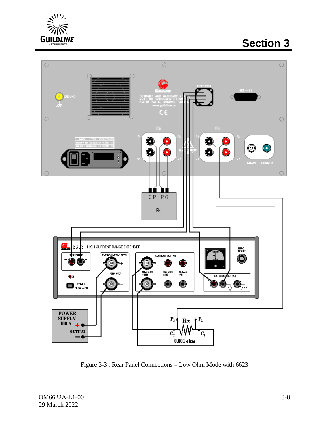

# **Section 3**



<span id="page-32-0"></span>Figure 3-3 : Rear Panel Connections – Low Ohm Mode with 6623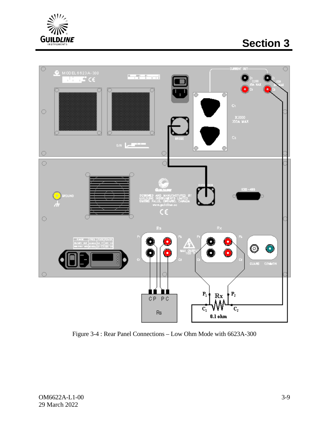

# **Section 3**



<span id="page-33-0"></span>Figure 3-4 : Rear Panel Connections – Low Ohm Mode with 6623A-300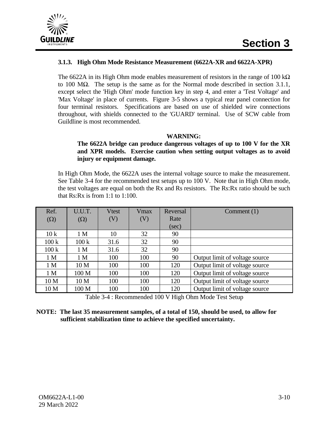

#### **3.1.3. High Ohm Mode Resistance Measurement (6622A-XR and 6622A-XPR)**

The 6622A in its High Ohm mode enables measurement of resistors in the range of 100 k $\Omega$ to 100 MΩ. The setup is the same as for the Normal mode described in section 3.1.1, except select the 'High Ohm' mode function key in step 4, and enter a 'Test Voltage' and 'Max Voltage' in place of currents. Figure 3-5 shows a typical rear panel connection for four terminal resistors. Specifications are based on use of shielded wire connections throughout, with shields connected to the 'GUARD' terminal. Use of SCW cable from Guildline is most recommended.

#### **WARNING:**

#### **The 6622A bridge can produce dangerous voltages of up to 100 V for the XR and XPR models. Exercise caution when setting output voltages as to avoid injury or equipment damage.**

In High Ohm Mode, the 6622A uses the internal voltage source to make the measurement. See Table 3-4 for the recommended test setups up to 100 V. Note that in High Ohm mode, the test voltages are equal on both the Rx and Rs resistors. The Rs:Rx ratio should be such that Rs:Rx is from 1:1 to 1:100.

| Ref.            | U.U.T.           | <b>Vtest</b> | Vmax | Reversal | Comment $(1)$                  |
|-----------------|------------------|--------------|------|----------|--------------------------------|
| $(\Omega)$      | $(\Omega)$       | (V)          | (V)  | Rate     |                                |
|                 |                  |              |      | $(\sec)$ |                                |
| 10k             | 1 <sub>M</sub>   | 10           | 32   | 90       |                                |
| 100k            | 100k             | 31.6         | 32   | 90       |                                |
| 100k            | 1 <sub>M</sub>   | 31.6         | 32   | 90       |                                |
| 1 <sub>M</sub>  | 1 <sub>M</sub>   | 100          | 100  | 90       | Output limit of voltage source |
| 1 <sub>M</sub>  | 10 <sub>M</sub>  | 100          | 100  | 120      | Output limit of voltage source |
| 1 <sub>M</sub>  | 100 <sub>M</sub> | 100          | 100  | 120      | Output limit of voltage source |
| 10 <sub>M</sub> | 10 <sub>M</sub>  | 100          | 100  | 120      | Output limit of voltage source |
| 10 <sub>M</sub> | 100 M            | 100          | 100  | 120      | Output limit of voltage source |

Table 3-4 : Recommended 100 V High Ohm Mode Test Setup

#### **NOTE: The last 35 measurement samples, of a total of 150, should be used, to allow for sufficient stabilization time to achieve the specified uncertainty.**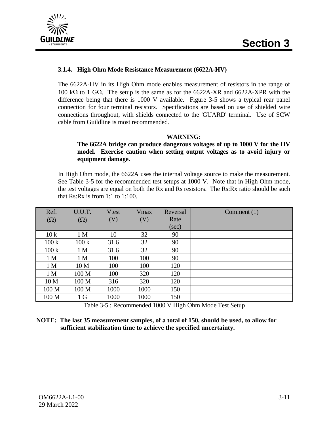

#### **3.1.4. High Ohm Mode Resistance Measurement (6622A-HV)**

The 6622A-HV in its High Ohm mode enables measurement of resistors in the range of 100 kΩ to 1 GΩ. The setup is the same as for the 6622A-XR and 6622A-XPR with the difference being that there is 1000 V available. Figure 3-5 shows a typical rear panel connection for four terminal resistors. Specifications are based on use of shielded wire connections throughout, with shields connected to the 'GUARD' terminal. Use of SCW cable from Guildline is most recommended.

#### **WARNING:**

#### **The 6622A bridge can produce dangerous voltages of up to 1000 V for the HV model. Exercise caution when setting output voltages as to avoid injury or equipment damage.**

In High Ohm mode, the 6622A uses the internal voltage source to make the measurement. See Table 3-5 for the recommended test setups at 1000 V. Note that in High Ohm mode, the test voltages are equal on both the Rx and Rs resistors. The Rs:Rx ratio should be such that  $Rs:Rx$  is from 1:1 to 1:100.

| Ref.             | U.U.T.           | <b>Vtest</b> | <b>V</b> max | Reversal | Comment $(1)$ |
|------------------|------------------|--------------|--------------|----------|---------------|
| $(\Omega)$       | $(\Omega)$       | (V)          | (V)          | Rate     |               |
|                  |                  |              |              | (sec)    |               |
| 10k              | 1 <sub>M</sub>   | 10           | 32           | 90       |               |
| 100k             | 100k             | 31.6         | 32           | 90       |               |
| 100k             | 1 <sub>M</sub>   | 31.6         | 32           | 90       |               |
| 1 <sub>M</sub>   | 1 <sub>M</sub>   | 100          | 100          | 90       |               |
| 1 <sub>M</sub>   | 10 <sub>M</sub>  | 100          | 100          | 120      |               |
| 1 <sub>M</sub>   | 100 M            | 100          | 320          | 120      |               |
| 10 M             | 100 <sub>M</sub> | 316          | 320          | 120      |               |
| 100 M            | 100 <sub>M</sub> | 1000         | 1000         | 150      |               |
| 100 <sub>M</sub> | 1 <sub>G</sub>   | 1000         | 1000         | 150      |               |

Table 3-5 : Recommended 1000 V High Ohm Mode Test Setup

#### **NOTE: The last 35 measurement samples, of a total of 150, should be used, to allow for sufficient stabilization time to achieve the specified uncertainty.**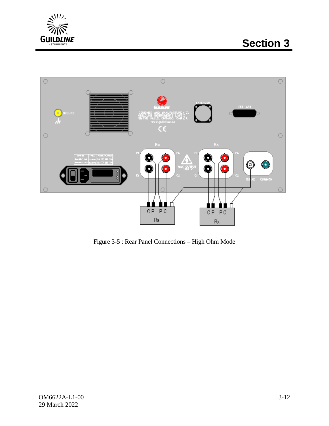



Figure 3-5 : Rear Panel Connections – High Ohm Mode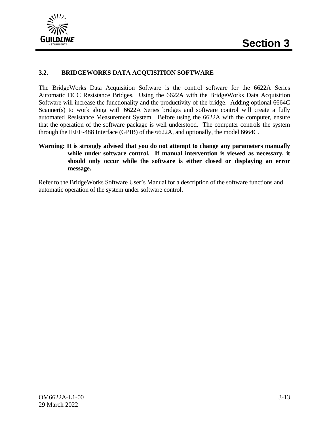

## **3.2. BRIDGEWORKS DATA ACQUISITION SOFTWARE**

The BridgeWorks Data Acquisition Software is the control software for the 6622A Series Automatic DCC Resistance Bridges. Using the 6622A with the BridgeWorks Data Acquisition Software will increase the functionality and the productivity of the bridge. Adding optional 6664C Scanner(s) to work along with 6622A Series bridges and software control will create a fully automated Resistance Measurement System. Before using the 6622A with the computer, ensure that the operation of the software package is well understood. The computer controls the system through the IEEE-488 Interface (GPIB) of the 6622A, and optionally, the model 6664C.

**Warning: It is strongly advised that you do not attempt to change any parameters manually while under software control. If manual intervention is viewed as necessary, it should only occur while the software is either closed or displaying an error message.**

Refer to the BridgeWorks Software User's Manual for a description of the software functions and automatic operation of the system under software control.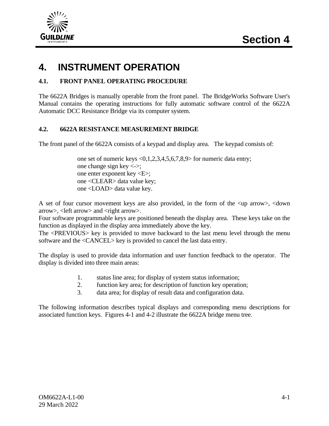

# **4. INSTRUMENT OPERATION**

## **4.1. FRONT PANEL OPERATING PROCEDURE**

The 6622A Bridges is manually operable from the front panel. The BridgeWorks Software User's Manual contains the operating instructions for fully automatic software control of the 6622A Automatic DCC Resistance Bridge via its computer system.

## **4.2. 6622A RESISTANCE MEASUREMENT BRIDGE**

The front panel of the 6622A consists of a keypad and display area. The keypad consists of:

one set of numeric keys <0,1,2,3,4,5,6,7,8,9> for numeric data entry; one change sign key  $\langle \rightarrow \rangle$ ; one enter exponent key <E>; one <CLEAR> data value key; one <LOAD> data value key.

A set of four cursor movement keys are also provided, in the form of the <up arrow>, <down arrow>, <left arrow> and <right arrow>.

Four software programmable keys are positioned beneath the display area. These keys take on the function as displayed in the display area immediately above the key.

The <PREVIOUS> key is provided to move backward to the last menu level through the menu software and the <CANCEL> key is provided to cancel the last data entry.

The display is used to provide data information and user function feedback to the operator. The display is divided into three main areas:

- 1. status line area; for display of system status information;
- 2. function key area; for description of function key operation;
- 3. data area; for display of result data and configuration data.

The following information describes typical displays and corresponding menu descriptions for associated function keys. Figures 4-1 and 4-2 illustrate the 6622A bridge menu tree.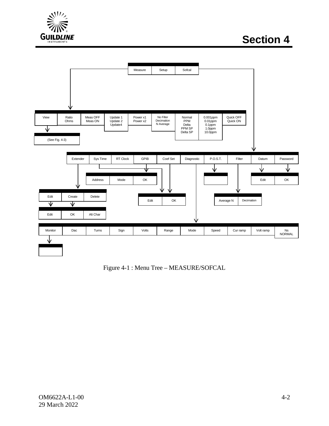



Figure 4-1 : Menu Tree – MEASURE/SOFCAL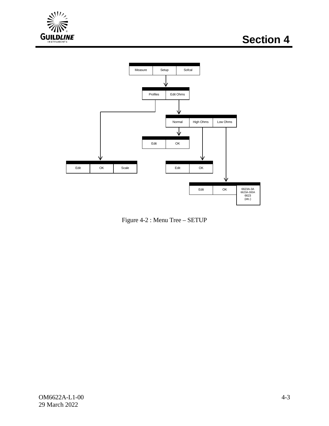



Figure 4-2 : Menu Tree – SETUP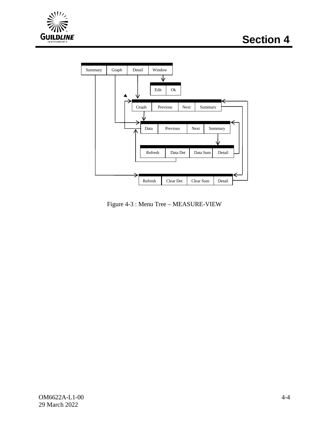



Figure 4-3 : Menu Tree – MEASURE-VIEW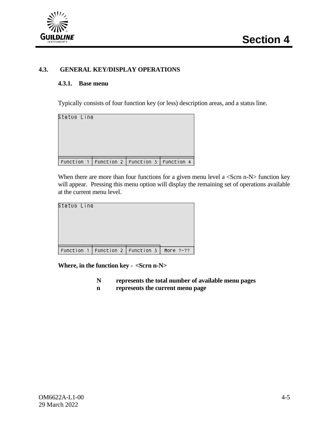

## **4.3. GENERAL KEY/DISPLAY OPERATIONS**

#### **4.3.1. Base menu**

Typically consists of four function key (or less) description areas, and a status line.

| Status Line                                                                     |  |  |
|---------------------------------------------------------------------------------|--|--|
|                                                                                 |  |  |
| $\lceil$ Function 1 $\lceil$ Function 2 $\lceil$ Function 3 $\lceil$ Function 4 |  |  |

When there are more than four functions for a given menu level a  $\leq$ Scrn n-N $>$  function key will appear. Pressing this menu option will display the remaining set of operations available at the current menu level.

| Status Line                          |  |           |
|--------------------------------------|--|-----------|
|                                      |  |           |
| Function 1   Function 2   Function 3 |  | More ?-?? |

**Where, in the function key - <Scrn n-N>**

- **N represents the total number of available menu pages**
- **n represents the current menu page**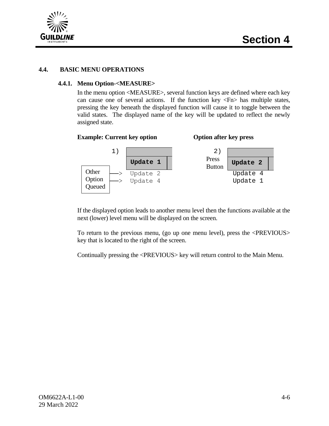



## **4.4. BASIC MENU OPERATIONS**

## **4.4.1. Menu Option-<MEASURE>**

In the menu option <MEASURE>, several function keys are defined where each key can cause one of several actions. If the function key  $\langle \text{Fn} \rangle$  has multiple states, pressing the key beneath the displayed function will cause it to toggle between the valid states. The displayed name of the key will be updated to reflect the newly assigned state.

#### **Example: Current key option Option after key press**



If the displayed option leads to another menu level then the functions available at the next (lower) level menu will be displayed on the screen.

To return to the previous menu, (go up one menu level), press the <PREVIOUS> key that is located to the right of the screen.

Continually pressing the <PREVIOUS> key will return control to the Main Menu.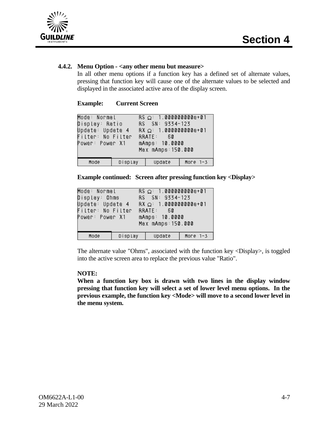

## **4.4.2. Menu Option - <any other menu but measure>**

In all other menu options if a function key has a defined set of alternate values, pressing that function key will cause one of the alternate values to be selected and displayed in the associated active area of the display screen.

#### **Example: Current Screen**

| Mode: Normal<br>Display: Ratio<br>Update: Update 4<br>Filter: No Filter<br>Power: Power X1 |                | $RS \Omega = 1.000000000000+01$<br>RS SN: 9334-123<br>$RX \Omega$ : 1.000000000e+01<br>RRATE: 60<br>mAmps: 10.0000<br>Max mAmps: 150.000 |          |
|--------------------------------------------------------------------------------------------|----------------|------------------------------------------------------------------------------------------------------------------------------------------|----------|
| Mode                                                                                       | Display Update |                                                                                                                                          | More 1-3 |

**Example continued: Screen after pressing function key <Display>**

| Mode: Normal<br>Display: Ohms – I<br>Update: Update 4<br>Filter: No Filter<br>Power: Power X1 |         | $RS \Omega = 1.0000000000e + 01$<br>RS SN: 9334-123<br>$RX \Omega$ : 1.0000000000e+01<br>RRATE: 60<br>mAmps: 10.0000<br>Max mAmps: 150.000 |            |
|-----------------------------------------------------------------------------------------------|---------|--------------------------------------------------------------------------------------------------------------------------------------------|------------|
| Mode                                                                                          | Display | Update                                                                                                                                     | More $1-3$ |

The alternate value "Ohms", associated with the function key <Display>, is toggled into the active screen area to replace the previous value "Ratio".

#### **NOTE:**

**When a function key box is drawn with two lines in the display window pressing that function key will select a set of lower level menu options. In the previous example, the function key <Mode> will move to a second lower level in the menu system.**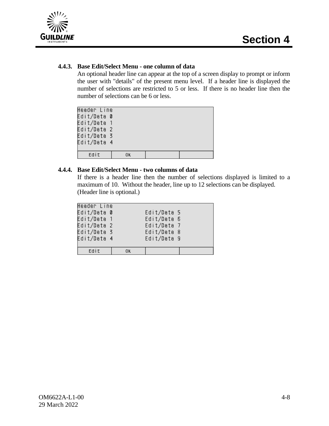

## **4.4.3. Base Edit/Select Menu - one column of data**

An optional header line can appear at the top of a screen display to prompt or inform the user with "details" of the present menu level. If a header line is displayed the number of selections are restricted to 5 or less. If there is no header line then the number of selections can be 6 or less.

| Header Line |    |  |
|-------------|----|--|
| Edit/Data 0 |    |  |
| Edit/Data 1 |    |  |
| Edit/Data 2 |    |  |
| Edit/Data 3 |    |  |
| Edit/Data 4 |    |  |
|             |    |  |
| Edit        | 0k |  |

## **4.4.4. Base Edit/Select Menu - two columns of data**

If there is a header line then the number of selections displayed is limited to a maximum of 10. Without the header, line up to 12 selections can be displayed. (Header line is optional.)

| Header Line |                                                                         |
|-------------|-------------------------------------------------------------------------|
| Edit/Data 0 |                                                                         |
| Edit/Data 1 |                                                                         |
| Edit/Data 2 |                                                                         |
| Edit/Data 3 |                                                                         |
| Edit/Data 4 |                                                                         |
|             |                                                                         |
| 0K.         |                                                                         |
|             | Edit/Data 5<br>Edit/Data 6<br>Edit/Data 7<br>Edit/Data 8<br>Edit/Data 9 |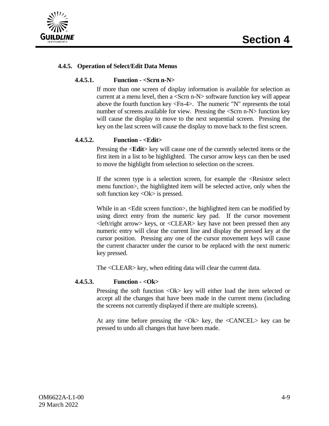

## **4.4.5. Operation of Select/Edit Data Menus**

#### **4.4.5.1. Function - <Scrn n-N>**

If more than one screen of display information is available for selection as current at a menu level, then a <Scrn n-N> software function key will appear above the fourth function key <Fn-4>. The numeric "N" represents the total number of screens available for view. Pressing the <Scrn n-N> function key will cause the display to move to the next sequential screen. Pressing the key on the last screen will cause the display to move back to the first screen.

## **4.4.5.2. Function - <Edit>**

Pressing the <**Edit**> key will cause one of the currently selected items or the first item in a list to be highlighted. The cursor arrow keys can then be used to move the highlight from selection to selection on the screen.

If the screen type is a selection screen, for example the <Resistor select menu function>, the highlighted item will be selected active, only when the soft function key <Ok> is pressed.

While in an  $\leq$ Edit screen function >, the highlighted item can be modified by using direct entry from the numeric key pad. If the cursor movement  $\leq$ left/right arrow> keys, or  $\leq$ CLEAR> key have not been pressed then any numeric entry will clear the current line and display the pressed key at the cursor position. Pressing any one of the cursor movement keys will cause the current character under the cursor to be replaced with the next numeric key pressed.

The <CLEAR> key, when editing data will clear the current data.

#### **4.4.5.3. Function - <Ok>**

Pressing the soft function <Ok> key will either load the item selected or accept all the changes that have been made in the current menu (including the screens not currently displayed if there are multiple screens).

At any time before pressing the  $\langle$ Ok $>$  key, the  $\langle$ CANCEL $>$  key can be pressed to undo all changes that have been made.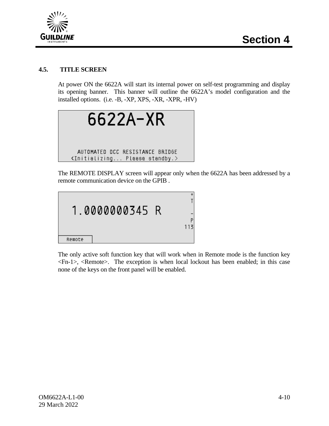

## **4.5. TITLE SCREEN**

At power ON the 6622A will start its internal power on self-test programming and display its opening banner. This banner will outline the 6622A's model configuration and the installed options. (i.e. -B, -XP, XPS, -XR, -XPR, -HV)



The REMOTE DISPLAY screen will appear only when the 6622A has been addressed by a remote communication device on the GPIB .



The only active soft function key that will work when in Remote mode is the function key <Fn-1>, <Remote>. The exception is when local lockout has been enabled; in this case none of the keys on the front panel will be enabled.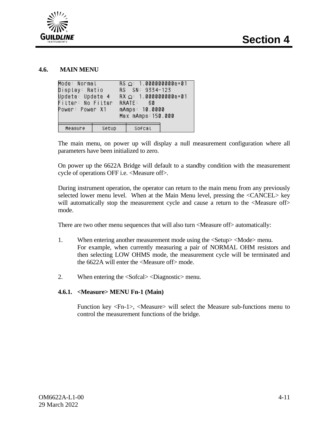

#### **4.6. MAIN MENU**

| Mode: Normal<br>Display: Ratio<br>Update: Update 4<br>Filter: No Filter RRATE: 60<br>Power: Power X1 |       | $RS \Omega: 1.0000000000e+01$<br>RS SN: 9334-123<br>$RX \Omega$ : 1.000000000e+01<br>mAmps: 10.0000<br>Max mAmps: 150.000 |  |
|------------------------------------------------------------------------------------------------------|-------|---------------------------------------------------------------------------------------------------------------------------|--|
| Measure                                                                                              | Setup | Sofcal                                                                                                                    |  |

The main menu, on power up will display a null measurement configuration where all parameters have been initialized to zero.

On power up the 6622A Bridge will default to a standby condition with the measurement cycle of operations OFF i.e. <Measure off>.

During instrument operation, the operator can return to the main menu from any previously selected lower menu level. When at the Main Menu level, pressing the <CANCEL> key will automatically stop the measurement cycle and cause a return to the  $\leq$ Measure of  $\geq$ mode.

There are two other menu sequences that will also turn <Measure off> automatically:

- 1. When entering another measurement mode using the <Setup> <Mode> menu. For example, when currently measuring a pair of NORMAL OHM resistors and then selecting LOW OHMS mode, the measurement cycle will be terminated and the 6622A will enter the <Measure off> mode.
- 2. When entering the <Sofcal> <Diagnostic> menu.

## **4.6.1. <Measure> MENU Fn-1 (Main)**

Function key <Fn-1>, <Measure> will select the Measure sub-functions menu to control the measurement functions of the bridge.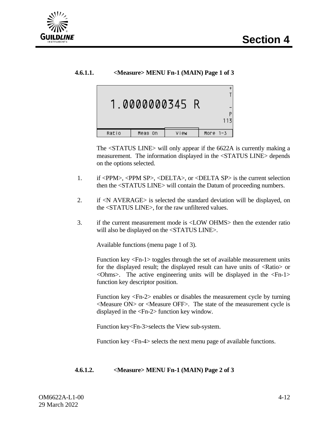

## **4.6.1.1. <Measure> MENU Fn-1 (MAIN) Page 1 of 3**



The <STATUS LINE> will only appear if the 6622A is currently making a measurement. The information displayed in the <STATUS LINE> depends on the options selected.

- 1. if <PPM>, <PPM SP>, <DELTA>, or <DELTA SP> is the current selection then the <STATUS LINE> will contain the Datum of proceeding numbers.
- 2. if <N AVERAGE> is selected the standard deviation will be displayed, on the <STATUS LINE>, for the raw unfiltered values.
- 3. if the current measurement mode is <LOW OHMS> then the extender ratio will also be displayed on the <STATUS LINE>.

Available functions (menu page 1 of 3).

Function key <Fn-1> toggles through the set of available measurement units for the displayed result; the displayed result can have units of <Ratio> or  $\langle$ Ohms>. The active engineering units will be displayed in the  $\langle$ Fn-1> function key descriptor position.

Function key <Fn-2> enables or disables the measurement cycle by turning  $\leq$ Measure ON $>$  or  $\leq$ Measure OFF $>$ . The state of the measurement cycle is displayed in the <Fn-2> function key window.

Function key<Fn-3>selects the View sub-system.

Function key <Fn-4> selects the next menu page of available functions.

#### **4.6.1.2. <Measure> MENU Fn-1 (MAIN) Page 2 of 3**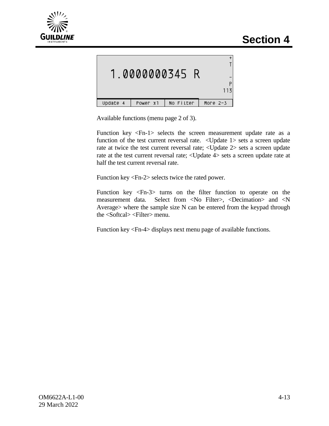

|          |          | 1.0000000345 R |          |
|----------|----------|----------------|----------|
| Update 4 | Power x1 | No Filter      | More 2-3 |

Available functions (menu page 2 of 3).

Function key <Fn-1> selects the screen measurement update rate as a function of the test current reversal rate. <Update 1> sets a screen update rate at twice the test current reversal rate; <Update 2> sets a screen update rate at the test current reversal rate; <Update 4> sets a screen update rate at half the test current reversal rate.

Function key <Fn-2> selects twice the rated power.

Function key <Fn-3> turns on the filter function to operate on the measurement data. Select from <No Filter>, <Decimation> and <N Average> where the sample size N can be entered from the keypad through the <Softcal> <Filter> menu.

Function key <Fn-4> displays next menu page of available functions.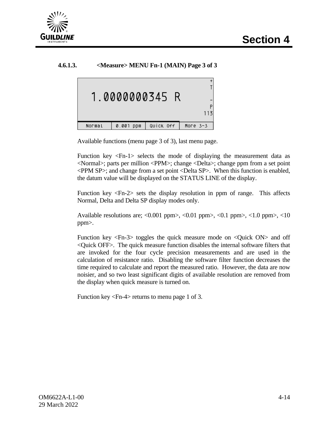

## **4.6.1.3. <Measure> MENU Fn-1 (MAIN) Page 3 of 3**



Available functions (menu page 3 of 3), last menu page.

Function key <Fn-1> selects the mode of displaying the measurement data as <Normal>; parts per million <PPM>; change <Delta>; change ppm from a set point <PPM SP>; and change from a set point <Delta SP>. When this function is enabled, the datum value will be displayed on the STATUS LINE of the display.

Function key <Fn-2> sets the display resolution in ppm of range. This affects Normal, Delta and Delta SP display modes only.

Available resolutions are;  $\langle 0.001 \text{ ppm} \rangle$ ,  $\langle 0.01 \text{ ppm} \rangle$ ,  $\langle 0.1 \text{ ppm} \rangle$ ,  $\langle 1.0 \text{ ppm} \rangle$ ,  $\langle 10 \text{ mm} \rangle$ ppm>.

Function key <Fn-3> toggles the quick measure mode on <Quick ON> and off <Quick OFF>. The quick measure function disables the internal software filters that are invoked for the four cycle precision measurements and are used in the calculation of resistance ratio. Disabling the software filter function decreases the time required to calculate and report the measured ratio. However, the data are now noisier, and so two least significant digits of available resolution are removed from the display when quick measure is turned on.

Function key <Fn-4> returns to menu page 1 of 3.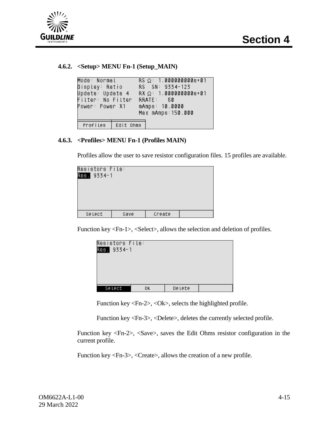

## **4.6.2. <Setup> MENU Fn-1 (Setup\_MAIN)**

```
Mode: Normal
                     RS \Omega = 1.0000000000e + 01Display: Ratio
                     RS SN: 9334-123
Update: Update 4
                     RX \Omega: 1.000000000e+01
Filter: No Filter
                     RRATE:
                               60
Power: Power X1
                     mAmps: 10.0000
                     Max mAmps: 150.000
 Profiles
             Edit Ohms
```
## **4.6.3. <Profiles> MENU Fn-1 (Profiles MAIN)**

Profiles allow the user to save resistor configuration files. 15 profiles are available.

| Resistors File: |      |        |  |
|-----------------|------|--------|--|
| Res. 9334-1     |      |        |  |
|                 |      |        |  |
|                 |      |        |  |
|                 |      |        |  |
|                 |      |        |  |
|                 |      |        |  |
| Select          | Save | Create |  |

Function key <Fn-1>, <Select>, allows the selection and deletion of profiles.

| Resistors File:<br>Res. 9334-1 |    |        |  |
|--------------------------------|----|--------|--|
| Select                         | ΟK | Delete |  |

Function key <Fn-2>, <Ok>, selects the highlighted profile.

Function key <Fn-3>, <Delete>, deletes the currently selected profile.

Function key <Fn-2>, <Save>, saves the Edit Ohms resistor configuration in the current profile.

Function key <Fn-3>, <Create>, allows the creation of a new profile.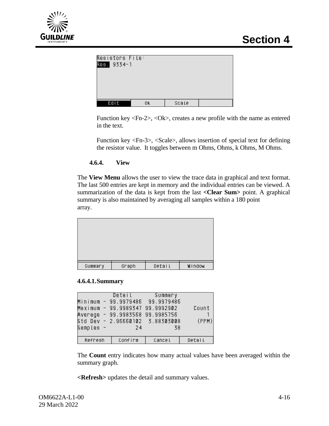

| Resistors File:<br>Res. 9334-1 |    |       |  |
|--------------------------------|----|-------|--|
|                                |    |       |  |
| Edit                           | ΟK | Scale |  |

Function key <Fn-2>, <Ok>, creates a new profile with the name as entered in the text.

Function key <Fn-3>, <Scale>, allows insertion of special text for defining the resistor value. It toggles between m Ohms, Ohms, k Ohms, M Ohms.

**4.6.4. View**

The **View Menu** allows the user to view the trace data in graphical and text format. The last 500 entries are kept in memory and the individual entries can be viewed. A summarization of the data is kept from the last **<Clear Sum>** point. A graphical summary is also maintained by averaging all samples within a 180 point array.



#### **4.6.4.1.Summary**

| Samples - | Detail<br>Minimum - 99.9979486 99.9979486<br>Maximum - 99.9989347 99.9992902<br>Average - 99.9983568 99.9985756<br>Std Dev - 2.96660102 3.88303008<br>24 | Summary<br>38 | Count<br>(PPM) |
|-----------|----------------------------------------------------------------------------------------------------------------------------------------------------------|---------------|----------------|
| Refresh   | Confirm                                                                                                                                                  | Cancel        | Detail         |

The **Count** entry indicates how many actual values have been averaged within the summary graph.

**<Refresh>** updates the detail and summary values.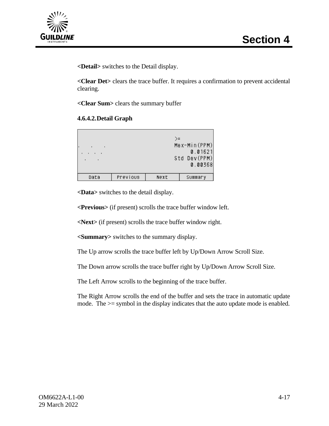

**<Detail>** switches to the Detail display.

**<Clear Det>** clears the trace buffer. It requires a confirmation to prevent accidental clearing.

**<Clear Sum>** clears the summary buffer

## **4.6.4.2.Detail Graph**

| $\blacksquare$ |          | >=   | Max-Min(PPM)<br>0.01621<br>Std Dev(PPM)<br>0.00368 |
|----------------|----------|------|----------------------------------------------------|
| Data           | Previous | Next | Summary                                            |

**<Data>** switches to the detail display.

**<Previous>** (if present) scrolls the trace buffer window left.

**<Next>** (if present) scrolls the trace buffer window right.

**<Summary>** switches to the summary display.

The Up arrow scrolls the trace buffer left by Up/Down Arrow Scroll Size.

The Down arrow scrolls the trace buffer right by Up/Down Arrow Scroll Size.

The Left Arrow scrolls to the beginning of the trace buffer.

The Right Arrow scrolls the end of the buffer and sets the trace in automatic update mode. The  $>=$  symbol in the display indicates that the auto update mode is enabled.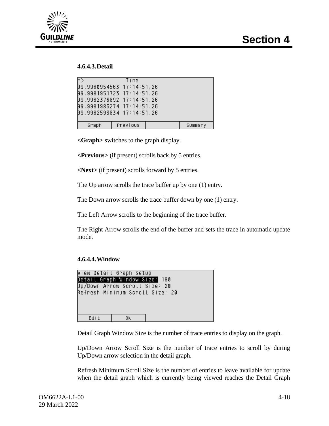



## **4.6.4.3.Detail**

| $\equiv$ )                | Time                      |  |         |
|---------------------------|---------------------------|--|---------|
| 99.9980954563 17:14:51,26 |                           |  |         |
| 99.9981951723 17:14:51.26 |                           |  |         |
|                           | 99.9982376892 17:14:51.26 |  |         |
| 99.9981986274 17:14:51.26 |                           |  |         |
| 99.9982593834 17:14:51.26 |                           |  |         |
|                           |                           |  |         |
| Graph                     | Previous                  |  | Summary |

**<Graph>** switches to the graph display.

**<Previous>** (if present) scrolls back by 5 entries.

**<Next>** (if present) scrolls forward by 5 entries.

The Up arrow scrolls the trace buffer up by one (1) entry.

The Down arrow scrolls the trace buffer down by one (1) entry.

The Left Arrow scrolls to the beginning of the trace buffer.

The Right Arrow scrolls the end of the buffer and sets the trace in automatic update mode.

#### **4.6.4.4.Window**

|                                 | View Detail Graph Setup |  |
|---------------------------------|-------------------------|--|
| Detail Graph Window Size: 180   |                         |  |
| Up/Down Arrow Scrott Size: 20   |                         |  |
| Refresh Minimum Scroll Size: 20 |                         |  |
|                                 |                         |  |
|                                 |                         |  |
|                                 |                         |  |
| Edit                            | 0K                      |  |
|                                 |                         |  |

Detail Graph Window Size is the number of trace entries to display on the graph.

Up/Down Arrow Scroll Size is the number of trace entries to scroll by during Up/Down arrow selection in the detail graph.

Refresh Minimum Scroll Size is the number of entries to leave available for update when the detail graph which is currently being viewed reaches the Detail Graph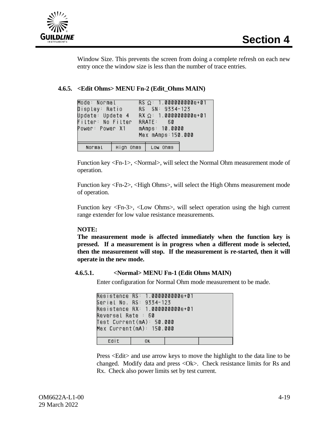

Window Size. This prevents the screen from doing a complete refresh on each new entry once the window size is less than the number of trace entries.

**4.6.5. <Edit Ohms> MENU Fn-2 (Edit\_Ohms MAIN)**

| Mode: Normal <b>Mode</b><br>Display: Ratio<br>Update: Update 4<br>Filter: No Filter<br>Power: Power X1 | $RS \Omega = 1.0000000000e + 01$<br>RS SN: 9334-123<br>$RX \Omega$ : 1.000000000e+01<br>RRATE: 60<br>mAmps: 10.0000<br>Max mAmps: 150.000 |  |
|--------------------------------------------------------------------------------------------------------|-------------------------------------------------------------------------------------------------------------------------------------------|--|
| Normal                                                                                                 | High Ohms   Low Ohms                                                                                                                      |  |

Function key <Fn-1>, <Normal>, will select the Normal Ohm measurement mode of operation.

Function key <Fn-2>, <High Ohms>, will select the High Ohms measurement mode of operation.

Function key <Fn-3>, <Low Ohms>, will select operation using the high current range extender for low value resistance measurements.

## **NOTE:**

**The measurement mode is affected immediately when the function key is pressed. If a measurement is in progress when a different mode is selected, then the measurement will stop. If the measurement is re-started, then it will operate in the new mode.**

## **4.6.5.1. <Normal> MENU Fn-1 (Edit Ohms MAIN)**

Enter configuration for Normal Ohm mode measurement to be made.

| Resistance RS: 1.0000000000e+01 |     |  |  |
|---------------------------------|-----|--|--|
| Serial No. RS: 9334-123         |     |  |  |
| Resistance RX: 1.0000000000e+01 |     |  |  |
| Reversal Rate : 60              |     |  |  |
| Test Current(mA): 50.000        |     |  |  |
| Max Current(mA): 150.000        |     |  |  |
|                                 |     |  |  |
| Edit                            | 0K. |  |  |
|                                 |     |  |  |

Press <Edit> and use arrow keys to move the highlight to the data line to be changed. Modify data and press <Ok>. Check resistance limits for Rs and Rx. Check also power limits set by test current.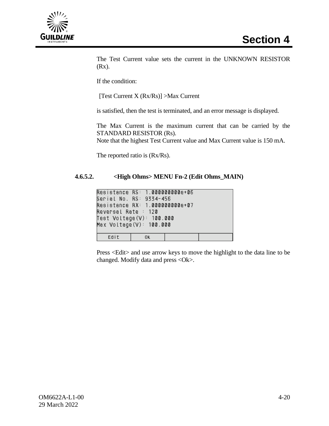

The Test Current value sets the current in the UNKNOWN RESISTOR (Rx).

If the condition:

[Test Current X (Rx/Rs)] >Max Current

is satisfied, then the test is terminated, and an error message is displayed.

The Max Current is the maximum current that can be carried by the STANDARD RESISTOR (Rs).

Note that the highest Test Current value and Max Current value is 150 mA.

The reported ratio is (Rx/Rs).

## **4.6.5.2. <High Ohms> MENU Fn-2 (Edit Ohms\_MAIN)**

| Resistance RS: 1.0000000000e+06<br>Serial No. RS: 9334-456<br>Resistance RX: 1.0000000000e+07<br>Reversal Rate : 120<br>Test Voltage(V): 100.000<br>Max Voltage(V): 100.000 |    |  |
|-----------------------------------------------------------------------------------------------------------------------------------------------------------------------------|----|--|
|                                                                                                                                                                             |    |  |
| Edit                                                                                                                                                                        | 0K |  |

Press <Edit> and use arrow keys to move the highlight to the data line to be changed. Modify data and press <Ok>.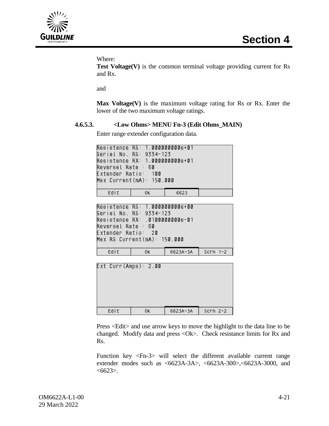

Where:

**Test Voltage(V)** is the common terminal voltage providing current for Rs and Rx.

and

**Max Voltage(V)** is the maximum voltage rating for Rs or Rx. Enter the lower of the two maximum voltage ratings.

## **4.6.5.3. <Low Ohms> MENU Fn-3 (Edit Ohms\_MAIN)**

Enter range extender configuration data.

| Resistance RS: 1.0000000000e+01 |    |      |  |
|---------------------------------|----|------|--|
| Serial No. RS: 9334-123         |    |      |  |
| Resistance RX: 1.0000000000e+01 |    |      |  |
| Reversal Rate : 60              |    |      |  |
| Extender Ratio: 100             |    |      |  |
| Max Current(mA): 150.000        |    |      |  |
|                                 |    |      |  |
| Edit                            | 0ĸ | 6623 |  |

```
Resistance RS: 1.0000000000e+00
Serial No. RS: 9334-123
Resistance RX: .01000000000e-01
Reversal Rate : 60
Extender Ratio: 20
Max RS Current(mA): 150.000
                        6623A-3A
   Edit
               0K
                                   Scrn 1-2
```

|      | Ext Curr(Amps): 2.00 |          |            |
|------|----------------------|----------|------------|
| Edit | 0K                   | 6623A-3A | $Scrn 2-2$ |

Press <Edit> and use arrow keys to move the highlight to the data line to be changed. Modify data and press <Ok>. Check resistance limits for Rx and Rs.

Function key <Fn-3> will select the different available current range extender modes such as <6623A-3A>, <6623A-300>,<6623A-3000, and  $<6623>$ .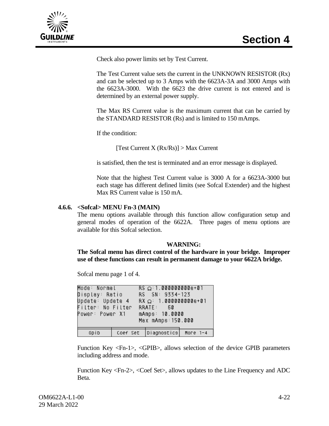

Check also power limits set by Test Current.

The Test Current value sets the current in the UNKNOWN RESISTOR (Rx) and can be selected up to 3 Amps with the 6623A-3A and 3000 Amps with the 6623A-3000. With the 6623 the drive current is not entered and is determined by an external power supply.

The Max RS Current value is the maximum current that can be carried by the STANDARD RESISTOR (Rs) and is limited to 150 mAmps.

If the condition:

[Test Current X (Rx/Rs)] > Max Current

is satisfied, then the test is terminated and an error message is displayed.

Note that the highest Test Current value is 3000 A for a 6623A-3000 but each stage has different defined limits (see Sofcal Extender) and the highest Max RS Current value is 150 mA.

#### **4.6.6. <Sofcal> MENU Fn-3 (MAIN)**

The menu options available through this function allow configuration setup and general modes of operation of the 6622A. Three pages of menu options are available for this Sofcal selection.

#### **WARNING:**

**The Sofcal menu has direct control of the hardware in your bridge. Improper use of these functions can result in permanent damage to your 6622A bridge.**

Sofcal menu page 1 of 4.

| Mode: Normal<br>Display: Ratio<br>Update: Update 4<br>Filter: No Filter RRATE: 60<br>Power: Power X1 |  | $RS \Omega: 1.0000000000e+01$<br>RS SN: 9334-123<br>$RX \Omega$ : 1.000000000e+01<br>mAmps: 10.0000<br>Max mAmps: 150.000 |  |
|------------------------------------------------------------------------------------------------------|--|---------------------------------------------------------------------------------------------------------------------------|--|
|                                                                                                      |  |                                                                                                                           |  |
| Gpib                                                                                                 |  | Coef Set   Diagnostics   More 1-4                                                                                         |  |

Function Key <Fn-1>, <GPIB>, allows selection of the device GPIB parameters including address and mode.

Function Key <Fn-2>, <Coef Set>, allows updates to the Line Frequency and ADC Beta.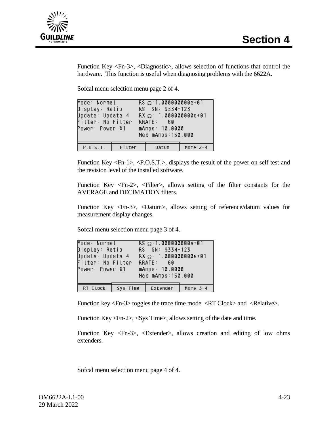

Function Key <Fn-3>, <Diagnostic>, allows selection of functions that control the hardware. This function is useful when diagnosing problems with the 6622A.

Sofcal menu selection menu page 2 of 4.

| Mode: Normal <b>Mode</b><br>Display: Ratio<br>Update: Update 4<br>Filter: No Filter<br>Power: Power X1 |        | $RS \Omega: 1.0000000000e+01$<br>RS SN: 9334-123<br>$RX \Omega$ : 1.000000000e+01<br>RRATE: 60<br>mAmps: 10.0000<br>Max mAmps: 150.000 |          |
|--------------------------------------------------------------------------------------------------------|--------|----------------------------------------------------------------------------------------------------------------------------------------|----------|
| P.0.5.T.                                                                                               | Filter | Datum                                                                                                                                  | More 2-4 |

Function Key <Fn-1>, <P.O.S.T.>, displays the result of the power on self test and the revision level of the installed software.

Function Key  $\langle Fn-2\rangle$ ,  $\langle Filter \rangle$ , allows setting of the filter constants for the AVERAGE and DECIMATION filters.

Function Key <Fn-3>, <Datum>, allows setting of reference/datum values for measurement display changes.

Sofcal menu selection menu page 3 of 4.

| Mode: Normal<br>Display: Ratio<br>Update: Update 4<br>Filter: No Filter<br>Power: Power X1 | $RS \Omega: 1.0000000000e+01$<br>RS SN: 9334-123<br>$RX \Omega$ : 1.000000000e+01<br>RRATE: 60<br>mAmps: 10.0000<br>Max mAmps: 150.000 |          |
|--------------------------------------------------------------------------------------------|----------------------------------------------------------------------------------------------------------------------------------------|----------|
|                                                                                            | RT Clock   Sys Time   Extender                                                                                                         | More 3-4 |

Function key  $\langle$ Fn-3 $>$  toggles the trace time mode  $\langle$ RT Clock $>$  and  $\langle$ Relative $>$ .

Function Key <Fn-2>, <Sys Time>, allows setting of the date and time.

Function Key <Fn-3>, <Extender>, allows creation and editing of low ohms extenders.

Sofcal menu selection menu page 4 of 4.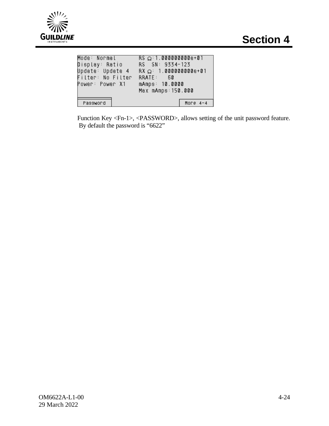

| Mode: Normal      | $RS \Omega: 1.0000000000e+01$ |
|-------------------|-------------------------------|
| Display: Ratio    | RS SN: 9334-123               |
| Update: Update 4  | $RX \Omega: 1.0000000000e+01$ |
| Filter: No Filter | RRATE: 60                     |
| Power: Power X1   | mAmps: 10.0000                |
|                   | Max mAmps: 150.000            |
|                   |                               |
| Password          | More $4-4$                    |

Function Key <Fn-1>, <PASSWORD>, allows setting of the unit password feature. By default the password is "6622"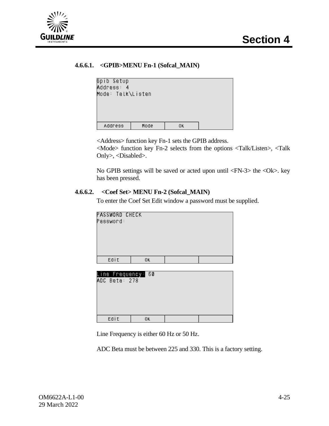

## **4.6.6.1. <GPIB>MENU Fn-1 (Sofcal\_MAIN)**

| Gpib Setup<br>Address: 4<br>Mode: Talk\Listen |      |    |  |
|-----------------------------------------------|------|----|--|
| Address                                       | Mode | ΟK |  |

<Address> function key Fn-1 sets the GPIB address.

<Mode> function key Fn-2 selects from the options <Talk/Listen>, <Talk Only>, <Disabled>.

No GPIB settings will be saved or acted upon until <FN-3> the <Ok>. key has been pressed.

#### **4.6.6.2. <Coef Set> MENU Fn-2 (Sofcal\_MAIN)**

To enter the Coef Set Edit window a password must be supplied.

| PASSWORD CHECK<br>Password: |     |  |  |
|-----------------------------|-----|--|--|
| Edit                        | 0K. |  |  |
|                             |     |  |  |

| Line Frequency: 60<br>ADC Beta: 278 |    |  |
|-------------------------------------|----|--|
| Edit                                | 0ĸ |  |

Line Frequency is either 60 Hz or 50 Hz.

ADC Beta must be between 225 and 330. This is a factory setting.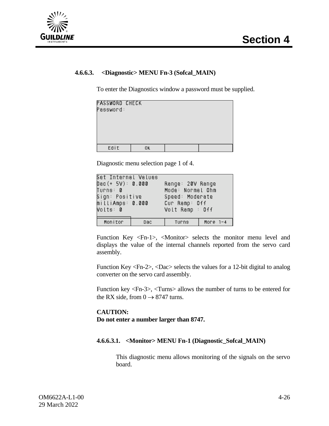



## **4.6.6.3. <Diagnostic> MENU Fn-3 (Sofcal\_MAIN)**

To enter the Diagnostics window a password must be supplied.

| PASSWORD CHECK<br>Password: |     |  |
|-----------------------------|-----|--|
|                             |     |  |
| Edit                        | 0K. |  |

Diagnostic menu selection page 1 of 4.

| Set Internal Values<br>Dac(+ 5V): 0.000<br>Turns: 0<br>Sign: Positive<br>milliAmps: 0.000<br>Volts: 0 |     | Range: 20V Range<br>Mode: Normal Ohm<br>Speed: Moderate<br>Cur Ramp: Off<br>Volt Ramp : Off |          |
|-------------------------------------------------------------------------------------------------------|-----|---------------------------------------------------------------------------------------------|----------|
| Monitor.                                                                                              | Dac | Turns                                                                                       | More 1-4 |

Function Key <Fn-1>, <Monitor> selects the monitor menu level and displays the value of the internal channels reported from the servo card assembly.

Function Key <Fn-2>, <Dac> selects the values for a 12-bit digital to analog converter on the servo card assembly.

Function key <Fn-3>, <Turns> allows the number of turns to be entered for the RX side, from  $0 \rightarrow 8747$  turns.

## **CAUTION: Do not enter a number larger than 8747.**

#### **4.6.6.3.1. <Monitor> MENU Fn-1 (Diagnostic\_Sofcal\_MAIN)**

This diagnostic menu allows monitoring of the signals on the servo board.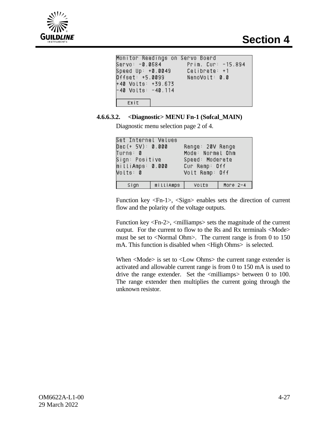

| Monitor Readings on Servo Board |                    |
|---------------------------------|--------------------|
| Servo: -0.0684                  | Prim. Cur: -15.894 |
| Speed Up: +0.0049               | $Calibrate: +1$    |
| Offset: +5.0099                 | NanoVolt: 0.0      |
| +40 Volts: +39.673              |                    |
| -40 Volts: -40.114              |                    |
|                                 |                    |
| $Exit \t $                      |                    |

## **4.6.6.3.2. <Diagnostic> MENU Fn-1 (Sofcal\_MAIN)**

Diagnostic menu selection page 2 of 4.

| Set Internal Values |           |                  |          |
|---------------------|-----------|------------------|----------|
| Dac(+ 5V): 0.000    |           | Range: 20V Range |          |
| Turns: 0            |           | Mode: Normal Ohm |          |
| Sign: Positive      |           | Speed: Moderate  |          |
| milliAmps: 0.000    |           | Cur Ramp: Off    |          |
| Volts: 0            |           | Volt Ramp: Off   |          |
|                     |           |                  |          |
| sign                | mittiAmps | Volts            | More 2-4 |

Function key <Fn-1>, <Sign> enables sets the direction of current flow and the polarity of the voltage outputs.

Function key  $\langle$ Fn-2 $\rangle$ ,  $\langle$ milliamps $\rangle$  sets the magnitude of the current output. For the current to flow to the Rs and Rx terminals <Mode> must be set to <Normal Ohm>. The current range is from 0 to 150 mA. This function is disabled when <High Ohms> is selected.

When <Mode> is set to <Low Ohms> the current range extender is activated and allowable current range is from 0 to 150 mA is used to drive the range extender. Set the <milliamps> between 0 to 100. The range extender then multiplies the current going through the unknown resistor.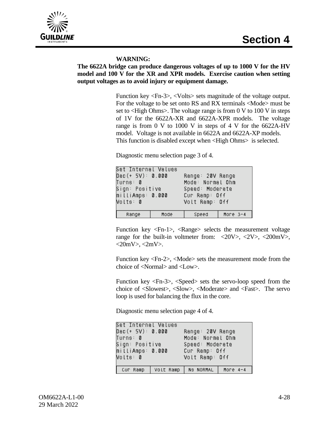

#### **WARNING:**

## **The 6622A bridge can produce dangerous voltages of up to 1000 V for the HV model and 100 V for the XR and XPR models. Exercise caution when setting output voltages as to avoid injury or equipment damage.**

Function key <Fn-3>, <Volts> sets magnitude of the voltage output. For the voltage to be set onto RS and RX terminals <Mode> must be set to <High Ohms>. The voltage range is from 0 V to 100 V in steps of 1V for the 6622A-XR and 6622A-XPR models. The voltage range is from 0 V to 1000 V in steps of 4 V for the 6622A-HV model. Voltage is not available in 6622A and 6622A-XP models. This function is disabled except when <High Ohms> is selected.

Diagnostic menu selection page 3 of 4.

| Set Internal Values<br>Dac(+ 5V): 0.000<br>Turns: 0<br>Sign: Positive<br>milliAmps: 0.000<br>Volts: 0 |      | Range: 20V Range<br>Mode: Normal Ohm<br>Speed: Moderate<br>Cur Ramp: Off<br>Volt Ramp: Off |          |
|-------------------------------------------------------------------------------------------------------|------|--------------------------------------------------------------------------------------------|----------|
| Range                                                                                                 | Mode | Speed                                                                                      | More 3-4 |

Function key <Fn-1>, <Range> selects the measurement voltage range for the built-in voltmeter from:  $\langle 20V \rangle$ ,  $\langle 2V \rangle$ ,  $\langle 200mV \rangle$ ,  $\langle 20mV \rangle$ ,  $\langle 2mV \rangle$ .

Function key <Fn-2>, <Mode> sets the measurement mode from the choice of <Normal> and <Low>.

Function key <Fn-3>, <Speed> sets the servo-loop speed from the choice of <Slowest>, <Slow>, <Moderate> and <Fast>. The servo loop is used for balancing the flux in the core.

Diagnostic menu selection page 4 of 4.

| Set Internal Values<br>Dac(+ 5V): 0.000<br>Turns: 0<br>Sign: Positive<br>milliAmps: 0.000<br>Volts: 0 |           | Range: 20V Range<br>Mode: Normal Ohm<br>Speed: Moderate<br>Cur Ramp: Off<br>Volt Ramp: Off |          |
|-------------------------------------------------------------------------------------------------------|-----------|--------------------------------------------------------------------------------------------|----------|
| Cur Ramp                                                                                              | Volt Ramp | NS NORMAL                                                                                  | More 4-4 |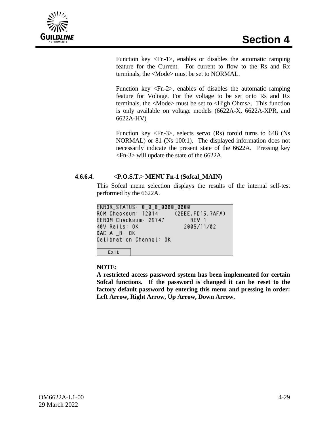

Function key <Fn-1>, enables or disables the automatic ramping feature for the Current. For current to flow to the Rs and Rx terminals, the <Mode> must be set to NORMAL.

Function key <Fn-2>, enables of disables the automatic ramping feature for Voltage. For the voltage to be set onto Rs and Rx terminals, the <Mode> must be set to <High Ohms>. This function is only available on voltage models (6622A-X, 6622A-XPR, and 6622A-HV)

Function key <Fn-3>, selects servo (Rs) toroid turns to 648 (Ns NORMAL) or 81 (Ns 100:1). The displayed information does not necessarily indicate the present state of the 6622A. Pressing key <Fn-3> will update the state of the 6622A.

## **4.6.6.4. <P.O.S.T.> MENU Fn-1 (Sofcal\_MAIN)**

This Sofcal menu selection displays the results of the internal self-test performed by the 6622A.

ERROR\_STATUS: 0\_0\_0\_0000\_0000  $(2EEE, FD15, 7AFA)$ ROM Checksum: 12014 EEROM Checksum: 26747 REV 1 40V Rails: OK 2005/11/02  $DAC A \_B: OK$ Calibration Channel: OK Exit

## **NOTE:**

**A restricted access password system has been implemented for certain Sofcal functions. If the password is changed it can be reset to the factory default password by entering this menu and pressing in order: Left Arrow, Right Arrow, Up Arrow, Down Arrow.**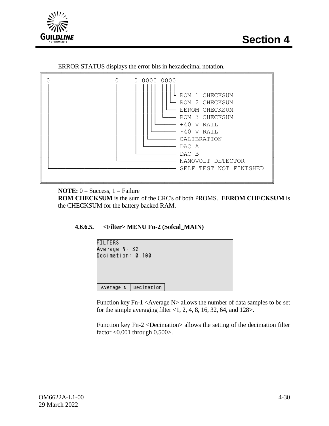



ERROR STATUS displays the error bits in hexadecimal notation.



**NOTE:**  $0 =$  Success,  $1 =$  Failure

**ROM CHECKSUM** is the sum of the CRC's of both PROMS. **EEROM CHECKSUM** is the CHECKSUM for the battery backed RAM.

## **4.6.6.5. <Filter> MENU Fn-2 (Sofcal\_MAIN)**



Function key Fn-1 <Average N> allows the number of data samples to be set for the simple averaging filter <1, 2, 4, 8, 16, 32, 64, and 128>.

Function key Fn-2 <Decimation> allows the setting of the decimation filter factor <0.001 through 0.500>.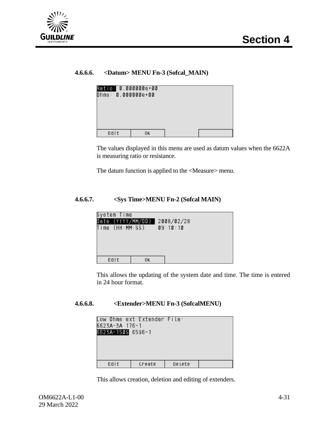

## **4.6.6.6. <Datum> MENU Fn-3 (Sofcal\_MAIN)**

| Ratio: 0.000000e+00<br>Ohms: 0.000000e+00 |    |  |
|-------------------------------------------|----|--|
| Edit                                      | 0ĸ |  |

The values displayed in this menu are used as datum values when the 6622A is measuring ratio or resistance.

The datum function is applied to the <Measure> menu.

## **4.6.6.7. <Sys Time>MENU Fn-2 (Sofcal MAIN)**



This allows the updating of the system date and time. The time is entered in 24 hour format.

#### **4.6.6.8. <Extender>MENU Fn-3 (SofcalMENU)**

| Low Ohms ext Extender File:<br>6623A-3A 176-1<br>6623A-150S 6596-1 |        |        |  |
|--------------------------------------------------------------------|--------|--------|--|
| Edit                                                               | Create | Delete |  |

This allows creation, deletion and editing of extenders.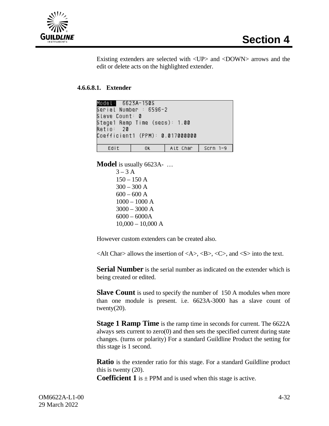

Existing extenders are selected with <UP> and <DOWN> arrows and the edit or delete acts on the highlighted extender.

## **4.6.6.8.1. Extender**

|                                 | Model: 6623A-150S |                     |  |  |  |
|---------------------------------|-------------------|---------------------|--|--|--|
| Serial Number : 6596-2          |                   |                     |  |  |  |
| Slave Count∶ 0                  |                   |                     |  |  |  |
| Stage1 Ramp Time (secs): 1.00   |                   |                     |  |  |  |
| Ratio: 20                       |                   |                     |  |  |  |
| Coefficient1 (PPM): 0.017000000 |                   |                     |  |  |  |
|                                 |                   |                     |  |  |  |
| Edit                            | $-0k$             | Alt Char   Scrn 1-9 |  |  |  |

**Model** is usually 6623A- …

 $3 - 3A$  $150 - 150$  A  $300 - 300 A$  $600 - 600$  A 1000 – 1000 A 3000 – 3000 A 6000 – 6000A  $10,000 - 10,000$  A

However custom extenders can be created also.

 $\langle$ Alt Char $>$  allows the insertion of  $\langle$ A $>$ ,  $\langle$ B $>$ ,  $\langle$ C $>$ , and  $\langle$ S $>$  into the text.

**Serial Number** is the serial number as indicated on the extender which is being created or edited.

**Slave Count** is used to specify the number of 150 A modules when more than one module is present. i.e. 6623A-3000 has a slave count of twenty $(20)$ .

**Stage 1 Ramp Time** is the ramp time in seconds for current. The 6622A always sets current to zero(0) and then sets the specified current during state changes. (turns or polarity) For a standard Guildline Product the setting for this stage is 1 second.

**Ratio** is the extender ratio for this stage. For a standard Guildline product this is twenty (20).

**Coefficient 1** is  $\pm$  PPM and is used when this stage is active.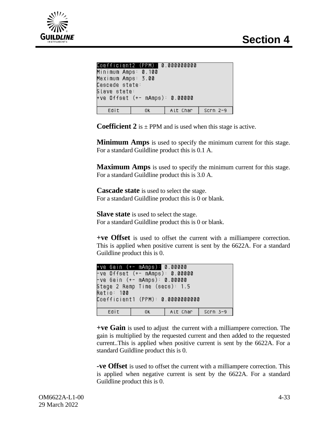

|                                | Coefficient2 (PPM): 0.000000000 |          |          |  |  |  |
|--------------------------------|---------------------------------|----------|----------|--|--|--|
| Minimum Amps: 0.100            |                                 |          |          |  |  |  |
| Maximum Amps: 3.00             |                                 |          |          |  |  |  |
| Cascade state:                 |                                 |          |          |  |  |  |
| Slave state∶                   |                                 |          |          |  |  |  |
| +ve Offset (+- mAmps): 0.00000 |                                 |          |          |  |  |  |
|                                |                                 |          |          |  |  |  |
| Edit                           | 0K                              | Alt Char | Scrn 2-9 |  |  |  |
|                                |                                 |          |          |  |  |  |

**Coefficient 2** is  $\pm$  PPM and is used when this stage is active.

**Minimum Amps** is used to specify the minimum current for this stage. For a standard Guildline product this is 0.1 A.

**Maximum Amps** is used to specify the minimum current for this stage. For a standard Guildline product this is 3.0 A.

**Cascade state** is used to select the stage. For a standard Guildline product this is 0 or blank.

**Slave state** is used to select the stage. For a standard Guildline product this is 0 or blank.

**+ve Offset** is used to offset the current with a milliampere correction. This is applied when positive current is sent by the 6622A. For a standard Guildline product this is 0.

| +ve Gain (+- mAmps): 0.00000      |      |          |          |  |  |  |
|-----------------------------------|------|----------|----------|--|--|--|
| -ve Offset (+- mAmps): 0.00000    |      |          |          |  |  |  |
| -ve Gain (+- mAmps): 0.00000      |      |          |          |  |  |  |
| Stage 2 Ramp Time (secs): 1.5     |      |          |          |  |  |  |
| Ratio: 100                        |      |          |          |  |  |  |
| Coefficient1 (PPM): 0.00000000000 |      |          |          |  |  |  |
|                                   |      |          |          |  |  |  |
| Edit                              | -OK. | Alt Char | Scrn 3-9 |  |  |  |

**+ve Gain** is used to adjust the current with a milliampere correction. The gain is multiplied by the requested current and then added to the requested current..This is applied when positive current is sent by the 6622A. For a standard Guildline product this is 0.

**-ve Offset** is used to offset the current with a milliampere correction. This is applied when negative current is sent by the 6622A. For a standard Guildline product this is 0.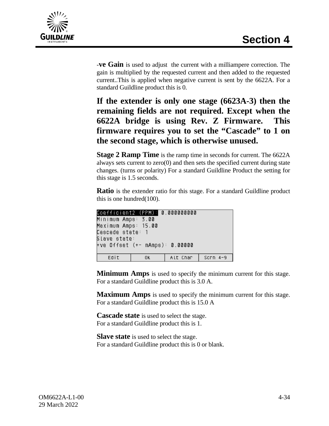

-**ve Gain** is used to adjust the current with a milliampere correction. The gain is multiplied by the requested current and then added to the requested current..This is applied when negative current is sent by the 6622A. For a standard Guildline product this is 0.

**If the extender is only one stage (6623A-3) then the remaining fields are not required. Except when the 6622A bridge is using Rev. Z Firmware. This firmware requires you to set the "Cascade" to 1 on the second stage, which is otherwise unused.**

**Stage 2 Ramp Time** is the ramp time in seconds for current. The 6622A always sets current to zero(0) and then sets the specified current during state changes. (turns or polarity) For a standard Guildline Product the setting for this stage is 1.5 seconds.

**Ratio** is the extender ratio for this stage. For a standard Guildline product this is one hundred(100).

| Minimum Amps: 3.00             |          |                                 |  |  |  |  |
|--------------------------------|----------|---------------------------------|--|--|--|--|
| Maximum Amps: 15.00            |          |                                 |  |  |  |  |
| Cascade state: 1               |          |                                 |  |  |  |  |
| Slave state:                   |          |                                 |  |  |  |  |
| +ve Offset (+- mAmps): 0.00000 |          |                                 |  |  |  |  |
|                                |          |                                 |  |  |  |  |
| 0K.                            | Alt Char | $Scrn$ 4-9                      |  |  |  |  |
|                                |          | Coefficient2 (PPM): 0.000000000 |  |  |  |  |

**Minimum Amps** is used to specify the minimum current for this stage. For a standard Guildline product this is 3.0 A.

**Maximum Amps** is used to specify the minimum current for this stage. For a standard Guildline product this is 15.0 A

**Cascade state** is used to select the stage. For a standard Guildline product this is 1.

**Slave state** is used to select the stage. For a standard Guildline product this is 0 or blank.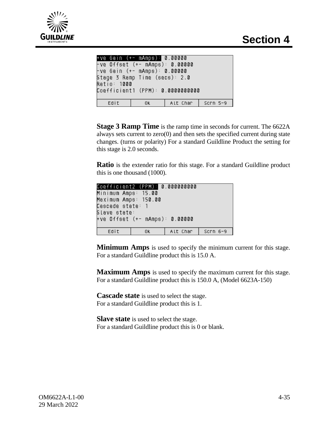

|                     | +ve Gain (+- mAmps): 0.00000   |                                   |  |
|---------------------|--------------------------------|-----------------------------------|--|
|                     | -ve Offset (+- mAmps): 0.00000 |                                   |  |
|                     | -ve Gain (+- mAmps): 0.00000   |                                   |  |
|                     | Stage 3 Ramp Time (secs): 2.0  |                                   |  |
| Ratio: 1 <b>000</b> |                                |                                   |  |
|                     |                                | Coefficient1 (PPM): 0.00000000000 |  |
|                     |                                |                                   |  |
| Edit                |                                | OK   Alt Char   Scrn 5-9          |  |
|                     |                                |                                   |  |

**Stage 3 Ramp Time** is the ramp time in seconds for current. The 6622A always sets current to zero(0) and then sets the specified current during state changes. (turns or polarity) For a standard Guildline Product the setting for this stage is 2.0 seconds.

**Ratio** is the extender ratio for this stage. For a standard Guildline product this is one thousand (1000).

| Coefficient2 (PPM): 0.000000000 |     |          |           |  |  |  |  |
|---------------------------------|-----|----------|-----------|--|--|--|--|
| Minimum Amps: 15.00             |     |          |           |  |  |  |  |
| Maximum Amps: 150.00            |     |          |           |  |  |  |  |
| Cascade state: 1                |     |          |           |  |  |  |  |
| Slave state:                    |     |          |           |  |  |  |  |
| +ve Offset (+- mAmps): 0.00000  |     |          |           |  |  |  |  |
|                                 |     |          |           |  |  |  |  |
| Edit                            | 0K. | Alt Char | $Scrn6-9$ |  |  |  |  |

**Minimum Amps** is used to specify the minimum current for this stage. For a standard Guildline product this is 15.0 A.

**Maximum Amps** is used to specify the maximum current for this stage. For a standard Guildline product this is 150.0 A, (Model 6623A-150)

**Cascade state** is used to select the stage. For a standard Guildline product this is 1.

**Slave state** is used to select the stage. For a standard Guildline product this is 0 or blank.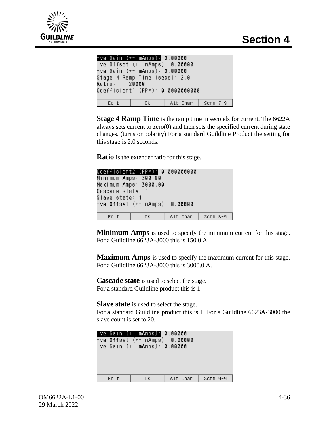

```
+ve Gain (+- mAmps): 0.00000
ve Offset (+– mAmps): 0.00000-
-ve Gain (+- mAmps): 0.00000
Stage 4 Ramp Time (secs): 2.0
Ratio:
          20000
Coefficient1 (PPM): 0.00000000000
   Edit
                0\mathrm{\,K}Alt Char
                                    Scrn 7-9
```
**Stage 4 Ramp Time** is the ramp time in seconds for current. The 6622A always sets current to zero(0) and then sets the specified current during state changes. (turns or polarity) For a standard Guildline Product the setting for this stage is 2.0 seconds.

**Ratio** is the extender ratio for this stage.

| Coefficient2 (PPM): 0.000000000 |                      |          |            |  |  |  |  |  |
|---------------------------------|----------------------|----------|------------|--|--|--|--|--|
|                                 | Minimum Amps: 300.00 |          |            |  |  |  |  |  |
| Maximum Amps: 3000.00           |                      |          |            |  |  |  |  |  |
|                                 | Cascade state: 1     |          |            |  |  |  |  |  |
|                                 | Slave state: 1       |          |            |  |  |  |  |  |
| +ve Offset (+- mAmps): 0.00000  |                      |          |            |  |  |  |  |  |
|                                 |                      |          |            |  |  |  |  |  |
| Edit                            | 0K.                  | Alt Char | $Scrn 8-9$ |  |  |  |  |  |

**Minimum Amps** is used to specify the minimum current for this stage. For a Guildline 6623A-3000 this is 150.0 A.

**Maximum Amps** is used to specify the maximum current for this stage. For a Guildline 6623A-3000 this is 3000.0 A.

**Cascade state** is used to select the stage. For a standard Guildline product this is 1.

**Slave state** is used to select the stage.

For a standard Guildline product this is 1. For a Guildline 6623A-3000 the slave count is set to 20.

|      | +ve Gain (+- mAmps): 0.00000   |                     |  |
|------|--------------------------------|---------------------|--|
|      | -ve Offset (+- mAmps): 0.00000 |                     |  |
|      | -ve Gain (+- mAmps): 0.00000   |                     |  |
|      |                                |                     |  |
|      |                                |                     |  |
|      |                                |                     |  |
|      |                                |                     |  |
| Edit | OK.                            | Alt Char   Scrn 9-9 |  |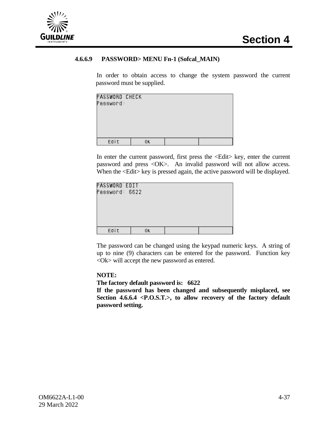

#### **4.6.6.9 PASSWORD> MENU Fn-1 (Sofcal\_MAIN)**

In order to obtain access to change the system password the current password must be supplied.

| PASSWORD CHECK<br>Password: |    |  |
|-----------------------------|----|--|
| Edit                        | 0K |  |

In enter the current password, first press the <Edit> key, enter the current password and press <OK>. An invalid password will not allow access. When the  $\leq$ Edit $>$  key is pressed again, the active password will be displayed.

| PASSWORD EDIT<br>Password: 6622 |    |  |
|---------------------------------|----|--|
|                                 |    |  |
|                                 |    |  |
| Edit                            | 0K |  |

The password can be changed using the keypad numeric keys. A string of up to nine (9) characters can be entered for the password. Function key <Ok> will accept the new password as entered.

#### **NOTE:**

#### **The factory default password is: 6622**

**If the password has been changed and subsequently misplaced, see Section 4.6.6.4 <P.O.S.T.>, to allow recovery of the factory default password setting.**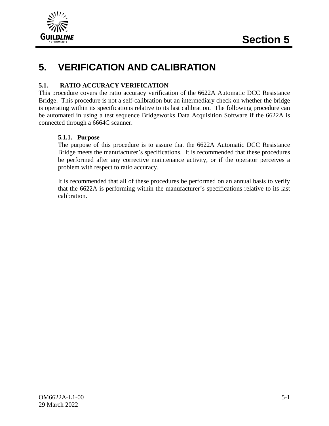

## **5. VERIFICATION AND CALIBRATION**

#### **5.1. RATIO ACCURACY VERIFICATION**

This procedure covers the ratio accuracy verification of the 6622A Automatic DCC Resistance Bridge. This procedure is not a self-calibration but an intermediary check on whether the bridge is operating within its specifications relative to its last calibration. The following procedure can be automated in using a test sequence Bridgeworks Data Acquisition Software if the 6622A is connected through a 6664C scanner.

#### **5.1.1. Purpose**

The purpose of this procedure is to assure that the 6622A Automatic DCC Resistance Bridge meets the manufacturer's specifications. It is recommended that these procedures be performed after any corrective maintenance activity, or if the operator perceives a problem with respect to ratio accuracy.

It is recommended that all of these procedures be performed on an annual basis to verify that the 6622A is performing within the manufacturer's specifications relative to its last calibration.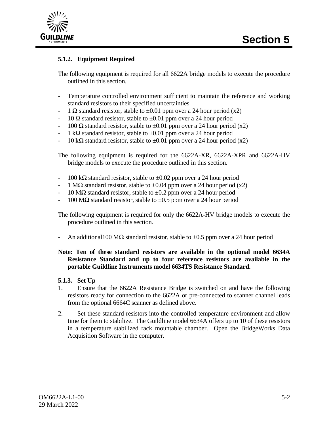



#### **5.1.2. Equipment Required**

The following equipment is required for all 6622A bridge models to execute the procedure outlined in this section.

- Temperature controlled environment sufficient to maintain the reference and working standard resistors to their specified uncertainties
- 1  $\Omega$  standard resistor, stable to  $\pm 0.01$  ppm over a 24 hour period (x2)
- $10 \Omega$  standard resistor, stable to  $\pm 0.01$  ppm over a 24 hour period
- 100  $\Omega$  standard resistor, stable to  $\pm 0.01$  ppm over a 24 hour period (x2)
- $1$  kΩ standard resistor, stable to  $\pm 0.01$  ppm over a 24 hour period
- $10 \text{ k}\Omega$  standard resistor, stable to  $\pm 0.01$  ppm over a 24 hour period (x2)

The following equipment is required for the 6622A-XR, 6622A-XPR and 6622A-HV bridge models to execute the procedure outlined in this section.

- $100 \text{ k}\Omega$  standard resistor, stable to  $\pm 0.02$  ppm over a 24 hour period
- 1 M $\Omega$  standard resistor, stable to  $\pm 0.04$  ppm over a 24 hour period (x2)
- $10 \text{ M}\Omega$  standard resistor, stable to  $\pm 0.2$  ppm over a 24 hour period
- 100 MΩ standard resistor, stable to  $\pm$ 0.5 ppm over a 24 hour period

The following equipment is required for only the 6622A-HV bridge models to execute the procedure outlined in this section.

An additional 100 M $\Omega$  standard resistor, stable to  $\pm 0.5$  ppm over a 24 hour period

#### **Note: Ten of these standard resistors are available in the optional model 6634A Resistance Standard and up to four reference resistors are available in the portable Guildline Instruments model 6634TS Resistance Standard.**

#### **5.1.3. Set Up**

- 1. Ensure that the 6622A Resistance Bridge is switched on and have the following resistors ready for connection to the 6622A or pre-connected to scanner channel leads from the optional 6664C scanner as defined above.
- 2. Set these standard resistors into the controlled temperature environment and allow time for them to stabilize. The Guildline model 6634A offers up to 10 of these resistors in a temperature stabilized rack mountable chamber. Open the BridgeWorks Data Acquisition Software in the computer.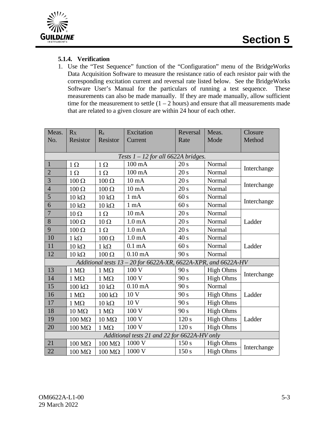

#### **5.1.4. Verification**

1. Use the "Test Sequence" function of the "Configuration" menu of the BridgeWorks Data Acquisition Software to measure the resistance ratio of each resistor pair with the corresponding excitation current and reversal rate listed below. See the BridgeWorks Software User's Manual for the particulars of running a test sequence. These measurements can also be made manually. If they are made manually, allow sufficient time for the measurement to settle  $(1 – 2 hours)$  and ensure that all measurements made that are related to a given closure are within 24 hour of each other.

| Meas.<br>No.   | Rx<br><b>Resistor</b> | R <sub>s</sub><br><b>Resistor</b> | Excitation<br>Current                                            | Reversal<br>Rate | Meas.<br>Mode    | Closure<br>Method |
|----------------|-----------------------|-----------------------------------|------------------------------------------------------------------|------------------|------------------|-------------------|
|                |                       |                                   |                                                                  |                  |                  |                   |
|                |                       |                                   | Tests $1 - 12$ for all 6622A bridges.                            |                  |                  |                   |
| $\overline{1}$ | $1\Omega$             | $1\Omega$                         | $100 \text{ mA}$                                                 | 20 s             | Normal           | Interchange       |
| $\overline{2}$ | $1\Omega$             | $1 \Omega$                        | $100 \text{ mA}$                                                 | 20 s             | Normal           |                   |
| 3              | $100 \Omega$          | $100 \Omega$                      | $10 \text{ mA}$                                                  | 20 s             | Normal           | Interchange       |
| $\overline{4}$ | $100 \Omega$          | $100 \Omega$                      | $10 \text{ mA}$                                                  | 20 s             | Normal           |                   |
| 5              | $10 \text{ k}\Omega$  | $10 \text{ k}\Omega$              | 1 <sub>m</sub> A                                                 | 60 s             | Normal           |                   |
| 6              | $10 \text{ k}\Omega$  | $10 k\Omega$                      | $1 \text{ mA}$                                                   | 60 s             | Normal           | Interchange       |
| $\overline{7}$ | $10 \Omega$           | $1\Omega$                         | $10 \text{ mA}$                                                  | 20 s             | Normal           |                   |
| 8              | $100 \Omega$          | $10 \Omega$                       | 1.0 <sub>mA</sub>                                                | 20 s             | Normal           | Ladder            |
| 9              | $100 \Omega$          | $1 \Omega$                        | 1.0 <sub>m</sub> A                                               | 20 s             | Normal           |                   |
| 10             | $1 \text{ k}\Omega$   | $100 \Omega$                      | 1.0 <sub>m</sub> A                                               | 40s              | Normal           |                   |
| 11             | $10 k\Omega$          | $1 k\Omega$                       | $0.1 \text{ mA}$                                                 | 60 s             | Normal           | Ladder            |
| 12             | $10 \text{ k}\Omega$  | $100 \Omega$                      | $0.10 \text{ mA}$                                                | 90 s             | Normal           |                   |
|                |                       |                                   | Additional tests $13 - 20$ for 6622A-XR, 6622A-XPR, and 6622A-HV |                  |                  |                   |
| 13             | $1 M\Omega$           | $1 M\Omega$                       | 100 V                                                            | 90 s             | <b>High Ohms</b> | Interchange       |
| 14             | $1 M\Omega$           | 1 $M\Omega$                       | 100 V                                                            | 90 s             | <b>High Ohms</b> |                   |
| 15             | $100 \text{ k}\Omega$ | $10 k\Omega$                      | $0.10 \text{ mA}$                                                | 90 s             | Normal           |                   |
| 16             | $1 M\Omega$           | $100 \text{ k}\Omega$             | 10 <sub>V</sub>                                                  | 90 s             | <b>High Ohms</b> | Ladder            |
| 17             | $1 M\Omega$           | $10 k\Omega$                      | 10 V                                                             | 90 s             | <b>High Ohms</b> |                   |
| 18             | $10 \text{ M}\Omega$  | $1 M\Omega$                       | 100 V                                                            | 90 s             | <b>High Ohms</b> |                   |
| 19             | $100 \text{ M}\Omega$ | $10 \text{ M}\Omega$              | 100 V                                                            | 120 s            | <b>High Ohms</b> | Ladder            |
| 20             | $100 \text{ M}\Omega$ | $1 M\Omega$                       | 100 V                                                            | 120 s            | <b>High Ohms</b> |                   |
|                |                       |                                   | Additional tests 21 and 22 for 6622A-HV only                     |                  |                  |                   |
| 21             | $100 \text{ M}\Omega$ | $100 \text{ M}\Omega$             | 1000 V                                                           | 150 s            | <b>High Ohms</b> | Interchange       |
| 22             | $100 \text{ M}\Omega$ | $100 \text{ M}\Omega$             | 1000 V                                                           | 150 s            | <b>High Ohms</b> |                   |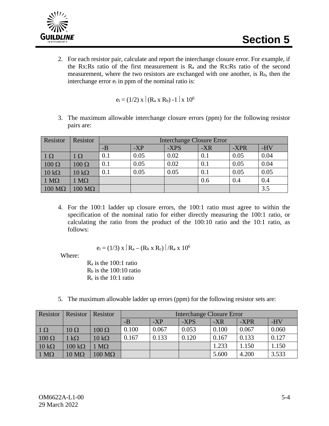

2. For each resistor pair, calculate and report the interchange closure error. For example, if the Rx:Rs ratio of the first measurement is  $R_a$  and the Rx:Rs ratio of the second measurement, where the two resistors are exchanged with one another, is  $R_b$ , then the interchange error ei in ppm of the nominal ratio is:

$$
e_i = (1/2) \mathbf{X} | (R_a \mathbf{X} R_b) - 1 | \mathbf{X} 10^6
$$

3. The maximum allowable interchange closure errors (ppm) for the following resistor pairs are:

| Resistor              | Resistor              | <b>Interchange Closure Error</b> |       |      |       |      |      |
|-----------------------|-----------------------|----------------------------------|-------|------|-------|------|------|
|                       |                       | $-B$                             | $-XP$ | -XPS | $-XR$ | -XPR | -HV  |
| $\mid 1 \Omega$       | $1~\Omega$            | 0.1                              | 0.05  | 0.02 | 0.1   | 0.05 | 0.04 |
| $100 \Omega$          | $100 \Omega$          | 0.1                              | 0.05  | 0.02 | 0.1   | 0.05 | 0.04 |
| $10 k\Omega$          | $10 k\Omega$          | 0.1                              | 0.05  | 0.05 | 0.1   | 0.05 | 0.05 |
| $1 M\Omega$           | $M\Omega$             |                                  |       |      | 0.6   | 0.4  | 0.4  |
| $100 \text{ M}\Omega$ | $100 \text{ M}\Omega$ |                                  |       |      |       |      | 3.5  |

4. For the 100:1 ladder up closure errors, the 100:1 ratio must agree to within the specification of the nominal ratio for either directly measuring the 100:1 ratio, or calculating the ratio from the product of the 100:10 ratio and the 10:1 ratio, as follows:

$$
e_i = (1/3) \times | R_a - (R_b \times R_c) | / R_a \times 10^6
$$

Where:

Ra is the 100:1 ratio  $R<sub>b</sub>$  is the 100:10 ratio Rc is the 10:1 ratio

5. The maximum allowable ladder up errors (ppm) for the following resistor sets are:

| Resistor        | Resistor              | Resistor              | <b>Interchange Closure Error</b> |       |       |       |       |       |
|-----------------|-----------------------|-----------------------|----------------------------------|-------|-------|-------|-------|-------|
|                 |                       |                       | $-B$                             | $-XP$ | -XPS  | $-XR$ | -XPR  | $-HV$ |
| $\mid 1 \Omega$ | $10 \Omega$           | $100 \Omega$          | 0.100                            | 0.067 | 0.053 | 0.100 | 0.067 | 0.060 |
| $100 \Omega$    | $1 \text{ k}\Omega$   | $10 k\Omega$          | 0.167                            | 0.133 | 0.120 | 0.167 | 0.133 | 0.127 |
| $10 k\Omega$    | $100 \text{ k}\Omega$ | $1 M\Omega$           |                                  |       |       | 1.233 | 1.150 | 1.150 |
| $1 M\Omega$     | $10 \text{ M}\Omega$  | $100 \text{ M}\Omega$ |                                  |       |       | 5.600 | 4.200 | 3.533 |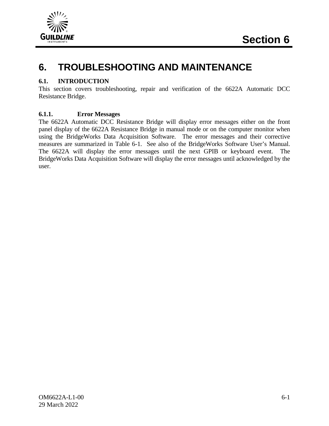

## **6. TROUBLESHOOTING AND MAINTENANCE**

#### **6.1. INTRODUCTION**

This section covers troubleshooting, repair and verification of the 6622A Automatic DCC Resistance Bridge.

#### **6.1.1. Error Messages**

The 6622A Automatic DCC Resistance Bridge will display error messages either on the front panel display of the 6622A Resistance Bridge in manual mode or on the computer monitor when using the BridgeWorks Data Acquisition Software. The error messages and their corrective measures are summarized in Table 6-1. See also of the BridgeWorks Software User's Manual. The 6622A will display the error messages until the next GPIB or keyboard event. The BridgeWorks Data Acquisition Software will display the error messages until acknowledged by the user.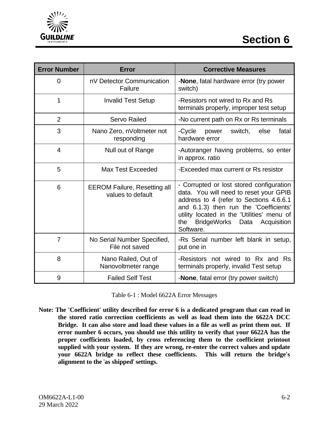



| <b>Error Number</b> | <b>Error</b>                                             | <b>Corrective Measures</b>                                                                                                                                                                                                                                                             |  |  |  |  |
|---------------------|----------------------------------------------------------|----------------------------------------------------------------------------------------------------------------------------------------------------------------------------------------------------------------------------------------------------------------------------------------|--|--|--|--|
| 0                   | nV Detector Communication<br>Failure                     | -None, fatal hardware error (try power<br>switch)                                                                                                                                                                                                                                      |  |  |  |  |
| 1                   | <b>Invalid Test Setup</b>                                | -Resistors not wired to Rx and Rs<br>terminals properly, improper test setup                                                                                                                                                                                                           |  |  |  |  |
| $\overline{2}$      | <b>Servo Railed</b>                                      | -No current path on Rx or Rs terminals                                                                                                                                                                                                                                                 |  |  |  |  |
| 3                   | Nano Zero, nVoltmeter not<br>responding                  | -Cycle<br>power<br>switch,<br>else<br>fatal<br>hardware error                                                                                                                                                                                                                          |  |  |  |  |
| $\overline{4}$      | Null out of Range                                        | -Autoranger having problems, so enter<br>in approx. ratio                                                                                                                                                                                                                              |  |  |  |  |
| 5                   | Max Test Exceeded                                        | -Exceeded max current or Rs resistor                                                                                                                                                                                                                                                   |  |  |  |  |
| 6                   | <b>EEROM Failure, Resetting all</b><br>values to default | - Corrupted or lost stored configuration<br>data. You will need to reset your GPIB<br>address to 4 (refer to Sections 4.6.6.1<br>and 6.1.3) then run the 'Coefficients'<br>utility located in the 'Utilities' menu of<br><b>BridgeWorks</b><br>the<br>Data<br>Acquisition<br>Software. |  |  |  |  |
| 7                   | No Serial Number Specified,<br>File not saved            | -Rs Serial number left blank in setup,<br>put one in                                                                                                                                                                                                                                   |  |  |  |  |
| 8                   | Nano Railed, Out of<br>Nanovoltmeter range               | -Resistors not wired to Rx and Rs<br>terminals properly, invalid Test setup                                                                                                                                                                                                            |  |  |  |  |
| 9                   | <b>Failed Self Test</b>                                  | -None, fatal error (try power switch)                                                                                                                                                                                                                                                  |  |  |  |  |

Table 6-1 : Model 6622A Error Messages

**Note: The 'Coefficient' utility described for error 6 is a dedicated program that can read in the stored ratio correction coefficients as well as load them into the 6622A DCC Bridge. It can also store and load these values in a file as well as print them out. If error number 6 occurs, you should use this utility to verify that your 6622A has the proper coefficients loaded, by cross referencing them to the coefficient printout supplied with your system. If they are wrong, re-enter the correct values and update your 6622A bridge to reflect these coefficients. This will return the bridge's alignment to the** '**as shipped**' **settings.**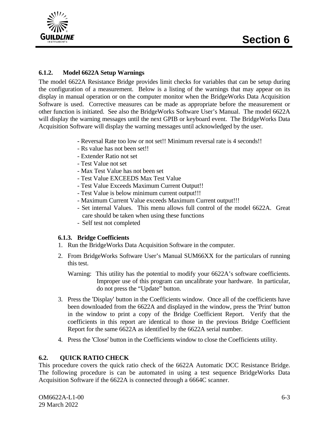

#### **6.1.2. Model 6622A Setup Warnings**

The model 6622A Resistance Bridge provides limit checks for variables that can be setup during the configuration of a measurement. Below is a listing of the warnings that may appear on its display in manual operation or on the computer monitor when the BridgeWorks Data Acquisition Software is used. Corrective measures can be made as appropriate before the measurement or other function is initiated. See also the BridgeWorks Software User's Manual. The model 6622A will display the warning messages until the next GPIB or keyboard event. The BridgeWorks Data Acquisition Software will display the warning messages until acknowledged by the user.

- **-** Reversal Rate too low or not set!! Minimum reversal rate is 4 seconds!!
- Rs value has not been set!!
- Extender Ratio not set
- Test Value not set
- Max Test Value has not been set
- Test Value EXCEEDS Max Test Value
- Test Value Exceeds Maximum Current Output!!
- Test Value is below minimum current output!!!
- Maximum Current Value exceeds Maximum Current output!!!
- Set internal Values. This menu allows full control of the model 6622A. Great care should be taken when using these functions
- Self test not completed

#### **6.1.3. Bridge Coefficients**

- 1. Run the BridgeWorks Data Acquisition Software in the computer.
- 2. From BridgeWorks Software User's Manual SUM66XX for the particulars of running this test.
	- Warning: This utility has the potential to modify your 6622A's software coefficients. Improper use of this program can uncalibrate your hardware. In particular, do not press the "Update" button.
- 3. Press the 'Display' button in the Coefficients window. Once all of the coefficients have been downloaded from the 6622A and displayed in the window, press the 'Print' button in the window to print a copy of the Bridge Coefficient Report. Verify that the coefficients in this report are identical to those in the previous Bridge Coefficient Report for the same 6622A as identified by the 6622A serial number.
- 4. Press the 'Close' button in the Coefficients window to close the Coefficients utility.

#### **6.2. QUICK RATIO CHECK**

This procedure covers the quick ratio check of the 6622A Automatic DCC Resistance Bridge. The following procedure is can be automated in using a test sequence BridgeWorks Data Acquisition Software if the 6622A is connected through a 6664C scanner.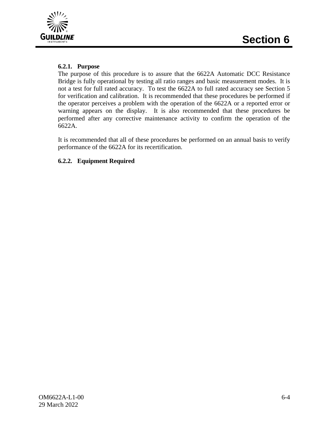



#### **6.2.1. Purpose**

The purpose of this procedure is to assure that the 6622A Automatic DCC Resistance Bridge is fully operational by testing all ratio ranges and basic measurement modes. It is not a test for full rated accuracy. To test the 6622A to full rated accuracy see Section 5 for verification and calibration. It is recommended that these procedures be performed if the operator perceives a problem with the operation of the 6622A or a reported error or warning appears on the display. It is also recommended that these procedures be performed after any corrective maintenance activity to confirm the operation of the 6622A.

It is recommended that all of these procedures be performed on an annual basis to verify performance of the 6622A for its recertification.

#### **6.2.2. Equipment Required**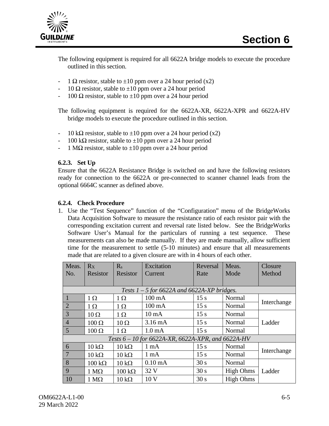

The following equipment is required for all 6622A bridge models to execute the procedure outlined in this section.

- 1  $\Omega$  resistor, stable to  $\pm 10$  ppm over a 24 hour period (x2)
- 10  $\Omega$  resistor, stable to  $\pm 10$  ppm over a 24 hour period
- 100  $\Omega$  resistor, stable to  $\pm 10$  ppm over a 24 hour period

The following equipment is required for the 6622A-XR, 6622A-XPR and 6622A-HV bridge models to execute the procedure outlined in this section.

- 10 kΩ resistor, stable to  $\pm 10$  ppm over a 24 hour period (x2)
- $100 \text{ k}\Omega$  resistor, stable to  $\pm 10$  ppm over a 24 hour period
- 1 M $\Omega$  resistor, stable to  $\pm 10$  ppm over a 24 hour period

#### **6.2.3. Set Up**

Ensure that the 6622A Resistance Bridge is switched on and have the following resistors ready for connection to the 6622A or pre-connected to scanner channel leads from the optional 6664C scanner as defined above.

#### **6.2.4. Check Procedure**

1. Use the "Test Sequence" function of the "Configuration" menu of the BridgeWorks Data Acquisition Software to measure the resistance ratio of each resistor pair with the corresponding excitation current and reversal rate listed below. See the BridgeWorks Software User's Manual for the particulars of running a test sequence. These measurements can also be made manually. If they are made manually, allow sufficient time for the measurement to settle (5-10 minutes) and ensure that all measurements made that are related to a given closure are with in 4 hours of each other.

| Meas.           | Rx                    | $R_{s}$               | Excitation                                           | Reversal        | Meas.            | <b>Closure</b> |
|-----------------|-----------------------|-----------------------|------------------------------------------------------|-----------------|------------------|----------------|
| No.             | Resistor              | Resistor              | Current                                              | Rate            | Mode             | Method         |
|                 |                       |                       |                                                      |                 |                  |                |
|                 |                       |                       | Tests $1 - 5$ for 6622A and 6622A-XP bridges.        |                 |                  |                |
|                 | $1\Omega$             | $1\Omega$             | $100 \text{ mA}$                                     | 15 s            | Normal           | Interchange    |
| 2               | $1\Omega$             | $1 \Omega$            | $100 \text{ mA}$                                     | 15 s            | Normal           |                |
| $\overline{3}$  | $10 \Omega$           | $1\Omega$             | $10 \text{ mA}$                                      | 15 s            | Normal           |                |
| $\overline{4}$  | $100 \Omega$          | $10 \Omega$           | $3.16 \text{ mA}$                                    | 15 s            | Normal           | Ladder         |
| $5\overline{)}$ | $100 \Omega$          | $1\Omega$             | 1.0 <sub>mA</sub>                                    | 15 <sub>s</sub> | Normal           |                |
|                 |                       |                       | Tests $6 - 10$ for 6622A-XR, 6622A-XPR, and 6622A-HV |                 |                  |                |
| 6               | $10 \text{ k}\Omega$  | $10 \text{ k}\Omega$  | $1 \text{ mA}$                                       | 15 s            | Normal           |                |
| $\overline{7}$  | $10 \text{ k}\Omega$  | $10 k\Omega$          | $1 \text{ mA}$                                       | 15 s            | Normal           | Interchange    |
| 8               | $100 \text{ k}\Omega$ | $10 k\Omega$          | $0.10 \text{ mA}$                                    | 30 s            | Normal           |                |
| 9               | $1 M\Omega$           | $100 \text{ k}\Omega$ | 32 V                                                 | 30 s            | <b>High Ohms</b> | Ladder         |
| <sup>10</sup>   | $1 M\Omega$           | $10 k\Omega$          | 10 <sub>V</sub>                                      | 30 s            | <b>High Ohms</b> |                |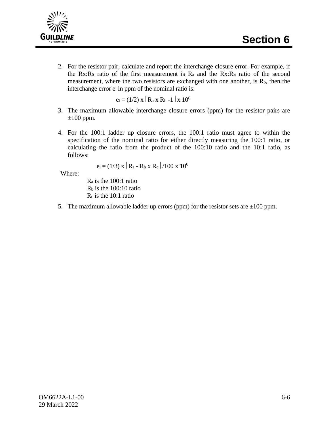

2. For the resistor pair, calculate and report the interchange closure error. For example, if the Rx:Rs ratio of the first measurement is  $R_a$  and the Rx:Rs ratio of the second measurement, where the two resistors are exchanged with one another, is Rb, then the interchange error ei in ppm of the nominal ratio is:

 $e_i = (1/2) \times R_a \times R_b - 1 \times 10^6$ 

- 3. The maximum allowable interchange closure errors (ppm) for the resistor pairs are  $\pm 100$  ppm.
- 4. For the 100:1 ladder up closure errors, the 100:1 ratio must agree to within the specification of the nominal ratio for either directly measuring the 100:1 ratio, or calculating the ratio from the product of the 100:10 ratio and the 10:1 ratio, as follows:

$$
e_i = (1/3) \times |R_a - R_b \times R_c| / 100 \times 10^6
$$

Where:

Ra is the 100:1 ratio  $R<sub>b</sub>$  is the 100:10 ratio Rc is the 10:1 ratio

5. The maximum allowable ladder up errors (ppm) for the resistor sets are  $\pm 100$  ppm.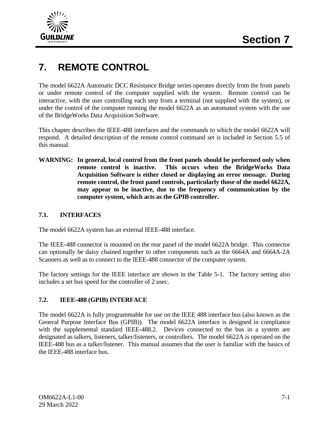

## **7. REMOTE CONTROL**

The model 6622A Automatic DCC Resistance Bridge series operates directly from the front panels or under remote control of the computer supplied with the system. Remote control can be interactive, with the user controlling each step from a terminal (not supplied with the system), or under the control of the computer running the model 6622A as an automated system with the use of the BridgeWorks Data Acquisition Software.

This chapter describes the IEEE-488 interfaces and the commands to which the model 6622A will respond. A detailed description of the remote control command set is included in Section 5.5 of this manual.

**WARNING: In general, local control from the front panels should be performed only when remote control is inactive. This occurs when the BridgeWorks Data Acquisition Software is either closed or displaying an error message. During remote control, the front panel controls, particularly those of the model 6622A, may appear to be inactive, due to the frequency of communication by the computer system, which acts as the GPIB controller.**

#### **7.1. INTERFACES**

The model 6622A system has an external IEEE-488 interface.

The IEEE-488 connector is mounted on the rear panel of the model 6622A bridge. This connector can optionally be daisy chained together to other components such as the 6664A and 6664A-2A Scanners as well as to connect to the IEEE-488 connector of the computer system.

The factory settings for the IEEE interface are shown in the Table 5-1. The factory setting also includes a set bus speed for the controller of 2 usec.

#### **7.2. IEEE-488 (GPIB) INTERFACE**

The model 6622A is fully programmable for use on the IEEE 488 interface bus (also known as the General Purpose Interface Bus (GPIB)). The model 6622A interface is designed in compliance with the supplemental standard IEEE-488.2. Devices connected to the bus in a system are designated as talkers, listeners, talker/listeners, or controllers. The model 6622A is operated on the IEEE-488 bus as a talker/listener. This manual assumes that the user is familiar with the basics of the IEEE-488 interface bus.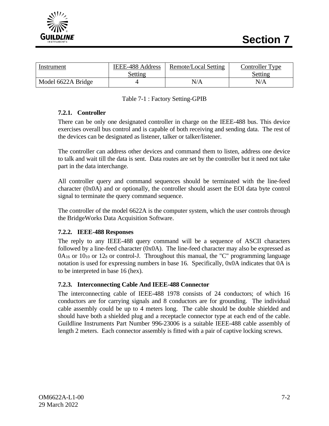

| Instrument         | IEEE-488 Address<br>Setting | Remote/Local Setting | Controller Type<br>Setting |
|--------------------|-----------------------------|----------------------|----------------------------|
| Model 6622A Bridge |                             | N/A                  | N/A                        |

#### Table 7-1 : Factory Setting-GPIB

#### **7.2.1. Controller**

There can be only one designated controller in charge on the IEEE-488 bus. This device exercises overall bus control and is capable of both receiving and sending data. The rest of the devices can be designated as listener, talker or talker/listener.

The controller can address other devices and command them to listen, address one device to talk and wait till the data is sent. Data routes are set by the controller but it need not take part in the data interchange.

All controller query and command sequences should be terminated with the line-feed character (0x0A) and or optionally, the controller should assert the EOI data byte control signal to terminate the query command sequence.

The controller of the model 6622A is the computer system, which the user controls through the BridgeWorks Data Acquisition Software.

#### **7.2.2. IEEE-488 Responses**

The reply to any IEEE-488 query command will be a sequence of ASCII characters followed by a line-feed character (0x0A). The line-feed character may also be expressed as  $0A_{16}$  or  $10_{10}$  or  $12_8$  or control-J. Throughout this manual, the "C" programming language notation is used for expressing numbers in base 16. Specifically, 0x0A indicates that 0A is to be interpreted in base 16 (hex).

#### **7.2.3. Interconnecting Cable And IEEE-488 Connector**

The interconnecting cable of IEEE-488 1978 consists of 24 conductors; of which 16 conductors are for carrying signals and 8 conductors are for grounding. The individual cable assembly could be up to 4 meters long. The cable should be double shielded and should have both a shielded plug and a receptacle connector type at each end of the cable. Guildline Instruments Part Number 996-23006 is a suitable IEEE-488 cable assembly of length 2 meters. Each connector assembly is fitted with a pair of captive locking screws.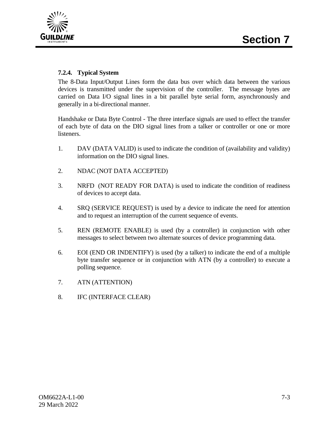

#### **7.2.4. Typical System**

The 8-Data Input/Output Lines form the data bus over which data between the various devices is transmitted under the supervision of the controller. The message bytes are carried on Data I/O signal lines in a bit parallel byte serial form, asynchronously and generally in a bi-directional manner.

Handshake or Data Byte Control - The three interface signals are used to effect the transfer of each byte of data on the DIO signal lines from a talker or controller or one or more listeners.

- 1. DAV (DATA VALID) is used to indicate the condition of (availability and validity) information on the DIO signal lines.
- 2. NDAC (NOT DATA ACCEPTED)
- 3. NRFD (NOT READY FOR DATA) is used to indicate the condition of readiness of devices to accept data.
- 4. SRQ (SERVICE REQUEST) is used by a device to indicate the need for attention and to request an interruption of the current sequence of events.
- 5. REN (REMOTE ENABLE) is used (by a controller) in conjunction with other messages to select between two alternate sources of device programming data.
- 6. EOI (END OR INDENTIFY) is used (by a talker) to indicate the end of a multiple byte transfer sequence or in conjunction with ATN (by a controller) to execute a polling sequence.
- 7. ATN (ATTENTION)
- 8. IFC (INTERFACE CLEAR)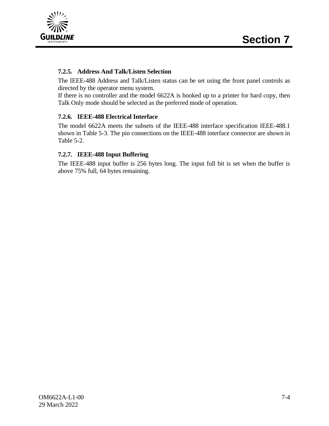

#### **7.2.5. Address And Talk/Listen Selection**

The IEEE-488 Address and Talk/Listen status can be set using the front panel controls as directed by the operator menu system.

If there is no controller and the model 6622A is hooked up to a printer for hard copy, then Talk Only mode should be selected as the preferred mode of operation.

#### **7.2.6. IEEE-488 Electrical Interface**

The model 6622A meets the subsets of the IEEE-488 interface specification IEEE-488.1 shown in Table 5-3. The pin connections on the IEEE-488 interface connector are shown in Table 5-2.

#### **7.2.7. IEEE-488 Input Buffering**

The IEEE-488 input buffer is 256 bytes long. The input full bit is set when the buffer is above 75% full, 64 bytes remaining.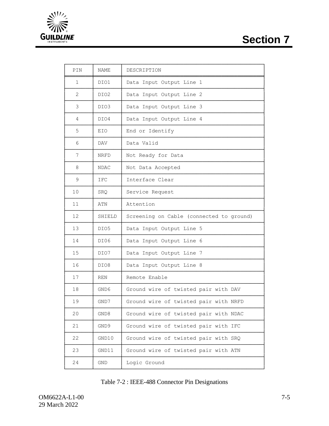## **Section 7**



| PIN            | NAME       | DESCRIPTION                              |
|----------------|------------|------------------------------------------|
| 1              | DIO1       | Data Input Output Line 1                 |
| $\overline{2}$ | DIO2       | Data Input Output Line 2                 |
| 3              | DIO3       | Data Input Output Line 3                 |
| 4              | DIO4       | Data Input Output Line 4                 |
| 5              | EIO        | End or Identify                          |
| 6              | DAV        | Data Valid                               |
| 7              | NRFD       | Not Ready for Data                       |
| 8              | NDAC       | Not Data Accepted                        |
| 9              | IFC        | Interface Clear                          |
| 10             | SRQ.       | Service Request                          |
| 11             | ATN        | Attention                                |
| 12             | SHIELD     | Screening on Cable (connected to ground) |
| 13             | DIO5       | Data Input Output Line 5                 |
| 14             | DI06       | Data Input Output Line 6                 |
| 15             | DIO7       | Data Input Output Line 7                 |
| 16             | DIO8       | Data Input Output Line 8                 |
| 17             | <b>REN</b> | Remote Enable                            |
| 18             | GND6       | Ground wire of twisted pair with DAV     |
| 19             | GND7       | Ground wire of twisted pair with NRFD    |
| 20             | GND8       | Ground wire of twisted pair with NDAC    |
| 21             | GND9       | Ground wire of twisted pair with IFC     |
| 22             | GND10      | Ground wire of twisted pair with SRQ     |
| 23             | GND11      | Ground wire of twisted pair with ATN     |
| 24             | GND.       | Logic Ground                             |

| Table 7-2 : IEEE-488 Connector Pin Designations |  |  |  |
|-------------------------------------------------|--|--|--|
|-------------------------------------------------|--|--|--|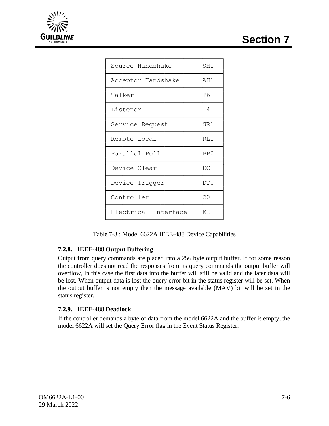**Section 7**



| Source Handshake     | SH1  |
|----------------------|------|
| Acceptor Handshake   | AH 1 |
| Talker               | T6   |
| Listener             | L4   |
| Service Request      | SR1  |
| Remote Local         | RT.1 |
| Parallel Poll        | PP() |
| Device Clear         | DC1  |
| Device Trigger       | DT0  |
| Controller           | CO   |
| Electrical Interface | E2   |

Table 7-3 : Model 6622A IEEE-488 Device Capabilities

└──────────────────────┴───────┘

#### **7.2.8. IEEE-488 Output Buffering**

Output from query commands are placed into a 256 byte output buffer. If for some reason the controller does not read the responses from its query commands the output buffer will overflow, in this case the first data into the buffer will still be valid and the later data will be lost. When output data is lost the query error bit in the status register will be set. When the output buffer is not empty then the message available (MAV) bit will be set in the status register.

#### **7.2.9. IEEE-488 Deadlock**

If the controller demands a byte of data from the model 6622A and the buffer is empty, the model 6622A will set the Query Error flag in the Event Status Register.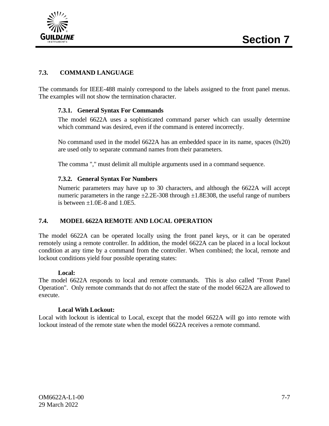

#### **7.3. COMMAND LANGUAGE**

The commands for IEEE-488 mainly correspond to the labels assigned to the front panel menus. The examples will not show the termination character.

#### **7.3.1. General Syntax For Commands**

The model 6622A uses a sophisticated command parser which can usually determine which command was desired, even if the command is entered incorrectly.

No command used in the model 6622A has an embedded space in its name, spaces (0x20) are used only to separate command names from their parameters.

The comma "," must delimit all multiple arguments used in a command sequence.

#### **7.3.2. General Syntax For Numbers**

Numeric parameters may have up to 30 characters, and although the 6622A will accept numeric parameters in the range  $\pm 2.2E$ -308 through  $\pm 1.8E$ 308, the useful range of numbers is between  $+1.0E-8$  and  $1.0E5$ .

#### **7.4. MODEL 6622A REMOTE AND LOCAL OPERATION**

The model 6622A can be operated locally using the front panel keys, or it can be operated remotely using a remote controller. In addition, the model 6622A can be placed in a local lockout condition at any time by a command from the controller. When combined; the local, remote and lockout conditions yield four possible operating states:

#### **Local:**

The model 6622A responds to local and remote commands. This is also called "Front Panel Operation". Only remote commands that do not affect the state of the model 6622A are allowed to execute.

#### **Local With Lockout:**

Local with lockout is identical to Local, except that the model 6622A will go into remote with lockout instead of the remote state when the model 6622A receives a remote command.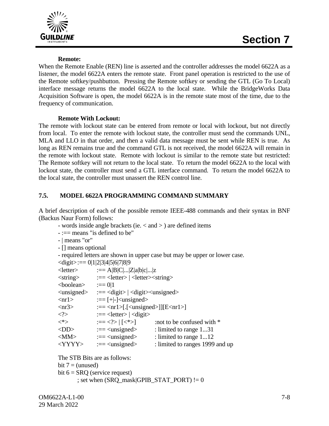



#### **Remote:**

When the Remote Enable (REN) line is asserted and the controller addresses the model 6622A as a listener, the model 6622A enters the remote state. Front panel operation is restricted to the use of the Remote softkey/pushbutton. Pressing the Remote softkey or sending the GTL (Go To Local) interface message returns the model 6622A to the local state. While the BridgeWorks Data Acquisition Software is open, the model 6622A is in the remote state most of the time, due to the frequency of communication.

#### **Remote With Lockout:**

The remote with lockout state can be entered from remote or local with lockout, but not directly from local. To enter the remote with lockout state, the controller must send the commands UNL, MLA and LLO in that order, and then a valid data message must be sent while REN is true. As long as REN remains true and the command GTL is not received, the model 6622A will remain in the remote with lockout state. Remote with lockout is similar to the remote state but restricted: The Remote softkey will not return to the local state. To return the model 6622A to the local with lockout state, the controller must send a GTL interface command. To return the model 6622A to the local state, the controller must unassert the REN control line.

### **7.5. MODEL 6622A PROGRAMMING COMMAND SUMMARY**

A brief description of each of the possible remote IEEE-488 commands and their syntax in BNF (Backus Naur Form) follows:

- words inside angle brackets (ie. < and > ) are defined items
- :== means "is defined to be"
- | means "or"
- [] means optional
- required letters are shown in upper case but may be upper or lower case.

| $\langle \text{digit}\rangle := 0 1 2 3 4 5 6 7 8 9$ |                                                                               |                                 |
|------------------------------------------------------|-------------------------------------------------------------------------------|---------------------------------|
| $<$ letter $>$                                       | $:=$ A B C  Z a b c  z                                                        |                                 |
| $\langle$ string $\rangle$                           | $:=$ <letter> <math>\vert</math> <letter> <string></string></letter></letter> |                                 |
| <boolean></boolean>                                  | $:==0 1$                                                                      |                                 |
| $\langle$ unsigned $\rangle$                         | $:=$ <digit>   <digit> <digit> <digit></digit></digit></digit></digit>        |                                 |
| $\langle$ nr1 $>$                                    | $:=$ [+ -] <unsigned></unsigned>                                              |                                 |
| $\langle nr3\rangle$                                 | $:=$ <nr1>[.[<unsigned>]][E<nr1>]</nr1></unsigned></nr1>                      |                                 |
| $\langle$ ?>                                         | $:=$ <letter> <math>\vert</math> <digit></digit></letter>                     |                                 |
| $<^*>$                                               | $:= [<^*>]$                                                                   | :not to be confused with $*$    |
| $<$ DD>                                              | $:=<$ unsigned>                                                               | : limited to range 131          |
| $<$ MM $>$                                           | $:=<$ unsigned>                                                               | : limited to range 112          |
| $<$ YYYY>                                            | $:=<$ unsigned>                                                               | : limited to ranges 1999 and up |
|                                                      |                                                                               |                                 |

```
The STB Bits are as follows:
bit 7 = (unused)bit 6 = SRQ (service request)
      ; set when (SRO_mask|GPIB_STAT_PORT) != 0
```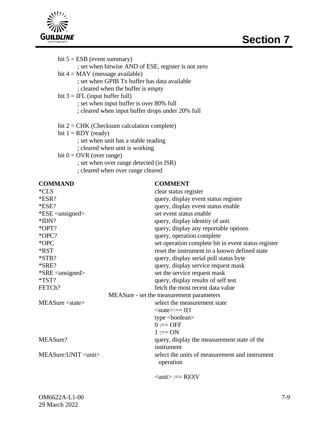

| bit $5 = ESB$ (event summary)<br>bit $4 = MAX$ (message available)<br>; set when GPIB Tx buffer has data available<br>; cleared when the buffer is empty<br>bit $3 = IFL$ (input buffer full)<br>; set when input buffer is over 80% full                      | ; set when bitwise AND of ESE, register is not zero<br>; cleared when input buffer drops under 20% full                                                                                                                    |
|----------------------------------------------------------------------------------------------------------------------------------------------------------------------------------------------------------------------------------------------------------------|----------------------------------------------------------------------------------------------------------------------------------------------------------------------------------------------------------------------------|
| bit $2 = CHK$ (Checksum calculation complete)<br>bit $1 = RDY$ (ready)<br>; set when unit has a stable reading<br>; cleared when unit is working<br>bit $0 = OVR$ (over range)<br>; set when over range detected (in ISR)<br>; cleared when over range cleared |                                                                                                                                                                                                                            |
| <b>COMMAND</b><br>$*CLS$<br>$*ESR?$<br>*ESE?<br>$*ESE \langle \text{unsigned} \rangle$<br>$*IDN?$<br>*OPT?                                                                                                                                                     | <b>COMMENT</b><br>clear status register<br>query, display event status register<br>query, display event status enable<br>set event status enable<br>query, display identity of unit<br>query, display any reportable optio |

| $*ESE \langle \text{unsigned} \rangle$ | set event status enable                             |
|----------------------------------------|-----------------------------------------------------|
| $*IDN?$                                | query, display identity of unit                     |
| *OPT?                                  | query, display any reportable options               |
| *OPC?                                  | query, operation complete                           |
| *OPC                                   | set operation complete bit in event status register |
| *RST                                   | reset the instrument to a known defined state       |
| $*STB?$                                | query, display serial poll status byte              |
| *SRE?                                  | query, display service request mask                 |
| *SRE <unsigned></unsigned>             | set the service request mask                        |
| $*TST?$                                | query, display results of self test                 |
| FETCh?                                 | fetch the most recent data value                    |
|                                        | MEASure - set the measurement parameters            |
| $MEASure <$ state>                     | select the measurement state                        |
|                                        | $<$ state>:== 0 1                                   |
|                                        | type $<$ boolean $>$                                |
|                                        | $0 := OFF$                                          |
|                                        | $1 := ON$                                           |
| MEASure?                               | query, display the measurement state of the         |
|                                        | instrument                                          |
| MEASure: UNIT <unit></unit>            | select the units of measurement and instrument      |
|                                        | operation                                           |
|                                        |                                                     |
|                                        | $\langle \text{unit} \rangle := R  O V$             |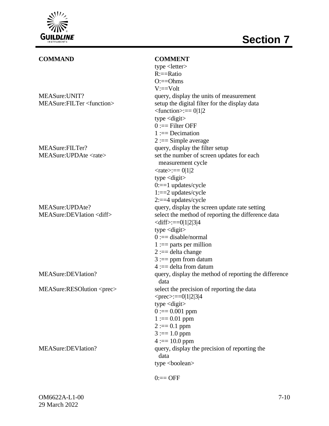

| <b>COMMAND</b>                       | <b>COMMENT</b>                                        |
|--------------------------------------|-------------------------------------------------------|
|                                      | type <letter></letter>                                |
|                                      | $R:=Ratio$                                            |
|                                      | $O:=Ohms$                                             |
|                                      | $V:==Volt$                                            |
| MEASure: UNIT?                       | query, display the units of measurement               |
| MEASure:FILTer <function></function> | setup the digital filter for the display data         |
|                                      | $\le$ function>:== 0 1 2                              |
|                                      | type $\langle$ digit $\rangle$                        |
|                                      | $0 :=$ Filter OFF                                     |
|                                      | $1 := Decimation$                                     |
|                                      | $2 :=$ Simple average                                 |
| MEASure:FILTer?                      | query, display the filter setup                       |
| MEASure: UPDAte <rate></rate>        | set the number of screen updates for each             |
|                                      | measurement cycle                                     |
|                                      | $\langle \text{rate}\rangle := 0 1 2$                 |
|                                      | type $\langle$ digit $\rangle$                        |
|                                      | $0:=1$ updates/cycle                                  |
|                                      | $1:=2$ updates/cycle                                  |
|                                      | $2:==4$ updates/cycle                                 |
| MEASure: UPDAte?                     | query, display the screen update rate setting         |
| MEASure:DEVIation <diff></diff>      | select the method of reporting the difference data    |
|                                      | $<$ diff>:==0 1 2 3 4                                 |
|                                      | type $\langle$ digit $\rangle$                        |
|                                      | $0 :=$ disable/normal                                 |
|                                      | $1 :=$ parts per million                              |
|                                      | $2 :=$ delta change                                   |
|                                      | $3 :=$ ppm from datum                                 |
|                                      | $4 :=$ delta from datum                               |
| MEASure:DEVIation?                   | query, display the method of reporting the difference |
|                                      | data                                                  |
| MEASure:RESOlution <prec></prec>     | select the precision of reporting the data            |
|                                      | $<$ prec>:==0 1 2 3 4                                 |
|                                      | type $\langle$ digit $\rangle$                        |
|                                      | $0 := 0.001$ ppm                                      |
|                                      | $1 := 0.01$ ppm                                       |
|                                      | $2 := 0.1$ ppm                                        |
|                                      | $3 := 1.0$ ppm                                        |
|                                      | $4 := 10.0$ ppm                                       |
| MEASure:DEVIation?                   | query, display the precision of reporting the         |
|                                      | data                                                  |
|                                      | type <boolean></boolean>                              |
|                                      |                                                       |

### $0:=$  OFF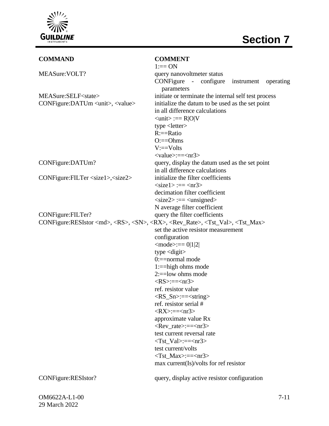

| <b>COMMAND</b>                                                                                                                 | <b>COMMENT</b>                                             |
|--------------------------------------------------------------------------------------------------------------------------------|------------------------------------------------------------|
|                                                                                                                                | $1:=ON$                                                    |
| MEASure: VOLT?                                                                                                                 | query nanovoltmeter status                                 |
|                                                                                                                                | CONFigure - configure<br>instrument<br>operating           |
|                                                                                                                                | parameters                                                 |
| MEASure:SELF <state></state>                                                                                                   | initiate or terminate the internal self test process       |
| CONFigure:DATUm <unit>, <value></value></unit>                                                                                 | initialize the datum to be used as the set point           |
|                                                                                                                                | in all difference calculations                             |
|                                                                                                                                | $\langle \text{unit} \rangle := R  O V$                    |
|                                                                                                                                | type <letter></letter>                                     |
|                                                                                                                                | $R:=$ $Rati$                                               |
|                                                                                                                                | $O:=Ohms$                                                  |
|                                                                                                                                | $V:=Volts$                                                 |
|                                                                                                                                | $\langle \text{value}\rangle := \langle \text{nr3}\rangle$ |
| CONFigure:DATUm?                                                                                                               | query, display the datum used as the set point             |
|                                                                                                                                | in all difference calculations                             |
| CONFigure:FILTer <size1>, <size2></size2></size1>                                                                              | initialize the filter coefficients                         |
|                                                                                                                                | $<$ size1> :== $<$ nr3>                                    |
|                                                                                                                                | decimation filter coefficient                              |
|                                                                                                                                | $\langle$ size2> :== $\langle$ unsigned>                   |
|                                                                                                                                | N average filter coefficient                               |
| CONFigure:FILTer?                                                                                                              | query the filter coefficients                              |
| CONFigure:RESIstor <md>, <rs>, <sn>, <rx>, <rev_rate>, <tst_val>, <tst_max></tst_max></tst_val></rev_rate></rx></sn></rs></md> |                                                            |
|                                                                                                                                | set the active resistor measurement                        |
|                                                                                                                                | configuration                                              |
|                                                                                                                                | $\text{<}$ mode $\text{>=}$ $0 1 2 $                       |
|                                                                                                                                | type $\langle$ digit $\rangle$                             |
|                                                                                                                                | $0:=$ =normal mode                                         |
|                                                                                                                                | $1:=$ =high ohms mode                                      |
|                                                                                                                                | $2:=$ low ohms mode                                        |
|                                                                                                                                | $\langle RS \rangle := \langle nr3 \rangle$                |
|                                                                                                                                | ref. resistor value                                        |
|                                                                                                                                | $\langle RS\_Sn \rangle := \langle string \rangle$         |
|                                                                                                                                | ref. resistor serial #                                     |
|                                                                                                                                | $\langle RX \rangle := \langle nr3 \rangle$                |
|                                                                                                                                | approximate value Rx                                       |
|                                                                                                                                | $\langle Rev\_rate \rangle := \langle nr3 \rangle$         |
|                                                                                                                                | test current reversal rate                                 |
|                                                                                                                                | $\langle$ Tst Val>:== $\langle$ nr3>                       |
|                                                                                                                                | test current/volts                                         |
|                                                                                                                                | $<$ Tst_Max>:== $<$ nr3>                                   |
|                                                                                                                                | $max$ current(Is)/volts for ref resistor                   |
| CONFigure:RESIstor?                                                                                                            | query, display active resistor configuration               |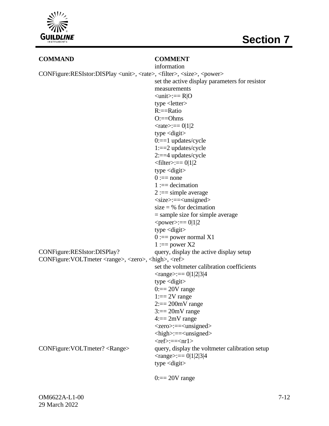

### **COMMAND COMMENT**

|                                                                                                            | information                                                                                   |
|------------------------------------------------------------------------------------------------------------|-----------------------------------------------------------------------------------------------|
| CONFigure:RESIstor:DISPlay <unit>, <rate>, <filter>, <size>, <power></power></size></filter></rate></unit> |                                                                                               |
|                                                                                                            | set the active display parameters for resistor                                                |
|                                                                                                            | measurements                                                                                  |
|                                                                                                            | $\langle \text{unit} \rangle := R 0$                                                          |
|                                                                                                            | type $\leq$ letter $>$                                                                        |
|                                                                                                            | $R:=Ratio$                                                                                    |
|                                                                                                            | $O:=Ohms$                                                                                     |
|                                                                                                            | $\langle \text{rate} \rangle := 0 1 2$                                                        |
|                                                                                                            | type $\langle$ digit $\rangle$                                                                |
|                                                                                                            | $0:=1$ updates/cycle                                                                          |
|                                                                                                            | $1:=2$ updates/cycle                                                                          |
|                                                                                                            | $2:==4$ updates/cycle                                                                         |
|                                                                                                            | $\text{If} \text{iter} \geq \text{:=} 0 1 2$                                                  |
|                                                                                                            | type $\langle$ digit $\rangle$                                                                |
|                                                                                                            | $0 :=$ none                                                                                   |
|                                                                                                            | $1 := decimation$                                                                             |
|                                                                                                            | $2 := simple average$                                                                         |
|                                                                                                            | $\langle size \rangle := \langle unsigned \rangle$                                            |
|                                                                                                            | size = $\%$ for decimation                                                                    |
|                                                                                                            | $=$ sample size for simple average                                                            |
|                                                                                                            | $<$ power>:== 0 1 2                                                                           |
|                                                                                                            | type $\langle$ digit $\rangle$                                                                |
|                                                                                                            | $0 :=$ power normal X1                                                                        |
|                                                                                                            | $1 := power X2$                                                                               |
| CONFigure:RESIstor:DISPlay?                                                                                | query, display the active display setup                                                       |
| CONFigure: VOLTmeter <range>, <zero>, <high>, <ref></ref></high></zero></range>                            |                                                                                               |
|                                                                                                            | set the voltmeter calibration coefficients                                                    |
|                                                                                                            | $\langle \text{range} \rangle := 0 1 2 3 4$                                                   |
|                                                                                                            | type $\langle$ digit $\rangle$                                                                |
|                                                                                                            | $0 := 20V$ range                                                                              |
|                                                                                                            | $1 == 2V$ range                                                                               |
|                                                                                                            | $2 == 200$ mV range                                                                           |
|                                                                                                            | $3 == 20mV$ range                                                                             |
|                                                                                                            | $4 == 2mV$ range                                                                              |
|                                                                                                            | <zero>:==<unsigned></unsigned></zero>                                                         |
|                                                                                                            | $\langle$ high>:== $\langle$ unsigned>                                                        |
|                                                                                                            | $<$ ref>:== $<$ nr1>                                                                          |
| CONFigure: VOLTmeter? <range></range>                                                                      | query, display the voltmeter calibration setup<br>$\langle \text{range} \rangle := 0 1 2 3 4$ |
|                                                                                                            | type $\langle$ digit $\rangle$                                                                |
|                                                                                                            |                                                                                               |
|                                                                                                            | $0 := 20V$ range                                                                              |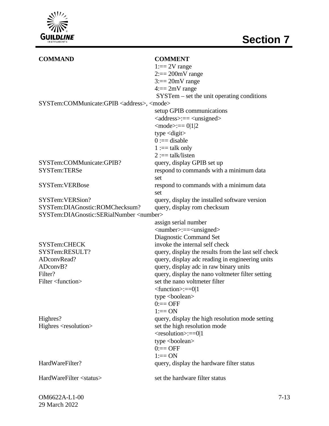

| <b>COMMAND</b>                                             | <b>COMMENT</b>                                      |
|------------------------------------------------------------|-----------------------------------------------------|
|                                                            | $1 := 2V$ range                                     |
|                                                            | $2 == 200$ mV range                                 |
|                                                            | $3 == 20mV$ range                                   |
|                                                            | $4 == 2mV$ range                                    |
|                                                            | $SYSTem - set$ the unit operating conditions        |
| SYSTem:COMMunicate:GPIB <address>, <mode></mode></address> |                                                     |
|                                                            | setup GPIB communications                           |
|                                                            | <address>:== <unsigned></unsigned></address>        |
|                                                            | $\text{<}$ mode $\text{>=}$ == 0 1 2                |
|                                                            | type $\langle$ digit $\rangle$                      |
|                                                            | $0 :=$ disable                                      |
|                                                            | $1 :=$ talk only                                    |
|                                                            | $2 := =$ talk/listen                                |
| SYSTem:COMMunicate:GPIB?                                   | query, display GPIB set up                          |
| SYSTem:TERSe                                               | respond to commands with a minimum data             |
|                                                            | set                                                 |
| <b>SYSTem:VERBose</b>                                      | respond to commands with a minimum data             |
|                                                            | set                                                 |
| SYSTem:VERSion?                                            | query, display the installed software version       |
| SYSTem:DIAGnostic:ROMChecksum?                             | query, display rom checksum                         |
| SYSTem:DIAGnostic:SERialNumber <number></number>           |                                                     |
|                                                            | assign serial number                                |
|                                                            | <number>:==<unsigned></unsigned></number>           |
|                                                            | Diagnostic Command Set                              |
| SYSTem:CHECK                                               | invoke the internal self check                      |
| SYSTem:RESULT?                                             | query, display the results from the last self check |
| ADconvRead?                                                | query, display adc reading in engineering units     |
| ADconvB?                                                   | query, display adc in raw binary units              |
| Filter?                                                    | query, display the nano voltmeter filter setting    |
| Filter <function></function>                               | set the nano voltmeter filter                       |
|                                                            | $\text{-(function)}:=0 1$                           |
|                                                            | type $<$ boolean $>$                                |
|                                                            | $0 := OFF$                                          |
|                                                            | $1:=ON$                                             |
| Highres?                                                   | query, display the high resolution mode setting     |
| Highres <resolution></resolution>                          | set the high resolution mode                        |
|                                                            | <resolution>:==0 1</resolution>                     |
|                                                            | type <boolean></boolean>                            |
|                                                            | $0:=OPF$                                            |
|                                                            | $1:=ON$                                             |
| HardWareFilter?                                            | query, display the hardware filter status           |
|                                                            |                                                     |
| HardWareFilter <status></status>                           | set the hardware filter status                      |
|                                                            |                                                     |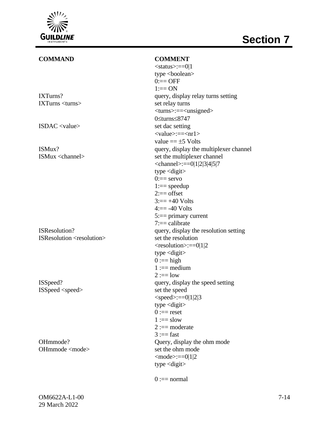

# IXTurns? query, display relay turns setting IXTurns <turns> set relay turns ISDAC <value> set dac setting ISMux? query, display the multiplexer channel ISMux <channel> set the multiplexer channel ISResolution? query, display the resolution setting

ISResolution <resolution> set the resolution

ISSpeed <speed> set the speed

OHmmode  $\langle$  mode> set the ohm mode

**COMMAND COMMENT**  $<$ status $>=$ =0|1 type <br/>boolean>  $0 := OFF$  $1:=ON$ <turns>:==<unsigned> 0≤turns≤8747 <value>:==<nr1> value  $== \pm 5$  Volts  $\le$ channel>:==0|1|2|3|4|5|7 type  $\langle$ digit $\rangle$  $0:=$  servo  $1:=$  speedup  $2 ==$  offset  $3 == +40$  Volts  $4 == -40$  Volts 5:== primary current 7:== calibrate  $<$ resolution $>==0|1|2$ type  $\langle$ digit $\rangle$  $0 :=$ high  $1 := median$  $2 := \text{low}$ ISSpeed? query, display the speed setting  $<$ speed>:==0|1|2|3 type <digit>  $0 :=$ reset  $1 :=$ slow  $2 :=$  moderate  $3 :=$ fast OHmmode? Query, display the ohm mode  $<$ mode $>=$  $=$ 0|1|2 type  $\langle$ digit $\rangle$ 

 $0 := normal$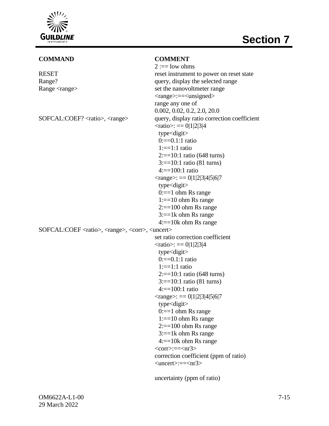

## **Section 7**

#### **COMMAND COMMENT**

|                                                                                | $2 := low ohms$                             |
|--------------------------------------------------------------------------------|---------------------------------------------|
| <b>RESET</b>                                                                   | reset instrument to power on reset state    |
| Range?                                                                         | query, display the selected range           |
| Range <range></range>                                                          | set the nanovoltmeter range                 |
|                                                                                | <range>:==<unsigned></unsigned></range>     |
|                                                                                | range any one of                            |
|                                                                                | 0.002, 0.02, 0.2, 2.0, 20.0                 |
| SOFCAL:COEF? <ratio>, <range></range></ratio>                                  | query, display ratio correction coefficient |
|                                                                                | $\langle \text{ratio} \rangle := 0.1 2 3 4$ |
|                                                                                | type <digit></digit>                        |
|                                                                                | $0:=0.1:1$ ratio                            |
|                                                                                | $1:=1:1$ ratio                              |
|                                                                                | $2:=10:1$ ratio (648 turns)                 |
|                                                                                | $3:=10:1$ ratio (81 turns)                  |
|                                                                                | $4:=100:1$ ratio                            |
|                                                                                | $\langle \text{range} \rangle := 0.1234567$ |
|                                                                                | $type$ <digit></digit>                      |
|                                                                                | $0 := 1$ ohm Rs range                       |
|                                                                                | $1:=10$ ohm Rs range                        |
|                                                                                | $2:=100$ ohm Rs range                       |
|                                                                                | $3:=1k$ ohm Rs range                        |
|                                                                                | $4:=10k$ ohm Rs range                       |
| SOFCAL:COEF <ratio>, <range>, <corr>, <uncert></uncert></corr></range></ratio> |                                             |
|                                                                                | set ratio correction coefficient            |
|                                                                                | $\langle \text{ratio} \rangle := 0 1 2 3 4$ |
|                                                                                | type <digit></digit>                        |
|                                                                                | $0:=0.1:1$ ratio                            |
|                                                                                | $1:=1:1$ ratio                              |
|                                                                                | $2:=10:1$ ratio (648 turns)                 |
|                                                                                | $3:=10:1$ ratio (81 turns)                  |
|                                                                                | $4:=100:1$ ratio                            |
|                                                                                | $\langle \text{range} \rangle := 0.1234567$ |
|                                                                                | $type <$ digit $>$                          |
|                                                                                | $0 := 1$ ohm Rs range                       |
|                                                                                | $1:=10$ ohm Rs range                        |
|                                                                                | $2:=100$ ohm Rs range                       |
|                                                                                | $3:=1k$ ohm Rs range                        |
|                                                                                | $4:=10k$ ohm Rs range                       |
|                                                                                | $<$ corr> $:=<$ nr3>                        |
|                                                                                | correction coefficient (ppm of ratio)       |
|                                                                                | $\langle$ uncert>:== $\langle$ nr3>         |
|                                                                                |                                             |

uncertainty (ppm of ratio)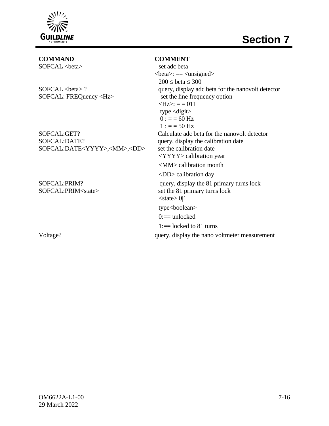

## **COMMAND COMMENT**

SOFCAL:DATE? query, display the calibration date SOFCAL:DATE<YYYY>,<MM>,<DD> set the calibration date

SOFCAL <br/>beta> set adc beta  $\text{} := \text{}$  $200 \leq \beta \leq 300$ SOFCAL <br/>beta> ? query, display adc beta for the nanovolt detector SOFCAL: FREQuency <Hz> set the line frequency option  $\langle Hz \rangle$ : = = 011 type  $\langle$ digit $\rangle$  $0 := 60$  Hz  $1 := 50$  Hz SOFCAL:GET? Calculate adc beta for the nanovolt detector <YYYY> calibration year <MM> calibration month <DD> calibration day SOFCAL:PRIM? query, display the 81 primary turns lock SOFCAL:PRIM<state>
set the 81 primary turns lock  $<$ state $> 0|1$ type<boolean>  $0:=$  unlocked  $1:=$  locked to 81 turns Voltage?  $\frac{1}{2}$  query, display the nano voltmeter measurement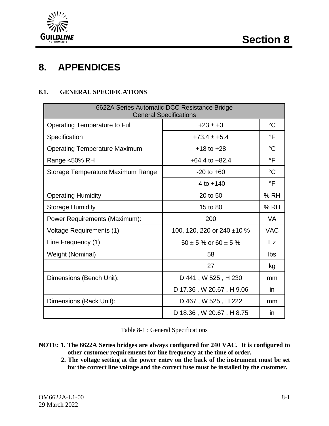



## **8. APPENDICES**

#### **8.1. GENERAL SPECIFICATIONS**

| 6622A Series Automatic DCC Resistance Bridge<br><b>General Specifications</b> |                              |                 |  |
|-------------------------------------------------------------------------------|------------------------------|-----------------|--|
| <b>Operating Temperature to Full</b>                                          | $+23 \pm +3$                 | $^{\circ}C$     |  |
| Specification                                                                 | $+73.4 \pm +5.4$             | °F              |  |
| <b>Operating Temperature Maximum</b>                                          | $+18$ to $+28$               | $^{\circ}C$     |  |
| Range <50% RH                                                                 | $+64.4$ to $+82.4$           | $\overline{F}$  |  |
| Storage Temperature Maximum Range                                             | $-20$ to $+60$               | $\rm ^{\circ}C$ |  |
|                                                                               | $-4$ to $+140$               | $\circ$ F       |  |
| <b>Operating Humidity</b>                                                     | 20 to 50                     | % RH            |  |
| <b>Storage Humidity</b>                                                       | 15 to 80                     | %RH             |  |
| Power Requirements (Maximum):                                                 | 200                          | VA              |  |
| Voltage Requirements (1)                                                      | 100, 120, 220 or 240 ±10 %   | <b>VAC</b>      |  |
| Line Frequency (1)                                                            | $50 \pm 5$ % or 60 $\pm$ 5 % | Hz              |  |
| Weight (Nominal)                                                              | 58                           | <b>lbs</b>      |  |
|                                                                               | 27                           | kg              |  |
| Dimensions (Bench Unit):                                                      | D 441, W 525, H 230          | mm              |  |
|                                                                               | D 17.36, W 20.67, H 9.06     | <i>in</i>       |  |
| Dimensions (Rack Unit):                                                       | D 467, W 525, H 222          | mm              |  |
|                                                                               | D 18.36, W 20.67, H 8.75     | in              |  |

Table 8-1 : General Specifications

- **NOTE: 1. The 6622A Series bridges are always configured for 240 VAC. It is configured to other customer requirements for line frequency at the time of order.**
	- **2. The voltage setting at the power entry on the back of the instrument must be set for the correct line voltage and the correct fuse must be installed by the customer.**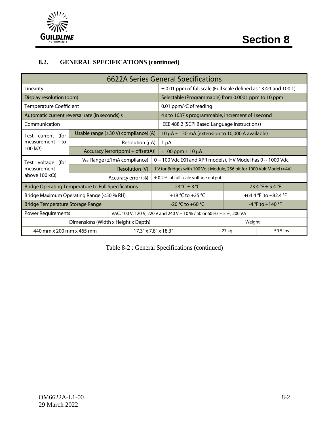

## **8.2. GENERAL SPECIFICATIONS (continued)**

| <b>6622A Series General Specifications</b>                 |  |                                         |  |                                                                               |        |  |                      |
|------------------------------------------------------------|--|-----------------------------------------|--|-------------------------------------------------------------------------------|--------|--|----------------------|
| Linearity                                                  |  |                                         |  | $\pm$ 0.01 ppm of full scale (Full scale defined as 13.4:1 and 100:1)         |        |  |                      |
| Display resolution (ppm)                                   |  |                                         |  | Selectable (Programmable) from 0.0001 ppm to 10 ppm                           |        |  |                      |
| <b>Temperature Coefficient</b>                             |  |                                         |  | 0.01 ppm/ $\degree$ C of reading                                              |        |  |                      |
| Automatic current reversal rate (in seconds) s             |  |                                         |  | 4 s to 1637 s programmable, increment of 1second                              |        |  |                      |
| Communication                                              |  |                                         |  | IEEE 488.2 (SCPI Based Language Instructions)                                 |        |  |                      |
| (for<br>Test current                                       |  | Usable range (±30 V) compliance) (A)    |  | 10 $\mu$ A ~ 150 mA (extension to 10,000 A available)                         |        |  |                      |
| measurement<br>to                                          |  | Resolution $(\mu A)$                    |  | 1 μA                                                                          |        |  |                      |
| 100 k $\Omega$ )                                           |  | Accuracy [error(ppm) + offset(A)]       |  | $\pm 100$ ppm $\pm 10$ $\mu$ A                                                |        |  |                      |
| Test voltage<br>(for                                       |  | $V_{DC}$ Range ( $\pm 1$ mA compliance) |  | $0 \sim 100$ Vdc (XR and XPR models). HV Model has $0 \sim 1000$ Vdc          |        |  |                      |
| measurement                                                |  | Resolution (V)                          |  | 1 V for Bridges with 100 Volt Module, 256 bit for 1000 Volt Model (≈4V)       |        |  |                      |
| above 100 k $\Omega$ )                                     |  | Accuracy error (%)                      |  | $\pm$ 0.2% of full scale voltage output                                       |        |  |                      |
| <b>Bridge Operating Temperature to Full Specifications</b> |  |                                         |  | $23 °C \pm 3 °C$                                                              |        |  | 73.4 °F $\pm$ 5.4 °F |
| Bridge Maximum Operating Range (<50 % RH)                  |  |                                         |  | +18 °C to +25 °C                                                              |        |  | +64.4 °F to +82.4 °F |
| <b>Bridge Temperature Storage Range</b>                    |  |                                         |  | $-20$ °C to $+60$ °C                                                          |        |  | $-4$ °F to $+140$ °F |
| <b>Power Requirements</b>                                  |  |                                         |  | VAC: 100 V, 120 V, 220 V and 240 V $\pm$ 10 % / 50 or 60 Hz $\pm$ 5 %, 200 VA |        |  |                      |
|                                                            |  | Dimensions (Width x Height x Depth)     |  |                                                                               | Weight |  |                      |
| 440 mm x 200 mm x 465 mm                                   |  | 17.3" x 7.8" x 18.3"                    |  |                                                                               | 27 kg  |  | 59.5 lbs             |

Table 8-2 : General Specifications (continued)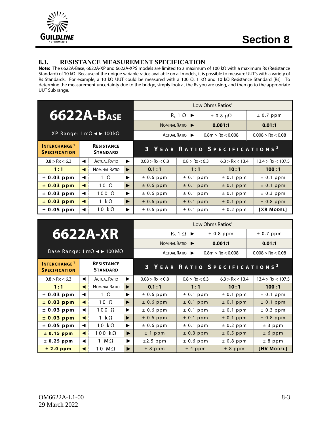

#### **8.3. RESISTANCE MEASUREMENT SPECIFICATION**

**Note:** The 6622A-Base, 6622A-XP and 6622A-XPS models are limited to a maximum of 100 kΩ with a maximum Rs (Resistance Standard) of 10 kΩ. Because of the unique variable ratios available on all models, it is possible to measure UUT's with a variety of Rs Standards. For example, a 10 kΩ UUT could be measured with a 100 Ω, 1 kΩ and 10 kΩ Resistance Standard (Rs). To determine the measurement uncertainty due to the bridge, simply look at the Rs you are using, and then go to the appropriate UUT Sub range.

|                                                        |   |                                      |   |                 | Low Ohms Ratios <sup>1</sup> |           |                       |                                          |  |  |
|--------------------------------------------------------|---|--------------------------------------|---|-----------------|------------------------------|-----------|-----------------------|------------------------------------------|--|--|
| <b>6622A-BASE</b>                                      |   |                                      |   |                 | $R_s 1 \Omega \rightarrow$   |           | $\pm$ 0.8 $\mu\Omega$ | ± 0.7 ppm                                |  |  |
|                                                        |   |                                      |   |                 | NOMINAL RATIO                |           | 0.001:1               | 0.01:1                                   |  |  |
| XP Range: 1 mΩ < $\blacktriangleright$ 100 kΩ          |   |                                      |   |                 | ACTUAL RATIO                 |           | 0.8m > Rx < 0.008     | 0.008 > Rx < 0.08                        |  |  |
| <b>INTERCHANGE<sup>1</sup></b><br><b>SPECIFICATION</b> |   | <b>RESISTANCE</b><br><b>STANDARD</b> |   |                 |                              |           |                       | 3 YEAR RATIO SPECIFICATIONS <sup>2</sup> |  |  |
| 0.8 > Rx < 6.3                                         | ◀ | <b>ACTUAL RATIO</b>                  | ▶ | 0.08 > Rx < 0.8 | 0.8 > Rx < 6.3               |           | 6.3 > Rx < 13.4       | 13.4 > Rx < 107.5                        |  |  |
| 1:1                                                    | ◀ | NOMINAL RATIO                        | ▶ | 0.1:1           |                              | 1:1       | 10:1                  | 100:1                                    |  |  |
| ± 0.03 ppm                                             |   | $1 \Omega$                           | ▶ | $± 0.6$ ppm     | ± 0.1 ppm                    |           | ± 0.1 ppm             | ± 0.1 ppm                                |  |  |
| ± 0.03 ppm                                             | ◀ | $10 \Omega$                          | ▶ | $± 0.6$ ppm     | $± 0.1$ ppm                  |           | $± 0.1$ ppm           | ± 0.1 ppm                                |  |  |
| ± 0.03 ppm                                             |   | $100 \Omega$                         | ▶ | $± 0.6$ ppm     | ± 0.1 ppm                    |           | ± 0.1 ppm             | ± 0.3 ppm                                |  |  |
| ± 0.03 ppm                                             |   | 1 $k\Omega$                          | ▶ | $± 0.6$ ppm     | ± 0.1 ppm                    |           | $± 0.1$ ppm           | $± 0.8$ ppm                              |  |  |
| $± 0.05$ ppm                                           |   | 10 $k\Omega$                         | ▶ | $± 0.6$ ppm     |                              | ± 0.1 ppm | ± 0.2 ppm             | [XR MODEL]                               |  |  |

|                                                                                  |   |                                      |   | Low Ohms Ratios <sup>1</sup>             |                            |  |                   |                   |                   |  |
|----------------------------------------------------------------------------------|---|--------------------------------------|---|------------------------------------------|----------------------------|--|-------------------|-------------------|-------------------|--|
|                                                                                  |   | 6622A-XR                             |   |                                          | $R_s 1 \Omega \rightarrow$ |  | $± 0.8$ ppm       |                   | ± 0.7 ppm         |  |
|                                                                                  |   |                                      |   | NOMINAL RATIO                            |                            |  | 0.001:1           |                   | 0.01:1            |  |
| Base Range: $1 \text{ mA} \blacktriangleleft \blacktriangleright 100 \text{ MA}$ |   |                                      |   |                                          | ACTUAL RATIO               |  | 0.8m > Rx < 0.008 | 0.008 > Rx < 0.08 |                   |  |
| <b>INTERCHANGE<sup>1</sup></b><br><b>SPECIFICATION</b>                           |   | <b>RESISTANCE</b><br><b>STANDARD</b> |   | 3 YEAR RATIO SPECIFICATIONS <sup>2</sup> |                            |  |                   |                   |                   |  |
| 0.8 > Rx < 6.3                                                                   | ◀ | <b>ACTUAL RATIO</b>                  | ▶ | 0.08 > Rx < 0.8                          | 0.8 > Rx < 6.3             |  | 6.3 > Rx < 13.4   |                   | 13.4 > Rx < 107.5 |  |
| 1:1                                                                              | ◀ | <b>NOMINAL RATIO</b>                 | ▶ | 0.1:1                                    | 1:1                        |  | 10:1              |                   | 100:1             |  |
| ± 0.03 ppm                                                                       | ◀ | $1 \Omega$                           | ▶ | $± 0.6$ ppm                              | ± 0.1 ppm                  |  | ± 0.1 ppm         |                   | $\pm$ 0.1 ppm     |  |
| ± 0.03 ppm                                                                       | ◀ | $10 \Omega$                          | ▶ | $± 0.6$ ppm                              | ± 0.1 ppm                  |  | ± 0.1 ppm         |                   | ± 0.1 ppm         |  |
| ± 0.03 ppm                                                                       | ◀ | $100 \Omega$                         | ▶ | $± 0.6$ ppm                              | ± 0.1 ppm                  |  | ± 0.1 ppm         |                   | $\pm$ 0.3 ppm     |  |
| ± 0.03 ppm                                                                       | ◀ | 1 k $\Omega$                         | ▶ | $± 0.6$ ppm                              | ± 0.1 ppm                  |  | ± 0.1 ppm         |                   | $± 0.8$ ppm       |  |
| $± 0.05$ ppm                                                                     | ◀ | 10 $k\Omega$                         | ▶ | $± 0.6$ ppm                              | ± 0.1 ppm                  |  | ± 0.2 ppm         |                   | ± 3 ppm           |  |
| $± 0.15$ ppm                                                                     | ◀ | $100 k\Omega$                        | ▶ | ± 1 ppm                                  | ± 0.3 ppm                  |  | $± 0.5$ ppm       |                   | $± 6$ ppm         |  |
| $± 0.25$ ppm                                                                     | ◀ | 1 M $\Omega$                         | ▶ | $±2.5$ ppm                               | $± 0.6$ ppm                |  | $± 0.8$ ppm       |                   | $± 8$ ppm         |  |
| ± 2.0 ppm                                                                        | ◀ | $10 M\Omega$                         | ▶ | $± 8$ ppm                                | ± 4 ppm                    |  | $± 8$ ppm         |                   | [HV MODEL]        |  |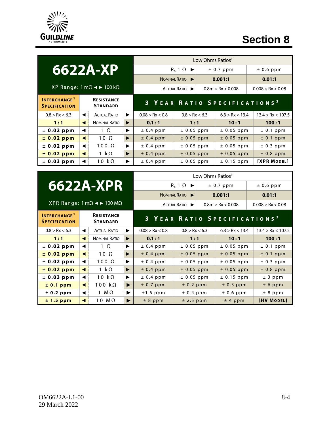

# **Section 8**

|                                                        |                                      |                     |   |                 | Low Ohms Ratios <sup>1</sup>             |  |                   |                   |                   |  |
|--------------------------------------------------------|--------------------------------------|---------------------|---|-----------------|------------------------------------------|--|-------------------|-------------------|-------------------|--|
| 6622A-XP                                               |                                      |                     |   |                 | $R_s 1 \Omega \rightarrow$               |  | $± 0.7$ ppm       |                   | $± 0.6$ ppm       |  |
|                                                        |                                      |                     |   |                 | NOMINAL RATIO                            |  | 0.001:1           |                   | 0.01:1            |  |
| XP Range: 1 mΩ < $\blacktriangleright$ 100 kΩ          |                                      |                     |   |                 | ACTUAL RATIO                             |  | 0.8m > Rx < 0.008 | 0.008 > Rx < 0.08 |                   |  |
| <b>INTERCHANGE<sup>1</sup></b><br><b>SPECIFICATION</b> | <b>RESISTANCE</b><br><b>STANDARD</b> |                     |   |                 | 3 YEAR RATIO SPECIFICATIONS <sup>2</sup> |  |                   |                   |                   |  |
| 0.8 > Rx < 6.3                                         | ◀                                    | <b>ACTUAL RATIO</b> | ▶ | 0.08 > Rx < 0.8 | 0.8 > Rx < 6.3                           |  | 6.3 > Rx < 13.4   |                   | 13.4 > Rx < 107.5 |  |
| 1:1                                                    | ◀                                    | NOMINAL RATIO       | ▶ | 0.1:1           | 1:1                                      |  | 10:1              |                   | 100:1             |  |
| ± 0.02 ppm                                             | ◀                                    | $1 \Omega$          | ▶ | ± 0.4 ppm       | $± 0.05$ ppm                             |  | $± 0.05$ ppm      |                   | ± 0.1 ppm         |  |
| ± 0.02 ppm                                             | ◀                                    | $10\Omega$          | ▶ | $± 0.4$ ppm     | $± 0.05$ ppm                             |  | $± 0.05$ ppm      |                   | ± 0.1 ppm         |  |
| ± 0.02 ppm                                             | ◀                                    | $100 \Omega$        | ▶ | ± 0.4 ppm       | $± 0.05$ ppm                             |  | $± 0.05$ ppm      |                   | ± 0.3 ppm         |  |
| ± 0.02 ppm                                             | ◀                                    | 1 k $\Omega$        | ▶ | $± 0.4$ ppm     | $± 0.05$ ppm                             |  | $± 0.05$ ppm      |                   | $± 0.8$ ppm       |  |
| ± 0.03 ppm                                             |                                      | 10 $k\Omega$        | ▶ | $± 0.4$ ppm     | $± 0.05$ ppm                             |  | $± 0.15$ ppm      |                   | [XPR MODEL]       |  |

Low Ohms Ratios<sup>1</sup>

 $R_s$  1  $\Omega$   $\blacktriangleright$   $\vert$   $\pm$  0.7 ppm  $\vert$   $\pm$  0.6 ppm

# **6622A-XPR**

|                                                                     | NOMINAL RATIO  | 0.001:1           | 0.01:1            |
|---------------------------------------------------------------------|----------------|-------------------|-------------------|
| $XPR$ Range: 1 mΩ $\blacktriangleleft$ $\blacktriangleright$ 100 MΩ | ACTUAL RATIO ▶ | 0.8m > Rx < 0.008 | 0.008 > Rx < 0.08 |

| <b>INTERCHANGE</b> <sup>1</sup><br><b>SPECIFICATION</b> |   | <b>RESISTANCE</b><br><b>STANDARD</b> |                       |                 | 3 YEAR RATIO SPECIFICATIONS <sup>2</sup> |                 |                   |
|---------------------------------------------------------|---|--------------------------------------|-----------------------|-----------------|------------------------------------------|-----------------|-------------------|
| 0.8 > Rx < 6.3                                          | ◀ | <b>ACTUAL RATIO</b>                  | ▶                     | 0.08 > Rx < 0.8 | 0.8 > Rx < 6.3                           | 6.3 > Rx < 13.4 | 13.4 > Rx < 107.5 |
| 1:1                                                     | ◀ | <b>NOMINAL RATIO</b>                 | ▶                     | 0.1:1           | 1:1                                      | 10:1            | 100:1             |
| ± 0.02 ppm                                              |   | $1 \Omega$                           | ▶                     | $± 0.4$ ppm     | $± 0.05$ ppm                             | $\pm$ 0.05 ppm  | $± 0.1$ ppm       |
| ± 0.02 ppm                                              | ◀ | $10 \Omega$                          | ▶                     | $± 0.4$ ppm     | $± 0.05$ ppm                             | $± 0.05$ ppm    | $± 0.1$ ppm       |
| ± 0.02 ppm                                              | ◀ | $100 \Omega$                         | ▶                     | $± 0.4$ ppm     | $± 0.05$ ppm                             | $± 0.05$ ppm    | $\pm$ 0.3 ppm     |
| ± 0.02 ppm                                              |   | 1 k $\Omega$                         | ▶                     | $± 0.4$ ppm     | $± 0.05$ ppm                             | $± 0.05$ ppm    | $±$ 0.8 ppm       |
| ± 0.03 ppm                                              | ◀ | 10 $k\Omega$                         | ▶                     | $± 0.4$ ppm     | $± 0.05$ ppm                             | $± 0.15$ ppm    | ± 3 ppm           |
| ± 0.1 ppm                                               | ◀ | 100 k $\Omega$                       | $\blacktriangleright$ | $± 0.7$ ppm     | ± 0.2 ppm                                | ± 0.3 ppm       | ± 6 ppm           |
| ± 0.2 ppm                                               | ◀ | 1 M $\Omega$                         | ▶                     | $±1.5$ ppm      | ± 0.4 ppm                                |                 | $± 8$ ppm         |
| $± 1.5$ ppm                                             |   | 10 $M\Omega$                         | ▶                     | $± 8$ ppm       | $±$ 2.5 ppm                              | ± 4 ppm         | [HV MODEL]        |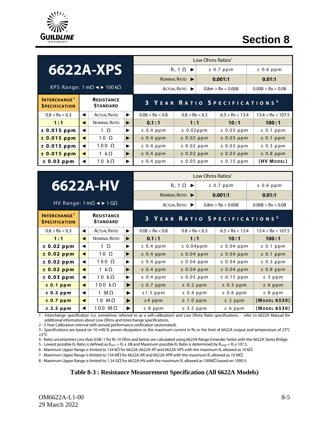

## **Section 8**

|                                                                                                |   |                     |   |                 | Low Ohms Ratios <sup>1</sup> |           |                                          |  |                   |  |
|------------------------------------------------------------------------------------------------|---|---------------------|---|-----------------|------------------------------|-----------|------------------------------------------|--|-------------------|--|
| 6622A-XPS                                                                                      |   |                     |   |                 | $R_s 1 \Omega \rightarrow$   | ± 0.7 ppm |                                          |  | $± 0.6$ ppm       |  |
|                                                                                                |   |                     |   | NOMINAL RATIO   |                              | 0.001:1   |                                          |  | 0.01:1            |  |
| XPS Range: 1 mΩ < $\blacktriangleright$ 100 kΩ                                                 |   |                     |   |                 | ACTUAL RATIO                 |           | 0.8m > Rx < 0.008                        |  | 0.008 > Rx < 0.08 |  |
| <b>INTERCHANGE<sup>1</sup></b><br><b>RESISTANCE</b><br><b>STANDARD</b><br><b>SPECIFICATION</b> |   |                     |   |                 |                              |           | 3 YEAR RATIO SPECIFICATIONS <sup>2</sup> |  |                   |  |
| 0.8 > Rx < 6.3                                                                                 | ◀ | <b>ACTUAL RATIO</b> | ▶ | 0.08 > Rx < 0.8 | 0.8 > Rx < 6.3               |           | 6.3 > Rx < 13.4                          |  | 13.4 > Rx < 107.5 |  |
| 1:1                                                                                            | ◀ | NOMINAL RATIO       | ▶ | 0.1:1           | 1:1                          |           | 10:1                                     |  | 100:1             |  |
| $± 0.015$ ppm                                                                                  | ◀ | $1 \Omega$          | ▶ | $± 0.4$ ppm     | $± 0.02$ ppm                 |           | $± 0.03$ ppm                             |  | ± 0.1 ppm         |  |
| $± 0.015$ ppm                                                                                  | ◀ | $10\Omega$          | ▶ | $± 0.4$ ppm     | ± 0.02 ppm                   |           | $± 0.03$ ppm                             |  | $± 0.1$ ppm       |  |
| $± 0.015$ ppm                                                                                  | ◀ | $100 \Omega$        | ▶ | $± 0.4$ ppm     | $± 0.02$ ppm                 |           | $± 0.03$ ppm                             |  | ± 0.3 ppm         |  |
| $± 0.015$ ppm                                                                                  | ◀ | 1 k $\Omega$        | ▶ | $± 0.4$ ppm     | $± 0.02$ ppm                 |           | $± 0.03$ ppm                             |  | $± 0.8$ ppm       |  |
| ± 0.03 ppm                                                                                     |   | 10 k $\Omega$       | ▶ | ± 0.4 ppm       | $± 0.05$ ppm                 |           | $± 0.15$ ppm                             |  | [HV MODEL]        |  |

| 6622A-HV |  |  |
|----------|--|--|
|          |  |  |

| Low Ohms Ratios <sup>1</sup> |                            |                   |  |  |  |  |  |  |
|------------------------------|----------------------------|-------------------|--|--|--|--|--|--|
| $R_5 1 \Omega \rightarrow$   | $± 0.6$ ppm<br>$± 0.7$ ppm |                   |  |  |  |  |  |  |
| NOMINAL RATIO                | 0.001:1                    | 0.01:1            |  |  |  |  |  |  |
| ACTUAL RATIO                 | 0.8m > Rx < 0.008          | 0.008 > Rx < 0.08 |  |  |  |  |  |  |

#### HV Range:  $1 \text{ mA} \blacktriangleleft \blacktriangleright 1 \text{ GA}$

| <b>INTERCHANGE<sup>1</sup></b><br><b>SPECIFICATION</b> |   | <b>RESISTANCE</b><br><b>STANDARD</b> |   | 3 YEAR RATIO SPECIFICATIONS <sup>2</sup> |                |                 |                   |  |
|--------------------------------------------------------|---|--------------------------------------|---|------------------------------------------|----------------|-----------------|-------------------|--|
| 0.8 > Rx < 6.3                                         | ◀ | <b>ACTUAL RATIO</b>                  | ▶ | 0.08 > Rx < 0.8                          | 0.8 > Rx < 6.3 | 6.3 > Rx < 13.4 | 13.4 > Rx < 107.5 |  |
| 1:1                                                    | ◀ | <b>NOMINAL RATIO</b>                 | ▶ | 0.1:1                                    | 1:1            | 10:1            | 100:1             |  |
| ± 0.02 ppm                                             | ◀ | $1 \Omega$                           | ▶ | $± 0.4$ ppm                              | $± 0.04$ ppm   | $± 0.04$ ppm    | ± 0.1 ppm         |  |
| ± 0.02 ppm                                             | ◀ | $10 \Omega$                          | ▶ | $± 0.4$ ppm                              | $± 0.04$ ppm   | $± 0.04$ ppm    | $± 0.1$ ppm       |  |
| ± 0.02 ppm                                             | ◀ | $100 \Omega$                         | ▶ | $± 0.4$ ppm                              | $± 0.04$ ppm   | $± 0.04$ ppm    | $± 0.3$ ppm       |  |
| ± 0.02 ppm                                             | ◀ | 1 k $\Omega$                         | ▶ | $± 0.4$ ppm                              | $± 0.04$ ppm   | $± 0.04$ ppm    | $± 0.8$ ppm       |  |
| ± 0.03 ppm                                             | ◀ | 10 $k\Omega$                         | ▶ | $± 0.4$ ppm                              | $± 0.05$ ppm   | $± 0.15$ ppm    | ± 3 ppm           |  |
| ± 0.1 ppm                                              | ◀ | 100 $k\Omega$                        | ▶ | $± 0.7$ ppm                              | ± 0.2 ppm      | ± 0.3 ppm       | ± 6 ppm           |  |
| ± 0.2 ppm                                              | ◀ | 1 M $\Omega$                         | ▶ | $±1.5$ ppm                               | $± 0.4$ ppm    | $± 0.6$ ppm     | $± 8$ ppm         |  |
| ± 0.7 ppm                                              | ◀ | 10 $M\Omega$                         | ▶ | $±4$ ppm                                 | ± 1.0 ppm      | ± 2 ppm         | [MODEL 6530]      |  |
| ± 2.5 ppm                                              | ◀ | $100$ $M\Omega$                      | ▶ | $± 8$ ppm                                | $± 3.5$ ppm    | ± 6 ppm         | [MODEL 6530]      |  |

1 - Interchange specification (i.e. sometimes referred to as a self-calibration) and Low Ohms Ratio specifications - refer to 6622A Manual for additional information about Low Ohms and Interchange specifications.

2 - 3 Year Calibration interval with annual performance verification (automated).

3 - Specifications are based on 10 mW Rs power dissipation or the maximum current in Rs or the limit of 6622A output and temperature of 23°C  $±3°C.$ 

4 - Ratio uncertainties Less than 0.08 :1 for Rs 10 Ohm and below are calculated using 6623A Range Extender Series with the 6622A Series Bridge.

5 - Lowest possible R<sub>x</sub> Ratio is defined as R<sub>xlow</sub> = R<sub>s</sub> x .08 and Maximum possible R<sub>x</sub> Ratio is determined by R<sub>xhigh</sub> = R<sub>s</sub> x 107.5.

6 - Maximum Upper Range is limited to 134 kΩ for 6622A, 6622A-XP and 6622A-XPS with the maximum Rs allowed as 10 kΩ.

7 - Maximum Upper Range is limited to 134 MΩ for 6622A-XR and 6622A-XPR with the maximum Rs allowed as 10 MΩ.

8 - Maximum Upper Range is limited to 1.34 GΩ for 6622A-HV with the maximum R<sub>s</sub> allowed as 100MΩ based on 1000 V.

#### **Table 8-3 : Resistance Measurement Specification (All 6622A Models)**